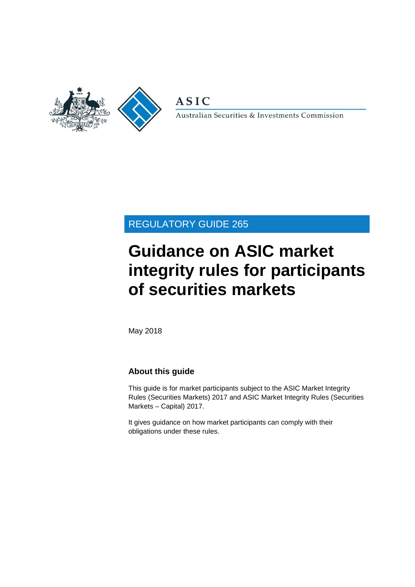

**ASIC** 

Australian Securities & Investments Commission

# REGULATORY GUIDE 265

# **Guidance on ASIC market integrity rules for participants of securities markets**

May 2018

## **About this guide**

This guide is for market participants subject to the ASIC Market Integrity Rules (Securities Markets) 2017 and ASIC Market Integrity Rules (Securities Markets – Capital) 2017.

It gives guidance on how market participants can comply with their obligations under these rules.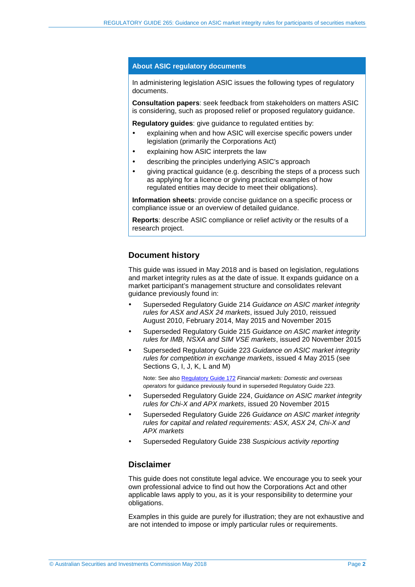#### **About ASIC regulatory documents**

In administering legislation ASIC issues the following types of regulatory documents.

**Consultation papers**: seek feedback from stakeholders on matters ASIC is considering, such as proposed relief or proposed regulatory guidance.

**Regulatory guides:** give guidance to regulated entities by:

- explaining when and how ASIC will exercise specific powers under legislation (primarily the Corporations Act)
- explaining how ASIC interprets the law
- describing the principles underlying ASIC's approach
- giving practical guidance (e.g. describing the steps of a process such as applying for a licence or giving practical examples of how regulated entities may decide to meet their obligations).

**Information sheets**: provide concise guidance on a specific process or compliance issue or an overview of detailed guidance.

**Reports**: describe ASIC compliance or relief activity or the results of a research project.

### **Document history**

This guide was issued in May 2018 and is based on legislation, regulations and market integrity rules as at the date of issue. It expands guidance on a market participant's management structure and consolidates relevant guidance previously found in:

- Superseded Regulatory Guide 214 *Guidance on ASIC market integrity rules for ASX and ASX 24 markets*, issued July 2010, reissued August 2010, February 2014, May 2015 and November 2015
- Superseded Regulatory Guide 215 *Guidance on ASIC market integrity rules for IMB, NSXA and SIM VSE markets*, issued 20 November 2015
- Superseded Regulatory Guide 223 *Guidance on ASIC market integrity rules for competition in exchange markets*, issued 4 May 2015 (see Sections [G,](#page-33-0) [I,](#page-73-0) [J,](#page-91-0) [K,](#page-101-0) [L](#page-107-0) and [M\)](#page-118-0)

Note: See als[o Regulatory Guide 172](http://www.asic.gov.au/regulatory-resources/find-a-document/regulatory-guides/rg-172-financial-markets-domestic-and-overseas-operators/) *Financial markets: Domestic and overseas operators* for guidance previously found in superseded Regulatory Guide 223.

- Superseded Regulatory Guide 224, *Guidance on ASIC market integrity rules for Chi-X and APX markets*, issued 20 November 2015
- Superseded Regulatory Guide 226 *Guidance on ASIC market integrity rules for capital and related requirements: ASX, ASX 24, Chi-X and APX markets*
- Superseded Regulatory Guide 238 *Suspicious activity reporting*

### **Disclaimer**

This guide does not constitute legal advice. We encourage you to seek your own professional advice to find out how the Corporations Act and other applicable laws apply to you, as it is your responsibility to determine your obligations.

Examples in this guide are purely for illustration; they are not exhaustive and are not intended to impose or imply particular rules or requirements.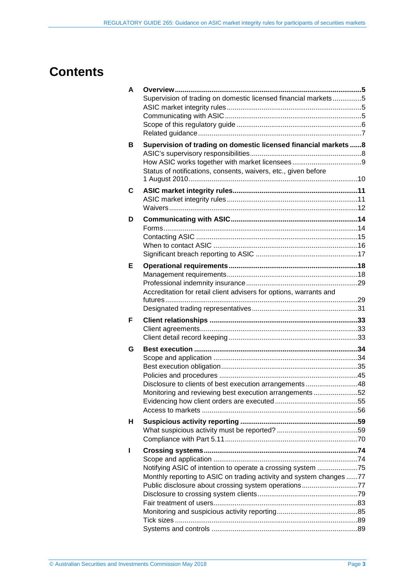# **Contents**

| A |                                                                                                                  |  |
|---|------------------------------------------------------------------------------------------------------------------|--|
|   | Supervision of trading on domestic licensed financial markets5                                                   |  |
|   |                                                                                                                  |  |
|   |                                                                                                                  |  |
|   |                                                                                                                  |  |
|   |                                                                                                                  |  |
| в | Supervision of trading on domestic licensed financial markets  8                                                 |  |
|   |                                                                                                                  |  |
|   | Status of notifications, consents, waivers, etc., given before                                                   |  |
|   |                                                                                                                  |  |
| С |                                                                                                                  |  |
|   |                                                                                                                  |  |
|   |                                                                                                                  |  |
| D |                                                                                                                  |  |
|   |                                                                                                                  |  |
|   |                                                                                                                  |  |
|   |                                                                                                                  |  |
|   |                                                                                                                  |  |
| Е |                                                                                                                  |  |
|   |                                                                                                                  |  |
|   |                                                                                                                  |  |
|   | Accreditation for retail client advisers for options, warrants and                                               |  |
|   |                                                                                                                  |  |
|   |                                                                                                                  |  |
| F |                                                                                                                  |  |
|   |                                                                                                                  |  |
|   |                                                                                                                  |  |
| G |                                                                                                                  |  |
|   |                                                                                                                  |  |
|   |                                                                                                                  |  |
|   |                                                                                                                  |  |
|   | Disclosure to clients of best execution arrangements48<br>Monitoring and reviewing best execution arrangements52 |  |
|   |                                                                                                                  |  |
|   |                                                                                                                  |  |
|   |                                                                                                                  |  |
| н |                                                                                                                  |  |
|   |                                                                                                                  |  |
|   |                                                                                                                  |  |
| ı |                                                                                                                  |  |
|   | Notifying ASIC of intention to operate a crossing system 75                                                      |  |
|   | Monthly reporting to ASIC on trading activity and system changes77                                               |  |
|   | Public disclosure about crossing system operations77                                                             |  |
|   |                                                                                                                  |  |
|   |                                                                                                                  |  |
|   |                                                                                                                  |  |
|   |                                                                                                                  |  |
|   |                                                                                                                  |  |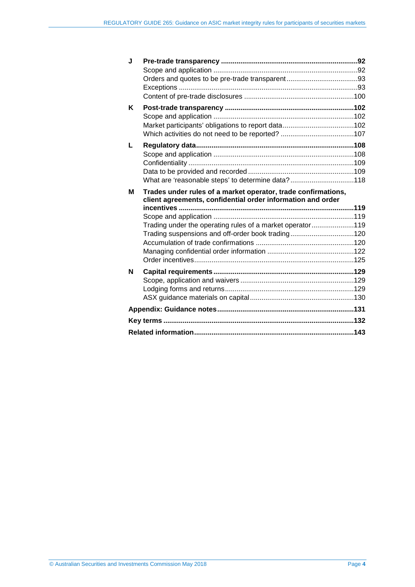| J |                                                               |  |
|---|---------------------------------------------------------------|--|
|   |                                                               |  |
|   |                                                               |  |
|   |                                                               |  |
|   |                                                               |  |
| Κ |                                                               |  |
|   |                                                               |  |
|   |                                                               |  |
|   |                                                               |  |
| L |                                                               |  |
|   |                                                               |  |
|   |                                                               |  |
|   |                                                               |  |
|   | What are 'reasonable steps' to determine data?118             |  |
|   |                                                               |  |
| М | Trades under rules of a market operator, trade confirmations, |  |
|   | client agreements, confidential order information and order   |  |
|   |                                                               |  |
|   |                                                               |  |
|   | Trading under the operating rules of a market operator119     |  |
|   | Trading suspensions and off-order book trading120             |  |
|   |                                                               |  |
|   |                                                               |  |
|   |                                                               |  |
| N |                                                               |  |
|   |                                                               |  |
|   |                                                               |  |
|   |                                                               |  |
|   |                                                               |  |
|   |                                                               |  |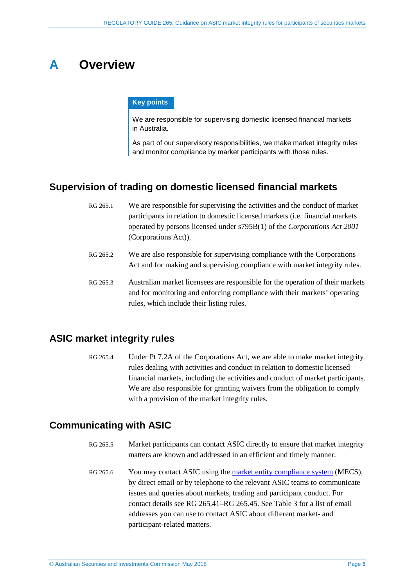# <span id="page-4-0"></span>**A Overview**

### **Key points**

We are responsible for supervising domestic licensed financial markets in Australia.

As part of our supervisory responsibilities, we make market integrity rules and monitor compliance by market participants with those rules.

# <span id="page-4-1"></span>**Supervision of trading on domestic licensed financial markets**

- RG 265.1 We are responsible for supervising the activities and the conduct of market participants in relation to domestic licensed markets (i.e. financial markets operated by persons licensed under s795B(1) of the *Corporations Act 2001* (Corporations Act)).
- RG 265.2 We are also responsible for supervising compliance with the Corporations Act and for making and supervising compliance with market integrity rules.
- RG 265.3 Australian market licensees are responsible for the operation of their markets and for monitoring and enforcing compliance with their markets' operating rules, which include their listing rules.

## <span id="page-4-2"></span>**ASIC market integrity rules**

RG 265.4 Under Pt 7.2A of the Corporations Act, we are able to make market integrity rules dealing with activities and conduct in relation to domestic licensed financial markets, including the activities and conduct of market participants. We are also responsible for granting waivers from the obligation to comply with a provision of the market integrity rules.

# <span id="page-4-3"></span>**Communicating with ASIC**

- RG 265.5 Market participants can contact ASIC directly to ensure that market integrity matters are known and addressed in an efficient and timely manner.
- RG 265.6 You may contact ASIC using the [market entity compliance system](http://asic.gov.au/online-services/market-entity-compliance-system/) (MECS), by direct email or by telephone to the relevant ASIC teams to communicate issues and queries about markets, trading and participant conduct. For contact details see [RG 265.41–](#page-14-1)[RG 265.45.](#page-14-2) See [Table 3](#page-14-3) for a list of email addresses you can use to contact ASIC about different market- and participant-related matters.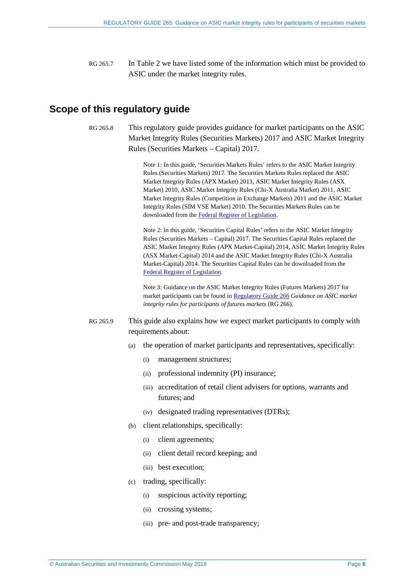RG 265.7 In [Table 2](#page-13-2) we have listed some of the information which must be provided to ASIC under the market integrity rules.

## <span id="page-5-0"></span>**Scope of this regulatory guide**

RG 265.8 This regulatory guide provides guidance for market participants on the ASIC Market Integrity Rules (Securities Markets) 2017 and ASIC Market Integrity Rules (Securities Markets – Capital) 2017.

> Note 1: In this guide, 'Securities Markets Rules' refers to the ASIC Market Integrity Rules (Securities Markets) 2017. The Securities Markets Rules replaced the ASIC Market Integrity Rules (APX Market) 2013, ASIC Market Integrity Rules (ASX Market) 2010, ASIC Market Integrity Rules (Chi-X Australia Market) 2011, ASIC Market Integrity Rules (Competition in Exchange Markets) 2011 and the ASIC Market Integrity Rules (SIM VSE Market) 2010. The Securities Markets Rules can be downloaded from the [Federal Register of Legislation.](https://www.legislation.gov.au/)

Note 2: In this guide, 'Securities Capital Rules' refers to the ASIC Market Integrity Rules (Securities Markets – Capital) 2017. The Securities Capital Rules replaced the ASIC Market Integrity Rules (APX Market-Capital) 2014, ASIC Market Integrity Rules (ASX Market-Capital) 2014 and the ASIC Market Integrity Rules (Chi-X Australia Market-Capital) 2014. The Securities Capital Rules can be downloaded from the [Federal Register of Legislation.](https://www.legislation.gov.au/) 

Note 3: Guidance on the ASIC Market Integrity Rules (Futures Markets) 2017 for market participants can be found in [Regulatory Guide 266](http://www.asic.gov.au/regulatory-resources/find-a-document/regulatory-guides/rg-266-guidance-on-asic-market-integrity-rules-for-participants-of-futures-markets/) *Guidance on ASIC market integrity rules for participants of futures markets* (RG 266).

- RG 265.9 This guide also explains how we expect market participants to comply with requirements about:
	- (a) the operation of market participants and representatives, specifically:
		- (i) management structures;
		- (ii) professional indemnity (PI) insurance;
		- (iii) accreditation of retail client advisers for options, warrants and futures; and
		- (iv) designated trading representatives (DTRs);
	- (b) client relationships, specifically:
		- (i) client agreements;
		- (ii) client detail record keeping; and
		- (iii) best execution;
	- (c) trading, specifically:
		- (i) suspicious activity reporting;
		- (ii) crossing systems;
		- (iii) pre- and post-trade transparency;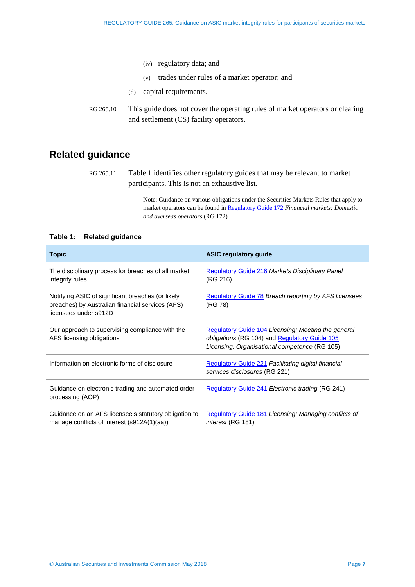- (iv) regulatory data; and
- (v) trades under rules of a market operator; and
- (d) capital requirements.
- RG 265.10 This guide does not cover the operating rules of market operators or clearing and settlement (CS) facility operators.

# <span id="page-6-0"></span>**Related guidance**

RG 265.11 [Table 1](#page-6-1) identifies other regulatory guides that may be relevant to market participants. This is not an exhaustive list.

> Note: Guidance on various obligations under the Securities Markets Rules that apply to market operators can be found i[n Regulatory Guide 172](http://www.asic.gov.au/regulatory-resources/find-a-document/regulatory-guides/rg-172-financial-markets-domestic-and-overseas-operators/) *Financial markets: Domestic and overseas operators* (RG 172).

#### <span id="page-6-1"></span>**Table 1: Related guidance**

| <b>Topic</b>                                                                                                                   | <b>ASIC regulatory quide</b>                                                                                                                                 |
|--------------------------------------------------------------------------------------------------------------------------------|--------------------------------------------------------------------------------------------------------------------------------------------------------------|
| The disciplinary process for breaches of all market<br>integrity rules                                                         | <b>Regulatory Guide 216 Markets Disciplinary Panel</b><br>(RG 216)                                                                                           |
| Notifying ASIC of significant breaches (or likely<br>breaches) by Australian financial services (AFS)<br>licensees under s912D | <b>Regulatory Guide 78 Breach reporting by AFS licensees</b><br>(RG 78)                                                                                      |
| Our approach to supervising compliance with the<br>AFS licensing obligations                                                   | <b>Regulatory Guide 104 Licensing: Meeting the general</b><br>obligations (RG 104) and Regulatory Guide 105<br>Licensing: Organisational competence (RG 105) |
| Information on electronic forms of disclosure                                                                                  | <b>Regulatory Guide 221 Facilitating digital financial</b><br>services disclosures (RG 221)                                                                  |
| Guidance on electronic trading and automated order<br>processing (AOP)                                                         | Regulatory Guide 241 Electronic trading (RG 241)                                                                                                             |
| Guidance on an AFS licensee's statutory obligation to<br>manage conflicts of interest (s912A(1)(aa))                           | Regulatory Guide 181 Licensing: Managing conflicts of<br><i>interest</i> (RG 181)                                                                            |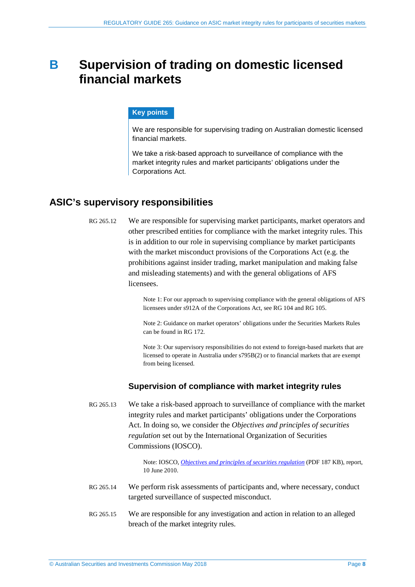# <span id="page-7-0"></span>**B Supervision of trading on domestic licensed financial markets**

### **Key points**

We are responsible for supervising trading on Australian domestic licensed financial markets.

We take a risk-based approach to surveillance of compliance with the market integrity rules and market participants' obligations under the Corporations Act.

## <span id="page-7-1"></span>**ASIC's supervisory responsibilities**

RG 265.12 We are responsible for supervising market participants, market operators and other prescribed entities for compliance with the market integrity rules. This is in addition to our role in supervising compliance by market participants with the market misconduct provisions of the Corporations Act (e.g. the prohibitions against insider trading, market manipulation and making false and misleading statements) and with the general obligations of AFS licensees.

> Note 1: For our approach to supervising compliance with the general obligations of AFS licensees under s912A of the Corporations Act, see RG 104 and RG 105.

Note 2: Guidance on market operators' obligations under the Securities Markets Rules can be found in RG 172.

Note 3: Our supervisory responsibilities do not extend to foreign-based markets that are licensed to operate in Australia under s795B(2) or to financial markets that are exempt from being licensed.

### **Supervision of compliance with market integrity rules**

RG 265.13 We take a risk-based approach to surveillance of compliance with the market integrity rules and market participants' obligations under the Corporations Act. In doing so, we consider the *Objectives and principles of securities regulation* set out by the International Organization of Securities Commissions (IOSCO).

> Note: IOSCO, *[Objectives and principles of securities regulation](https://www.iosco.org/library/pubdocs/pdf/IOSCOPD323.pdf)* (PDF 187 KB), report, 10 June 2010.

- RG 265.14 We perform risk assessments of participants and, where necessary, conduct targeted surveillance of suspected misconduct.
- RG 265.15 We are responsible for any investigation and action in relation to an alleged breach of the market integrity rules.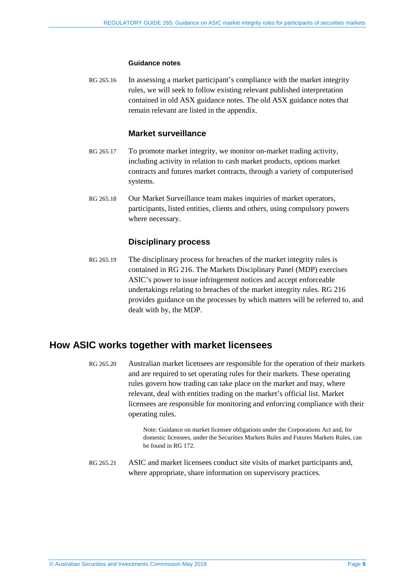#### **Guidance notes**

RG 265.16 In assessing a market participant's compliance with the market integrity rules, we will seek to follow existing relevant published interpretation contained in old ASX guidance notes. The old ASX guidance notes that remain relevant are listed in the appendix.

### **Market surveillance**

- RG 265.17 To promote market integrity, we monitor on-market trading activity, including activity in relation to cash market products, options market contracts and futures market contracts, through a variety of computerised systems.
- RG 265.18 Our Market Surveillance team makes inquiries of market operators, participants, listed entities, clients and others, using compulsory powers where necessary.

### **Disciplinary process**

RG 265.19 The disciplinary process for breaches of the market integrity rules is contained in RG 216. The Markets Disciplinary Panel (MDP) exercises ASIC's power to issue infringement notices and accept enforceable undertakings relating to breaches of the market integrity rules. RG 216 provides guidance on the processes by which matters will be referred to, and dealt with by, the MDP.

## <span id="page-8-0"></span>**How ASIC works together with market licensees**

RG 265.20 Australian market licensees are responsible for the operation of their markets and are required to set operating rules for their markets. These operating rules govern how trading can take place on the market and may, where relevant, deal with entities trading on the market's official list. Market licensees are responsible for monitoring and enforcing compliance with their operating rules.

> Note: Guidance on market licensee obligations under the Corporations Act and, for domestic licensees, under the Securities Markets Rules and Futures Markets Rules, can be found in RG 172.

RG 265.21 ASIC and market licensees conduct site visits of market participants and, where appropriate, share information on supervisory practices.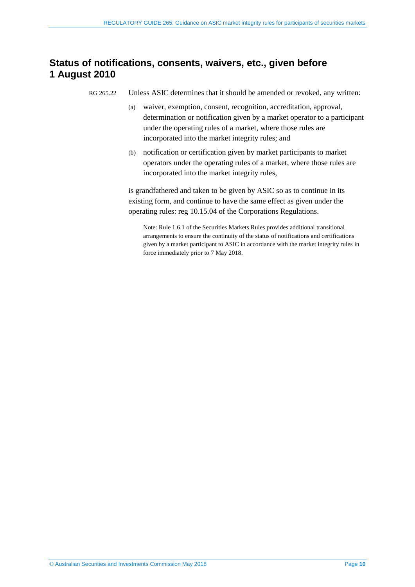# <span id="page-9-0"></span>**Status of notifications, consents, waivers, etc., given before 1 August 2010**

RG 265.22 Unless ASIC determines that it should be amended or revoked, any written:

- (a) waiver, exemption, consent, recognition, accreditation, approval, determination or notification given by a market operator to a participant under the operating rules of a market, where those rules are incorporated into the market integrity rules; and
- (b) notification or certification given by market participants to market operators under the operating rules of a market, where those rules are incorporated into the market integrity rules,

is grandfathered and taken to be given by ASIC so as to continue in its existing form, and continue to have the same effect as given under the operating rules: reg 10.15.04 of the Corporations Regulations.

Note: Rule 1.6.1 of the Securities Markets Rules provides additional transitional arrangements to ensure the continuity of the status of notifications and certifications given by a market participant to ASIC in accordance with the market integrity rules in force immediately prior to 7 May 2018.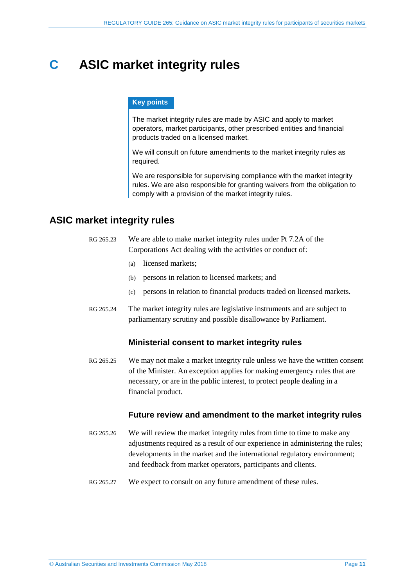# <span id="page-10-0"></span>**C ASIC market integrity rules**

### **Key points**

The market integrity rules are made by ASIC and apply to market operators, market participants, other prescribed entities and financial products traded on a licensed market.

We will consult on future amendments to the market integrity rules as required.

We are responsible for supervising compliance with the market integrity rules. We are also responsible for granting waivers from the obligation to comply with a provision of the market integrity rules.

# <span id="page-10-1"></span>**ASIC market integrity rules**

- RG 265.23 We are able to make market integrity rules under Pt 7.2A of the Corporations Act dealing with the activities or conduct of:
	- (a) licensed markets;
	- (b) persons in relation to licensed markets; and
	- (c) persons in relation to financial products traded on licensed markets.
- RG 265.24 The market integrity rules are legislative instruments and are subject to parliamentary scrutiny and possible disallowance by Parliament.

### **Ministerial consent to market integrity rules**

RG 265.25 We may not make a market integrity rule unless we have the written consent of the Minister. An exception applies for making emergency rules that are necessary, or are in the public interest, to protect people dealing in a financial product.

### **Future review and amendment to the market integrity rules**

- <span id="page-10-2"></span>RG 265.26 We will review the market integrity rules from time to time to make any adjustments required as a result of our experience in administering the rules; developments in the market and the international regulatory environment; and feedback from market operators, participants and clients.
- RG 265.27 We expect to consult on any future amendment of these rules.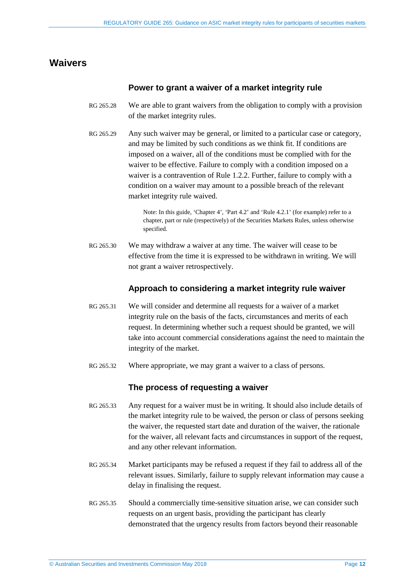## <span id="page-11-0"></span>**Waivers**

### **Power to grant a waiver of a market integrity rule**

- RG 265.28 We are able to grant waivers from the obligation to comply with a provision of the market integrity rules.
- RG 265.29 Any such waiver may be general, or limited to a particular case or category, and may be limited by such conditions as we think fit. If conditions are imposed on a waiver, all of the conditions must be complied with for the waiver to be effective. Failure to comply with a condition imposed on a waiver is a contravention of Rule 1.2.2. Further, failure to comply with a condition on a waiver may amount to a possible breach of the relevant market integrity rule waived.

Note: In this guide, 'Chapter 4', 'Part 4.2' and 'Rule 4.2.1' (for example) refer to a chapter, part or rule (respectively) of the Securities Markets Rules, unless otherwise specified.

RG 265.30 We may withdraw a waiver at any time. The waiver will cease to be effective from the time it is expressed to be withdrawn in writing. We will not grant a waiver retrospectively.

### **Approach to considering a market integrity rule waiver**

- RG 265.31 We will consider and determine all requests for a waiver of a market integrity rule on the basis of the facts, circumstances and merits of each request. In determining whether such a request should be granted, we will take into account commercial considerations against the need to maintain the integrity of the market.
- RG 265.32 Where appropriate, we may grant a waiver to a class of persons.

### **The process of requesting a waiver**

- RG 265.33 Any request for a waiver must be in writing. It should also include details of the market integrity rule to be waived, the person or class of persons seeking the waiver, the requested start date and duration of the waiver, the rationale for the waiver, all relevant facts and circumstances in support of the request, and any other relevant information.
- RG 265.34 Market participants may be refused a request if they fail to address all of the relevant issues. Similarly, failure to supply relevant information may cause a delay in finalising the request.
- RG 265.35 Should a commercially time-sensitive situation arise, we can consider such requests on an urgent basis, providing the participant has clearly demonstrated that the urgency results from factors beyond their reasonable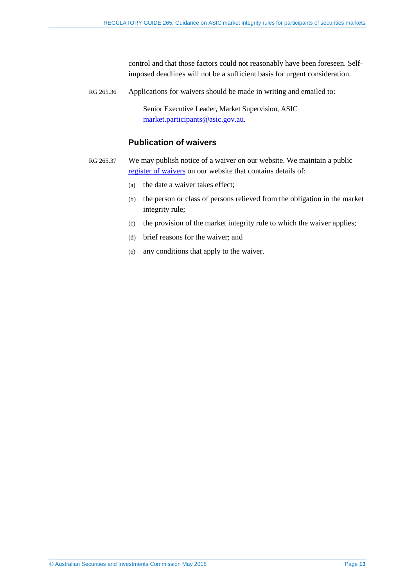control and that those factors could not reasonably have been foreseen. Selfimposed deadlines will not be a sufficient basis for urgent consideration.

RG 265.36 Applications for waivers should be made in writing and emailed to:

Senior Executive Leader, Market Supervision, ASIC [market.participants@asic.gov.au.](mailto:market.participants@asic.gov.au)

### **Publication of waivers**

- RG 265.37 We may publish notice of a waiver on our website. We maintain a public [register of waivers](http://asic.gov.au/regulatory-resources/markets/market-integrity-rules/register-of-waivers-granted-under-asic-market-integrity-rules/) on our website that contains details of:
	- (a) the date a waiver takes effect;
	- (b) the person or class of persons relieved from the obligation in the market integrity rule;
	- (c) the provision of the market integrity rule to which the waiver applies;
	- (d) brief reasons for the waiver; and
	- (e) any conditions that apply to the waiver.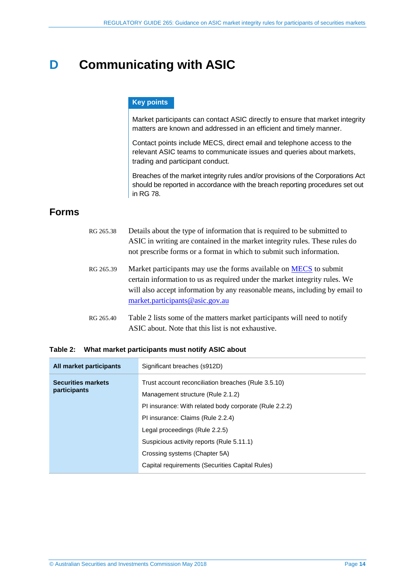# <span id="page-13-0"></span>**D** Communicating with ASIC

### **Key points**

Market participants can contact ASIC directly to ensure that market integrity matters are known and addressed in an efficient and timely manner.

Contact points include MECS, direct email and telephone access to the relevant ASIC teams to communicate issues and queries about markets, trading and participant conduct.

Breaches of the market integrity rules and/or provisions of the Corporations Act should be reported in accordance with the breach reporting procedures set out in RG 78.

# <span id="page-13-1"></span>**Forms**

| RG 265.38 | Details about the type of information that is required to be submitted to   |
|-----------|-----------------------------------------------------------------------------|
|           | ASIC in writing are contained in the market integrity rules. These rules do |
|           | not prescribe forms or a format in which to submit such information.        |
| RG 265.39 | Market participants may use the forms available on MECS to submit           |
|           | certain information to us as required under the market integrity rules. We  |
|           | will also accept information by any reasonable means, including by email to |
|           | market.participants@asic.gov.au                                             |
| RG 265.40 | Table 2 lists some of the matters market participants will need to notify   |

#### <span id="page-13-2"></span>**Table 2: What market participants must notify ASIC about**

| All market participants                   | Significant breaches (s912D)                                                                |
|-------------------------------------------|---------------------------------------------------------------------------------------------|
| <b>Securities markets</b><br>participants | Trust account reconciliation breaches (Rule 3.5.10)<br>Management structure (Rule 2.1.2)    |
|                                           | PI insurance: With related body corporate (Rule 2.2.2)<br>PI insurance: Claims (Rule 2.2.4) |
|                                           | Legal proceedings (Rule 2.2.5)<br>Suspicious activity reports (Rule 5.11.1)                 |
|                                           | Crossing systems (Chapter 5A)                                                               |
|                                           | Capital requirements (Securities Capital Rules)                                             |

ASIC about. Note that this list is not exhaustive.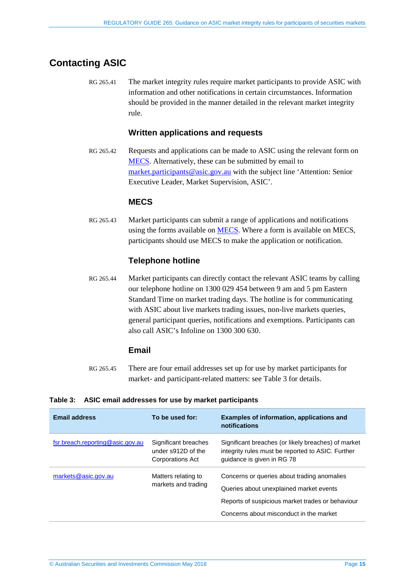# <span id="page-14-1"></span><span id="page-14-0"></span>**Contacting ASIC**

RG 265.41 The market integrity rules require market participants to provide ASIC with information and other notifications in certain circumstances. Information should be provided in the manner detailed in the relevant market integrity rule.

### **Written applications and requests**

RG 265.42 Requests and applications can be made to ASIC using the relevant form on [MECS.](http://asic.gov.au/online-services/market-entity-compliance-system/) Alternatively, these can be submitted by email to [market.participants@asic.gov.au](mailto:market.participants@asic.gov.au) with the subject line 'Attention: Senior Executive Leader, Market Supervision, ASIC'.

### **MECS**

RG 265.43 Market participants can submit a range of applications and notifications using the forms available o[n MECS.](http://asic.gov.au/online-services/market-entity-compliance-system/) Where a form is available on MECS, participants should use MECS to make the application or notification.

### **Telephone hotline**

RG 265.44 Market participants can directly contact the relevant ASIC teams by calling our telephone hotline on 1300 029 454 between 9 am and 5 pm Eastern Standard Time on market trading days. The hotline is for communicating with ASIC about live markets trading issues, non-live markets queries, general participant queries, notifications and exemptions. Participants can also call ASIC's Infoline on 1300 300 630.

### **Email**

<span id="page-14-2"></span>RG 265.45 There are four email addresses set up for use by market participants for market- and participant-related matters: see [Table 3](#page-14-3) for details.

#### <span id="page-14-3"></span>**Table 3: ASIC email addresses for use by market participants**

| <b>Email address</b>             | To be used for:                                                | Examples of information, applications and<br>notifications                                                                             |
|----------------------------------|----------------------------------------------------------------|----------------------------------------------------------------------------------------------------------------------------------------|
| fsr.breach.reporting@asic.gov.au | Significant breaches<br>under s912D of the<br>Corporations Act | Significant breaches (or likely breaches) of market<br>integrity rules must be reported to ASIC. Further<br>quidance is given in RG 78 |
| markets@asic.gov.au              | Matters relating to                                            | Concerns or queries about trading anomalies                                                                                            |
|                                  | markets and trading                                            | Queries about unexplained market events                                                                                                |
|                                  |                                                                | Reports of suspicious market trades or behaviour                                                                                       |
|                                  |                                                                | Concerns about misconduct in the market                                                                                                |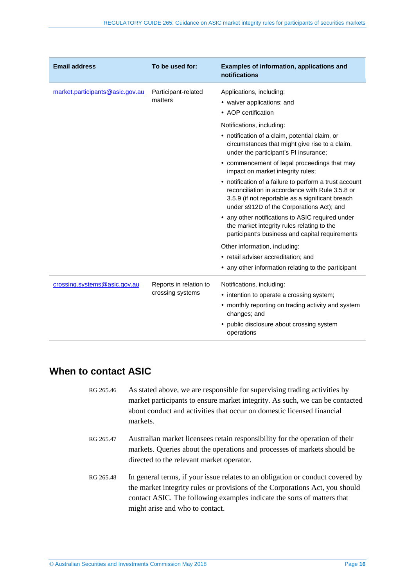| <b>Email address</b>            | To be used for:                | Examples of information, applications and<br>notifications                                                                                                                                                 |
|---------------------------------|--------------------------------|------------------------------------------------------------------------------------------------------------------------------------------------------------------------------------------------------------|
| market.participants@asic.gov.au | Participant-related<br>matters | Applications, including:<br>• waiver applications; and<br>• AOP certification                                                                                                                              |
|                                 |                                | Notifications, including:                                                                                                                                                                                  |
|                                 |                                | • notification of a claim, potential claim, or<br>circumstances that might give rise to a claim,<br>under the participant's PI insurance;                                                                  |
|                                 |                                | • commencement of legal proceedings that may<br>impact on market integrity rules;                                                                                                                          |
|                                 |                                | • notification of a failure to perform a trust account<br>reconciliation in accordance with Rule 3.5.8 or<br>3.5.9 (if not reportable as a significant breach<br>under s912D of the Corporations Act); and |
|                                 |                                | • any other notifications to ASIC required under<br>the market integrity rules relating to the<br>participant's business and capital requirements                                                          |
|                                 |                                | Other information, including:                                                                                                                                                                              |
|                                 |                                | • retail adviser accreditation; and                                                                                                                                                                        |
|                                 |                                | • any other information relating to the participant                                                                                                                                                        |
| crossing.systems@asic.gov.au    | Reports in relation to         | Notifications, including:                                                                                                                                                                                  |
|                                 | crossing systems               | • intention to operate a crossing system;                                                                                                                                                                  |
|                                 |                                | • monthly reporting on trading activity and system<br>changes; and                                                                                                                                         |
|                                 |                                | • public disclosure about crossing system<br>operations                                                                                                                                                    |

# <span id="page-15-0"></span>**When to contact ASIC**

| RG 265.46 | As stated above, we are responsible for supervising trading activities by    |
|-----------|------------------------------------------------------------------------------|
|           | market participants to ensure market integrity. As such, we can be contacted |
|           | about conduct and activities that occur on domestic licensed financial       |
|           | markets.                                                                     |

- RG 265.47 Australian market licensees retain responsibility for the operation of their markets. Queries about the operations and processes of markets should be directed to the relevant market operator.
- RG 265.48 In general terms, if your issue relates to an obligation or conduct covered by the market integrity rules or provisions of the Corporations Act, you should contact ASIC. The following examples indicate the sorts of matters that might arise and who to contact.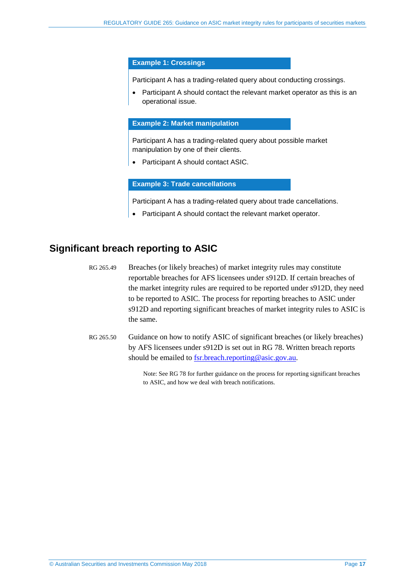#### **Example 1: Crossings**

Participant A has a trading-related query about conducting crossings.

• Participant A should contact the relevant market operator as this is an operational issue.

#### **Example 2: Market manipulation**

Participant A has a trading-related query about possible market manipulation by one of their clients.

• Participant A should contact ASIC.

#### **Example 3: Trade cancellations**

Participant A has a trading-related query about trade cancellations.

• Participant A should contact the relevant market operator.

# <span id="page-16-0"></span>**Significant breach reporting to ASIC**

- RG 265.49 Breaches (or likely breaches) of market integrity rules may constitute reportable breaches for AFS licensees under s912D. If certain breaches of the market integrity rules are required to be reported under s912D, they need to be reported to ASIC. The process for reporting breaches to ASIC under s912D and reporting significant breaches of market integrity rules to ASIC is the same.
- RG 265.50 Guidance on how to notify ASIC of significant breaches (or likely breaches) by AFS licensees under s912D is set out in RG 78. Written breach reports should be emailed to [fsr.breach.reporting@asic.gov.au.](mailto:fsr.breach.reporting@asic.gov.au)

Note: See RG 78 for further guidance on the process for reporting significant breaches to ASIC, and how we deal with breach notifications.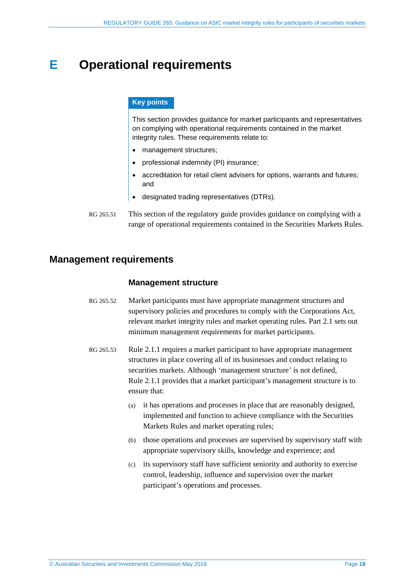# <span id="page-17-0"></span>**E Operational requirements**

### **Key points**

This section provides guidance for market participants and representatives on complying with operational requirements contained in the market integrity rules. These requirements relate to:

- management structures;
- professional indemnity (PI) insurance;
- accreditation for retail client advisers for options, warrants and futures; and
- designated trading representatives (DTRs).
- RG 265.51 This section of the regulatory guide provides guidance on complying with a range of operational requirements contained in the Securities Markets Rules.

## <span id="page-17-1"></span>**Management requirements**

### **Management structure**

- RG 265.52 Market participants must have appropriate management structures and supervisory policies and procedures to comply with the Corporations Act, relevant market integrity rules and market operating rules. Part 2.1 sets out minimum management requirements for market participants.
- RG 265.53 Rule 2.1.1 requires a market participant to have appropriate management structures in place covering all of its businesses and conduct relating to securities markets. Although 'management structure' is not defined, Rule 2.1.1 provides that a market participant's management structure is to ensure that:
	- (a) it has operations and processes in place that are reasonably designed, implemented and function to achieve compliance with the Securities Markets Rules and market operating rules;
	- (b) those operations and processes are supervised by supervisory staff with appropriate supervisory skills, knowledge and experience; and
	- (c) its supervisory staff have sufficient seniority and authority to exercise control, leadership, influence and supervision over the market participant's operations and processes.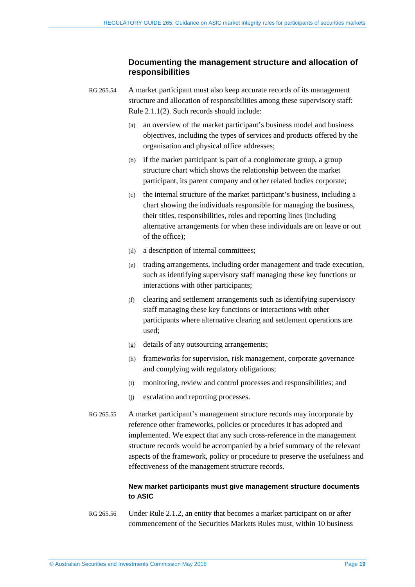### **Documenting the management structure and allocation of responsibilities**

RG 265.54 A market participant must also keep accurate records of its management structure and allocation of responsibilities among these supervisory staff: Rule 2.1.1(2). Such records should include:

- (a) an overview of the market participant's business model and business objectives, including the types of services and products offered by the organisation and physical office addresses;
- (b) if the market participant is part of a conglomerate group, a group structure chart which shows the relationship between the market participant, its parent company and other related bodies corporate;
- (c) the internal structure of the market participant's business, including a chart showing the individuals responsible for managing the business, their titles, responsibilities, roles and reporting lines (including alternative arrangements for when these individuals are on leave or out of the office);
- (d) a description of internal committees;
- (e) trading arrangements, including order management and trade execution, such as identifying supervisory staff managing these key functions or interactions with other participants;
- (f) clearing and settlement arrangements such as identifying supervisory staff managing these key functions or interactions with other participants where alternative clearing and settlement operations are used;
- (g) details of any outsourcing arrangements;
- (h) frameworks for supervision, risk management, corporate governance and complying with regulatory obligations;
- (i) monitoring, review and control processes and responsibilities; and
- (j) escalation and reporting processes.
- RG 265.55 A market participant's management structure records may incorporate by reference other frameworks, policies or procedures it has adopted and implemented. We expect that any such cross-reference in the management structure records would be accompanied by a brief summary of the relevant aspects of the framework, policy or procedure to preserve the usefulness and effectiveness of the management structure records.

### **New market participants must give management structure documents to ASIC**

RG 265.56 Under Rule 2.1.2, an entity that becomes a market participant on or after commencement of the Securities Markets Rules must, within 10 business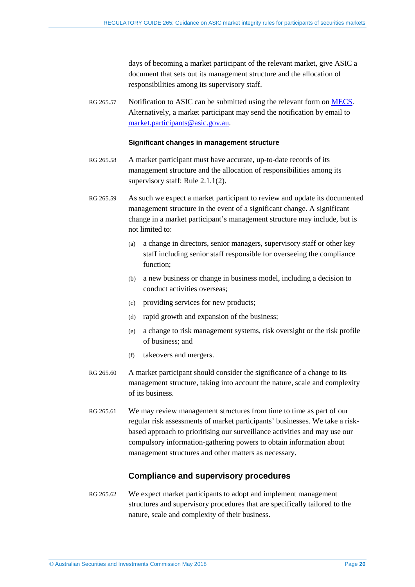days of becoming a market participant of the relevant market, give ASIC a document that sets out its management structure and the allocation of responsibilities among its supervisory staff.

RG 265.57 Notification to ASIC can be submitted using the relevant form on [MECS.](http://asic.gov.au/online-services/market-entity-compliance-system/) Alternatively, a market participant may send the notification by email to [market.participants@asic.gov.au.](mailto:market.participants@asic.gov.au)

#### **Significant changes in management structure**

- RG 265.58 A market participant must have accurate, up-to-date records of its management structure and the allocation of responsibilities among its supervisory staff: Rule 2.1.1(2).
- RG 265.59 As such we expect a market participant to review and update its documented management structure in the event of a significant change. A significant change in a market participant's management structure may include, but is not limited to:
	- (a) a change in directors, senior managers, supervisory staff or other key staff including senior staff responsible for overseeing the compliance function;
	- (b) a new business or change in business model, including a decision to conduct activities overseas;
	- (c) providing services for new products;
	- (d) rapid growth and expansion of the business;
	- (e) a change to risk management systems, risk oversight or the risk profile of business; and
	- (f) takeovers and mergers.
- RG 265.60 A market participant should consider the significance of a change to its management structure, taking into account the nature, scale and complexity of its business.
- RG 265.61 We may review management structures from time to time as part of our regular risk assessments of market participants' businesses. We take a riskbased approach to prioritising our surveillance activities and may use our compulsory information-gathering powers to obtain information about management structures and other matters as necessary.

### **Compliance and supervisory procedures**

RG 265.62 We expect market participants to adopt and implement management structures and supervisory procedures that are specifically tailored to the nature, scale and complexity of their business.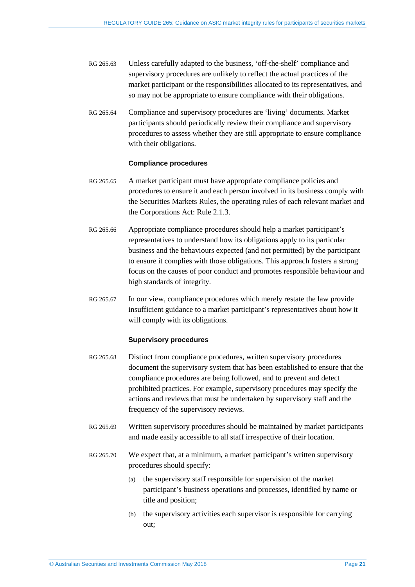- RG 265.63 Unless carefully adapted to the business, 'off-the-shelf' compliance and supervisory procedures are unlikely to reflect the actual practices of the market participant or the responsibilities allocated to its representatives, and so may not be appropriate to ensure compliance with their obligations.
- RG 265.64 Compliance and supervisory procedures are 'living' documents. Market participants should periodically review their compliance and supervisory procedures to assess whether they are still appropriate to ensure compliance with their obligations.

### **Compliance procedures**

- RG 265.65 A market participant must have appropriate compliance policies and procedures to ensure it and each person involved in its business comply with the Securities Markets Rules, the operating rules of each relevant market and the Corporations Act: Rule 2.1.3.
- RG 265.66 Appropriate compliance procedures should help a market participant's representatives to understand how its obligations apply to its particular business and the behaviours expected (and not permitted) by the participant to ensure it complies with those obligations. This approach fosters a strong focus on the causes of poor conduct and promotes responsible behaviour and high standards of integrity.
- RG 265.67 In our view, compliance procedures which merely restate the law provide insufficient guidance to a market participant's representatives about how it will comply with its obligations.

### **Supervisory procedures**

- RG 265.68 Distinct from compliance procedures, written supervisory procedures document the supervisory system that has been established to ensure that the compliance procedures are being followed, and to prevent and detect prohibited practices. For example, supervisory procedures may specify the actions and reviews that must be undertaken by supervisory staff and the frequency of the supervisory reviews.
- RG 265.69 Written supervisory procedures should be maintained by market participants and made easily accessible to all staff irrespective of their location.
- RG 265.70 We expect that, at a minimum, a market participant's written supervisory procedures should specify:
	- (a) the supervisory staff responsible for supervision of the market participant's business operations and processes, identified by name or title and position;
	- (b) the supervisory activities each supervisor is responsible for carrying out;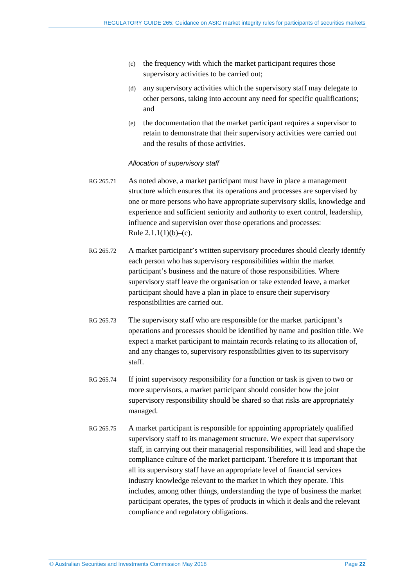- (c) the frequency with which the market participant requires those supervisory activities to be carried out;
- (d) any supervisory activities which the supervisory staff may delegate to other persons, taking into account any need for specific qualifications; and
- (e) the documentation that the market participant requires a supervisor to retain to demonstrate that their supervisory activities were carried out and the results of those activities.

### *Allocation of supervisory staff*

- RG 265.71 As noted above, a market participant must have in place a management structure which ensures that its operations and processes are supervised by one or more persons who have appropriate supervisory skills, knowledge and experience and sufficient seniority and authority to exert control, leadership, influence and supervision over those operations and processes: Rule  $2.1.1(1)(b)$ –(c).
- RG 265.72 A market participant's written supervisory procedures should clearly identify each person who has supervisory responsibilities within the market participant's business and the nature of those responsibilities. Where supervisory staff leave the organisation or take extended leave, a market participant should have a plan in place to ensure their supervisory responsibilities are carried out.
- RG 265.73 The supervisory staff who are responsible for the market participant's operations and processes should be identified by name and position title. We expect a market participant to maintain records relating to its allocation of, and any changes to, supervisory responsibilities given to its supervisory staff.
- RG 265.74 If joint supervisory responsibility for a function or task is given to two or more supervisors, a market participant should consider how the joint supervisory responsibility should be shared so that risks are appropriately managed.
- RG 265.75 A market participant is responsible for appointing appropriately qualified supervisory staff to its management structure. We expect that supervisory staff, in carrying out their managerial responsibilities, will lead and shape the compliance culture of the market participant. Therefore it is important that all its supervisory staff have an appropriate level of financial services industry knowledge relevant to the market in which they operate. This includes, among other things, understanding the type of business the market participant operates, the types of products in which it deals and the relevant compliance and regulatory obligations.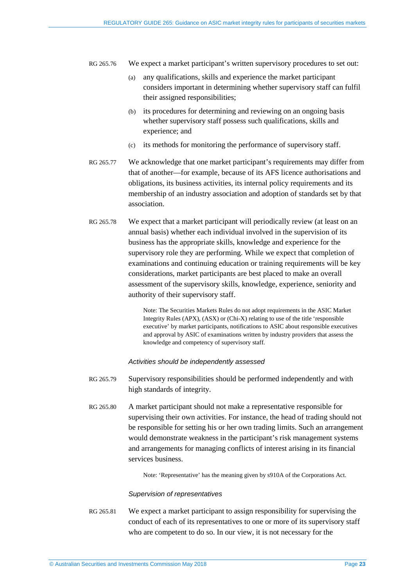RG 265.76 We expect a market participant's written supervisory procedures to set out:

- (a) any qualifications, skills and experience the market participant considers important in determining whether supervisory staff can fulfil their assigned responsibilities;
- (b) its procedures for determining and reviewing on an ongoing basis whether supervisory staff possess such qualifications, skills and experience; and
- (c) its methods for monitoring the performance of supervisory staff.
- RG 265.77 We acknowledge that one market participant's requirements may differ from that of another—for example, because of its AFS licence authorisations and obligations, its business activities, its internal policy requirements and its membership of an industry association and adoption of standards set by that association.
- RG 265.78 We expect that a market participant will periodically review (at least on an annual basis) whether each individual involved in the supervision of its business has the appropriate skills, knowledge and experience for the supervisory role they are performing. While we expect that completion of examinations and continuing education or training requirements will be key considerations, market participants are best placed to make an overall assessment of the supervisory skills, knowledge, experience, seniority and authority of their supervisory staff.

Note: The Securities Markets Rules do not adopt requirements in the ASIC Market Integrity Rules (APX), (ASX) or (Chi-X) relating to use of the title 'responsible executive' by market participants, notifications to ASIC about responsible executives and approval by ASIC of examinations written by industry providers that assess the knowledge and competency of supervisory staff.

#### *Activities should be independently assessed*

- RG 265.79 Supervisory responsibilities should be performed independently and with high standards of integrity.
- RG 265.80 A market participant should not make a representative responsible for supervising their own activities. For instance, the head of trading should not be responsible for setting his or her own trading limits. Such an arrangement would demonstrate weakness in the participant's risk management systems and arrangements for managing conflicts of interest arising in its financial services business.

Note: 'Representative' has the meaning given by s910A of the Corporations Act.

#### *Supervision of representatives*

RG 265.81 We expect a market participant to assign responsibility for supervising the conduct of each of its representatives to one or more of its supervisory staff who are competent to do so. In our view, it is not necessary for the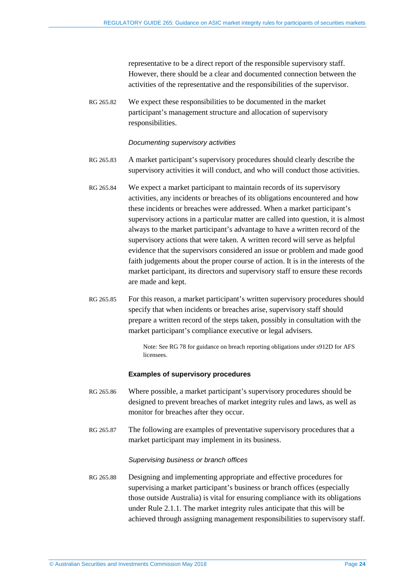representative to be a direct report of the responsible supervisory staff. However, there should be a clear and documented connection between the activities of the representative and the responsibilities of the supervisor.

RG 265.82 We expect these responsibilities to be documented in the market participant's management structure and allocation of supervisory responsibilities.

#### *Documenting supervisory activities*

- RG 265.83 A market participant's supervisory procedures should clearly describe the supervisory activities it will conduct, and who will conduct those activities.
- RG 265.84 We expect a market participant to maintain records of its supervisory activities, any incidents or breaches of its obligations encountered and how these incidents or breaches were addressed. When a market participant's supervisory actions in a particular matter are called into question, it is almost always to the market participant's advantage to have a written record of the supervisory actions that were taken. A written record will serve as helpful evidence that the supervisors considered an issue or problem and made good faith judgements about the proper course of action. It is in the interests of the market participant, its directors and supervisory staff to ensure these records are made and kept.
- RG 265.85 For this reason, a market participant's written supervisory procedures should specify that when incidents or breaches arise, supervisory staff should prepare a written record of the steps taken, possibly in consultation with the market participant's compliance executive or legal advisers.

Note: See RG 78 for guidance on breach reporting obligations under s912D for AFS licensees.

#### **Examples of supervisory procedures**

- RG 265.86 Where possible, a market participant's supervisory procedures should be designed to prevent breaches of market integrity rules and laws, as well as monitor for breaches after they occur.
- RG 265.87 The following are examples of preventative supervisory procedures that a market participant may implement in its business.

#### *Supervising business or branch offices*

RG 265.88 Designing and implementing appropriate and effective procedures for supervising a market participant's business or branch offices (especially those outside Australia) is vital for ensuring compliance with its obligations under Rule 2.1.1. The market integrity rules anticipate that this will be achieved through assigning management responsibilities to supervisory staff.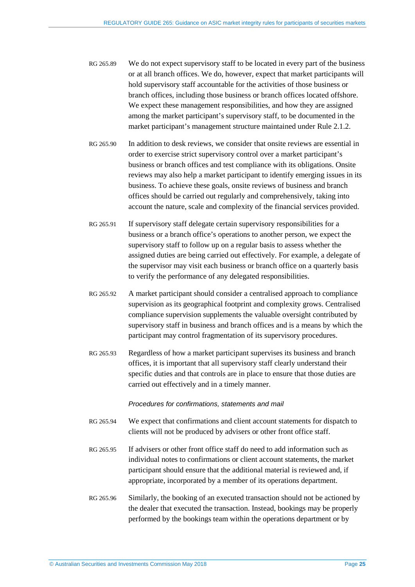- RG 265.89 We do not expect supervisory staff to be located in every part of the business or at all branch offices. We do, however, expect that market participants will hold supervisory staff accountable for the activities of those business or branch offices, including those business or branch offices located offshore. We expect these management responsibilities, and how they are assigned among the market participant's supervisory staff, to be documented in the market participant's management structure maintained under Rule 2.1.2.
- RG 265.90 In addition to desk reviews, we consider that onsite reviews are essential in order to exercise strict supervisory control over a market participant's business or branch offices and test compliance with its obligations. Onsite reviews may also help a market participant to identify emerging issues in its business. To achieve these goals, onsite reviews of business and branch offices should be carried out regularly and comprehensively, taking into account the nature, scale and complexity of the financial services provided.
- RG 265.91 If supervisory staff delegate certain supervisory responsibilities for a business or a branch office's operations to another person, we expect the supervisory staff to follow up on a regular basis to assess whether the assigned duties are being carried out effectively. For example, a delegate of the supervisor may visit each business or branch office on a quarterly basis to verify the performance of any delegated responsibilities.
- RG 265.92 A market participant should consider a centralised approach to compliance supervision as its geographical footprint and complexity grows. Centralised compliance supervision supplements the valuable oversight contributed by supervisory staff in business and branch offices and is a means by which the participant may control fragmentation of its supervisory procedures.
- RG 265.93 Regardless of how a market participant supervises its business and branch offices, it is important that all supervisory staff clearly understand their specific duties and that controls are in place to ensure that those duties are carried out effectively and in a timely manner.

#### *Procedures for confirmations, statements and mail*

- RG 265.94 We expect that confirmations and client account statements for dispatch to clients will not be produced by advisers or other front office staff.
- RG 265.95 If advisers or other front office staff do need to add information such as individual notes to confirmations or client account statements, the market participant should ensure that the additional material is reviewed and, if appropriate, incorporated by a member of its operations department.
- RG 265.96 Similarly, the booking of an executed transaction should not be actioned by the dealer that executed the transaction. Instead, bookings may be properly performed by the bookings team within the operations department or by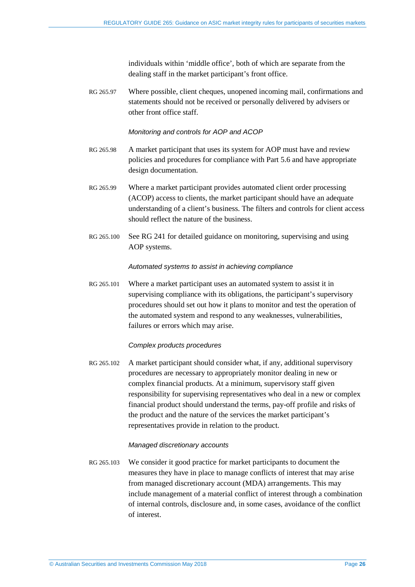individuals within 'middle office', both of which are separate from the dealing staff in the market participant's front office.

RG 265.97 Where possible, client cheques, unopened incoming mail, confirmations and statements should not be received or personally delivered by advisers or other front office staff.

#### *Monitoring and controls for AOP and ACOP*

- RG 265.98 A market participant that uses its system for AOP must have and review policies and procedures for compliance with Part 5.6 and have appropriate design documentation.
- RG 265.99 Where a market participant provides automated client order processing (ACOP) access to clients, the market participant should have an adequate understanding of a client's business. The filters and controls for client access should reflect the nature of the business.
- RG 265.100 See RG 241 for detailed guidance on monitoring, supervising and using AOP systems.

#### *Automated systems to assist in achieving compliance*

RG 265.101 Where a market participant uses an automated system to assist it in supervising compliance with its obligations, the participant's supervisory procedures should set out how it plans to monitor and test the operation of the automated system and respond to any weaknesses, vulnerabilities, failures or errors which may arise.

### *Complex products procedures*

RG 265.102 A market participant should consider what, if any, additional supervisory procedures are necessary to appropriately monitor dealing in new or complex financial products. At a minimum, supervisory staff given responsibility for supervising representatives who deal in a new or complex financial product should understand the terms, pay-off profile and risks of the product and the nature of the services the market participant's representatives provide in relation to the product.

#### *Managed discretionary accounts*

RG 265.103 We consider it good practice for market participants to document the measures they have in place to manage conflicts of interest that may arise from managed discretionary account (MDA) arrangements. This may include management of a material conflict of interest through a combination of internal controls, disclosure and, in some cases, avoidance of the conflict of interest.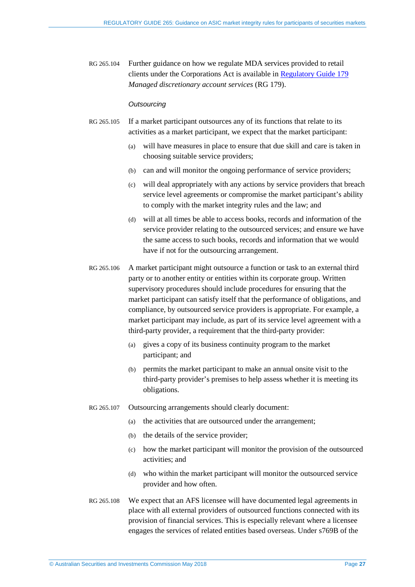RG 265.104 Further guidance on how we regulate MDA services provided to retail clients under the Corporations Act is available in [Regulatory Guide 179](http://www.asic.gov.au/regulatory-resources/find-a-document/regulatory-guides/rg-179-managed-discretionary-account-services/) *Managed discretionary account services* (RG 179).

#### *Outsourcing*

- RG 265.105 If a market participant outsources any of its functions that relate to its activities as a market participant, we expect that the market participant:
	- (a) will have measures in place to ensure that due skill and care is taken in choosing suitable service providers;
	- (b) can and will monitor the ongoing performance of service providers;
	- (c) will deal appropriately with any actions by service providers that breach service level agreements or compromise the market participant's ability to comply with the market integrity rules and the law; and
	- (d) will at all times be able to access books, records and information of the service provider relating to the outsourced services; and ensure we have the same access to such books, records and information that we would have if not for the outsourcing arrangement.
- RG 265.106 A market participant might outsource a function or task to an external third party or to another entity or entities within its corporate group. Written supervisory procedures should include procedures for ensuring that the market participant can satisfy itself that the performance of obligations, and compliance, by outsourced service providers is appropriate. For example, a market participant may include, as part of its service level agreement with a third-party provider, a requirement that the third-party provider:
	- (a) gives a copy of its business continuity program to the market participant; and
	- (b) permits the market participant to make an annual onsite visit to the third-party provider's premises to help assess whether it is meeting its obligations.
- RG 265.107 Outsourcing arrangements should clearly document:
	- (a) the activities that are outsourced under the arrangement;
	- (b) the details of the service provider;
	- (c) how the market participant will monitor the provision of the outsourced activities; and
	- (d) who within the market participant will monitor the outsourced service provider and how often.
- RG 265.108 We expect that an AFS licensee will have documented legal agreements in place with all external providers of outsourced functions connected with its provision of financial services. This is especially relevant where a licensee engages the services of related entities based overseas. Under s769B of the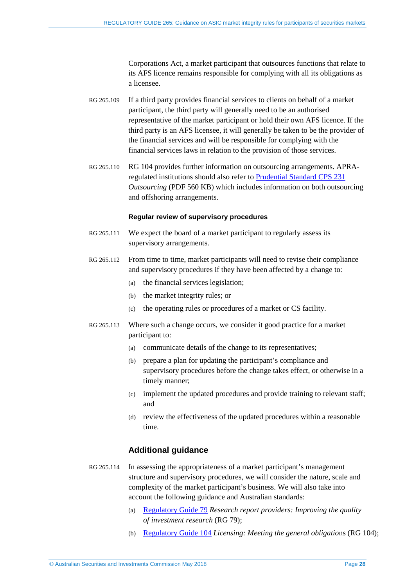Corporations Act, a market participant that outsources functions that relate to its AFS licence remains responsible for complying with all its obligations as a licensee.

- RG 265.109 If a third party provides financial services to clients on behalf of a market participant, the third party will generally need to be an authorised representative of the market participant or hold their own AFS licence. If the third party is an AFS licensee, it will generally be taken to be the provider of the financial services and will be responsible for complying with the financial services laws in relation to the provision of those services.
- RG 265.110 RG 104 provides further information on outsourcing arrangements. APRAregulated institutions should also refer to [Prudential Standard CPS 231](http://www.apra.gov.au/CrossIndustry/Documents/Prudential-Standard-CPS-231-Outsourcing-(July-2017).pdf) *Outsourcing* (PDF 560 KB) which includes information on both outsourcing and offshoring arrangements.

#### **Regular review of supervisory procedures**

- RG 265.111 We expect the board of a market participant to regularly assess its supervisory arrangements.
- RG 265.112 From time to time, market participants will need to revise their compliance and supervisory procedures if they have been affected by a change to:
	- (a) the financial services legislation;
	- (b) the market integrity rules; or
	- (c) the operating rules or procedures of a market or CS facility.
- RG 265.113 Where such a change occurs, we consider it good practice for a market participant to:
	- (a) communicate details of the change to its representatives;
	- (b) prepare a plan for updating the participant's compliance and supervisory procedures before the change takes effect, or otherwise in a timely manner;
	- (c) implement the updated procedures and provide training to relevant staff; and
	- (d) review the effectiveness of the updated procedures within a reasonable time.

### **Additional guidance**

- RG 265.114 In assessing the appropriateness of a market participant's management structure and supervisory procedures, we will consider the nature, scale and complexity of the market participant's business. We will also take into account the following guidance and Australian standards:
	- (a) [Regulatory Guide 79](http://www.asic.gov.au/regulatory-resources/find-a-document/regulatory-guides/rg-79-research-report-providers-improving-the-quality-of-investment-research/) *Research report providers: Improving the quality of investment research* (RG 79);
	- (b) [Regulatory Guide 104](http://www.asic.gov.au/regulatory-resources/find-a-document/regulatory-guides/rg-104-licensing-meeting-the-general-obligations/) *Licensing: Meeting the general obligatio*ns (RG 104);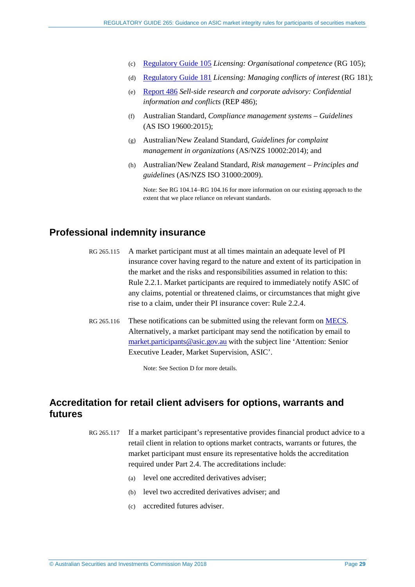- (c) [Regulatory Guide 105](http://www.asic.gov.au/regulatory-resources/find-a-document/regulatory-guides/rg-105-licensing-organisational-competence/) *Licensing: Organisational competence* (RG 105);
- (d) [Regulatory Guide 181](http://www.asic.gov.au/regulatory-resources/find-a-document/regulatory-guides/rg-181-licensing-managing-conflicts-of-interest/) *Licensing: Managing conflicts of interest* (RG 181);
- (e) [Report 486](http://www.asic.gov.au/regulatory-resources/find-a-document/reports/rep-486-sell-side-research-and-corporate-advisory-confidential-information-and-conflicts/) *Sell-side research and corporate advisory: Confidential information and conflicts* (REP 486);
- (f) Australian Standard, *Compliance management systems Guidelines* (AS ISO 19600:2015);
- (g) Australian/New Zealand Standard, *Guidelines for complaint management in organizations* (AS/NZS 10002:2014); and
- (h) Australian/New Zealand Standard, *Risk management Principles and guidelines* (AS/NZS ISO 31000:2009).

Note: See RG 104.14−RG 104.16 for more information on our existing approach to the extent that we place reliance on relevant standards.

## <span id="page-28-0"></span>**Professional indemnity insurance**

- RG 265.115 A market participant must at all times maintain an adequate level of PI insurance cover having regard to the nature and extent of its participation in the market and the risks and responsibilities assumed in relation to this: Rule 2.2.1. Market participants are required to immediately notify ASIC of any claims, potential or threatened claims, or circumstances that might give rise to a claim, under their PI insurance cover: Rule 2.2.4.
- RG 265.116 These notifications can be submitted using the relevant form on [MECS.](http://asic.gov.au/online-services/market-entity-compliance-system/) Alternatively, a market participant may send the notification by email to [market.participants@asic.gov.au](mailto:market.participants@asic.gov.au) with the subject line 'Attention: Senior Executive Leader, Market Supervision, ASIC'.

Note: See Section [D](#page-13-0) for more details.

# <span id="page-28-1"></span>**Accreditation for retail client advisers for options, warrants and futures**

- RG 265.117 If a market participant's representative provides financial product advice to a retail client in relation to options market contracts, warrants or futures, the market participant must ensure its representative holds the accreditation required under Part 2.4. The accreditations include:
	- (a) level one accredited derivatives adviser;
	- (b) level two accredited derivatives adviser; and
	- (c) accredited futures adviser.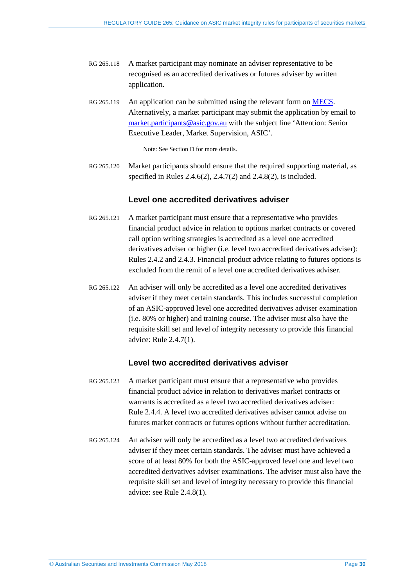- RG 265.118 A market participant may nominate an adviser representative to be recognised as an accredited derivatives or futures adviser by written application.
- RG 265.119 An application can be submitted using the relevant form on <u>MECS</u>. Alternatively, a market participant may submit the application by email to [market.participants@asic.gov.au](mailto:market.participants@asic.gov.au) with the subject line 'Attention: Senior Executive Leader, Market Supervision, ASIC'.

Note: See Sectio[n D](#page-13-0) for more details.

RG 265.120 Market participants should ensure that the required supporting material, as specified in Rules 2.4.6(2), 2.4.7(2) and 2.4.8(2), is included.

### **Level one accredited derivatives adviser**

- RG 265.121 A market participant must ensure that a representative who provides financial product advice in relation to options market contracts or covered call option writing strategies is accredited as a level one accredited derivatives adviser or higher (i.e. level two accredited derivatives adviser): Rules 2.4.2 and 2.4.3. Financial product advice relating to futures options is excluded from the remit of a level one accredited derivatives adviser.
- RG 265.122 An adviser will only be accredited as a level one accredited derivatives adviser if they meet certain standards. This includes successful completion of an ASIC-approved level one accredited derivatives adviser examination (i.e. 80% or higher) and training course. The adviser must also have the requisite skill set and level of integrity necessary to provide this financial advice: Rule 2.4.7(1).

### **Level two accredited derivatives adviser**

- RG 265.123 A market participant must ensure that a representative who provides financial product advice in relation to derivatives market contracts or warrants is accredited as a level two accredited derivatives adviser: Rule 2.4.4. A level two accredited derivatives adviser cannot advise on futures market contracts or futures options without further accreditation.
- RG 265.124 An adviser will only be accredited as a level two accredited derivatives adviser if they meet certain standards. The adviser must have achieved a score of at least 80% for both the ASIC-approved level one and level two accredited derivatives adviser examinations. The adviser must also have the requisite skill set and level of integrity necessary to provide this financial advice: see Rule 2.4.8(1).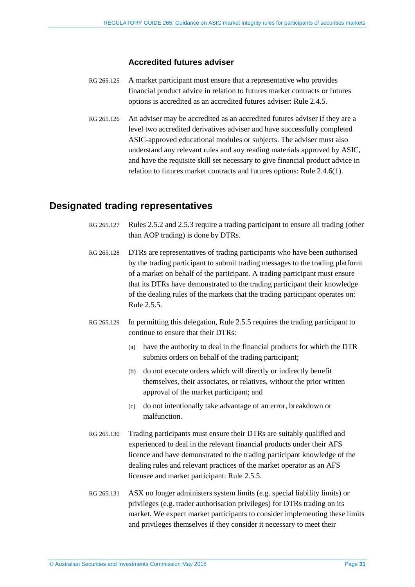### **Accredited futures adviser**

- RG 265.125 A market participant must ensure that a representative who provides financial product advice in relation to futures market contracts or futures options is accredited as an accredited futures adviser: Rule 2.4.5.
- RG 265.126 An adviser may be accredited as an accredited futures adviser if they are a level two accredited derivatives adviser and have successfully completed ASIC-approved educational modules or subjects. The adviser must also understand any relevant rules and any reading materials approved by ASIC, and have the requisite skill set necessary to give financial product advice in relation to futures market contracts and futures options: Rule 2.4.6(1).

## <span id="page-30-0"></span>**Designated trading representatives**

- RG 265.127 Rules 2.5.2 and 2.5.3 require a trading participant to ensure all trading (other than AOP trading) is done by DTRs.
- RG 265.128 DTRs are representatives of trading participants who have been authorised by the trading participant to submit trading messages to the trading platform of a market on behalf of the participant. A trading participant must ensure that its DTRs have demonstrated to the trading participant their knowledge of the dealing rules of the markets that the trading participant operates on: Rule 2.5.5.
- RG 265.129 In permitting this delegation, Rule 2.5.5 requires the trading participant to continue to ensure that their DTRs:
	- (a) have the authority to deal in the financial products for which the DTR submits orders on behalf of the trading participant;
	- (b) do not execute orders which will directly or indirectly benefit themselves, their associates, or relatives, without the prior written approval of the market participant; and
	- (c) do not intentionally take advantage of an error, breakdown or malfunction.
- RG 265.130 Trading participants must ensure their DTRs are suitably qualified and experienced to deal in the relevant financial products under their AFS licence and have demonstrated to the trading participant knowledge of the dealing rules and relevant practices of the market operator as an AFS licensee and market participant: Rule 2.5.5.
- RG 265.131 ASX no longer administers system limits (e.g. special liability limits) or privileges (e.g. trader authorisation privileges) for DTRs trading on its market. We expect market participants to consider implementing these limits and privileges themselves if they consider it necessary to meet their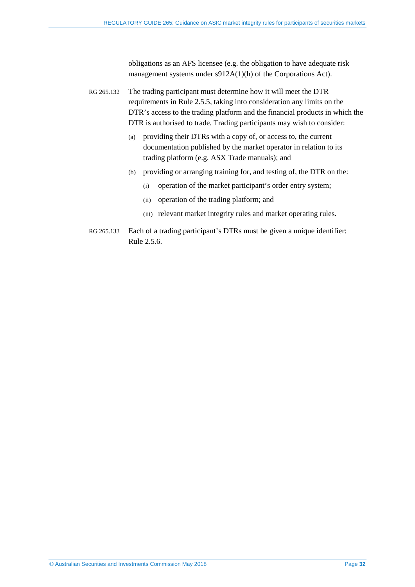obligations as an AFS licensee (e.g. the obligation to have adequate risk management systems under s912A(1)(h) of the Corporations Act).

RG 265.132 The trading participant must determine how it will meet the DTR requirements in Rule 2.5.5, taking into consideration any limits on the DTR's access to the trading platform and the financial products in which the DTR is authorised to trade. Trading participants may wish to consider:

- (a) providing their DTRs with a copy of, or access to, the current documentation published by the market operator in relation to its trading platform (e.g. ASX Trade manuals); and
- (b) providing or arranging training for, and testing of, the DTR on the:
	- (i) operation of the market participant's order entry system;
	- (ii) operation of the trading platform; and
	- (iii) relevant market integrity rules and market operating rules.
- RG 265.133 Each of a trading participant's DTRs must be given a unique identifier: Rule 2.5.6.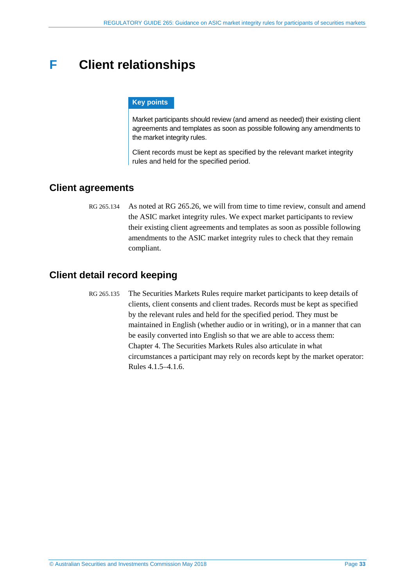# <span id="page-32-0"></span>**F Client relationships**

### **Key points**

Market participants should review (and amend as needed) their existing client agreements and templates as soon as possible following any amendments to the market integrity rules.

Client records must be kept as specified by the relevant market integrity rules and held for the specified period.

## <span id="page-32-1"></span>**Client agreements**

RG 265.134 As noted at [RG 265.26,](#page-10-2) we will from time to time review, consult and amend the ASIC market integrity rules. We expect market participants to review their existing client agreements and templates as soon as possible following amendments to the ASIC market integrity rules to check that they remain compliant.

# <span id="page-32-2"></span>**Client detail record keeping**

RG 265.135 The Securities Markets Rules require market participants to keep details of clients, client consents and client trades. Records must be kept as specified by the relevant rules and held for the specified period. They must be maintained in English (whether audio or in writing), or in a manner that can be easily converted into English so that we are able to access them: Chapter 4. The Securities Markets Rules also articulate in what circumstances a participant may rely on records kept by the market operator: Rules 4.1.5–4.1.6.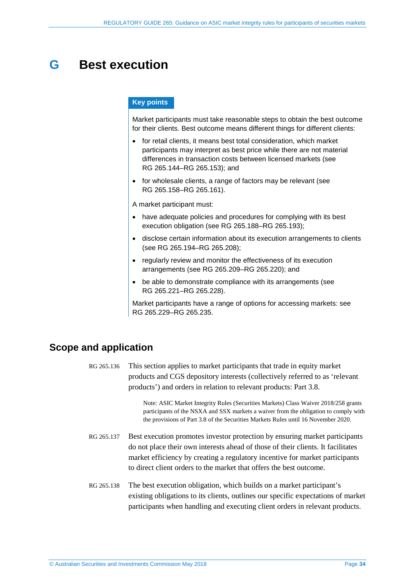# <span id="page-33-0"></span>**G Best execution**

### **Key points**

Market participants must take reasonable steps to obtain the best outcome for their clients. Best outcome means different things for different clients:

- for retail clients, it means best total consideration, which market participants may interpret as best price while there are not material differences in transaction costs between licensed markets (see RG [265.144–](#page-35-0)RG [265.153\)](#page-37-0); and
- for wholesale clients, a range of factors may be relevant (see RG [265.158–](#page-38-0)RG [265.161\)](#page-39-0).

A market participant must:

- have adequate policies and procedures for complying with its best execution obligation (see RG [265.188–](#page-44-1)RG [265.193\)](#page-47-1);
- disclose certain information about its execution arrangements to clients (see RG [265.194–](#page-47-2)RG [265.208\)](#page-51-1);
- regularly review and monitor the effectiveness of its execution arrangements (see RG [265.209–](#page-51-2)RG [265.220\)](#page-54-1); and
- be able to demonstrate compliance with its arrangements (see RG [265.221–](#page-54-2)RG [265.228\)](#page-55-1).

Market participants have a range of options for accessing markets: see RG [265.229–](#page-55-2)RG [265.235.](#page-57-0)

# <span id="page-33-1"></span>**Scope and application**

RG 265.136 This section applies to market participants that trade in equity market products and CGS depository interests (collectively referred to as 'relevant products') and orders in relation to relevant products: Part 3.8.

> Note: ASIC Market Integrity Rules (Securities Markets) Class Waiver 2018/258 grants participants of the NSXA and SSX markets a waiver from the obligation to comply with the provisions of Part 3.8 of the Securities Markets Rules until 16 November 2020.

- RG 265.137 Best execution promotes investor protection by ensuring market participants do not place their own interests ahead of those of their clients. It facilitates market efficiency by creating a regulatory incentive for market participants to direct client orders to the market that offers the best outcome.
- RG 265.138 The best execution obligation, which builds on a market participant's existing obligations to its clients, outlines our specific expectations of market participants when handling and executing client orders in relevant products.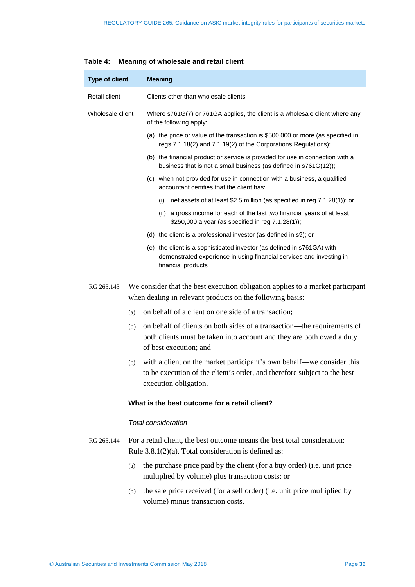| <b>Type of client</b> | <b>Meaning</b>                                                                                                                                                       |
|-----------------------|----------------------------------------------------------------------------------------------------------------------------------------------------------------------|
| Retail client         | Clients other than wholesale clients                                                                                                                                 |
| Wholesale client      | Where s761G(7) or 761GA applies, the client is a wholesale client where any<br>of the following apply:                                                               |
|                       | (a) the price or value of the transaction is \$500,000 or more (as specified in<br>regs $7.1.18(2)$ and $7.1.19(2)$ of the Corporations Regulations);                |
|                       | (b) the financial product or service is provided for use in connection with a<br>business that is not a small business (as defined in $s761G(12)$ );                 |
|                       | (c) when not provided for use in connection with a business, a qualified<br>accountant certifies that the client has:                                                |
|                       | net assets of at least \$2.5 million (as specified in reg 7.1.28(1)); or<br>(i)                                                                                      |
|                       | a gross income for each of the last two financial years of at least<br>(ii)<br>\$250,000 a year (as specified in reg 7.1.28(1));                                     |
|                       | (d) the client is a professional investor (as defined in s9); or                                                                                                     |
|                       | (e) the client is a sophisticated investor (as defined in s761GA) with<br>demonstrated experience in using financial services and investing in<br>financial products |
|                       |                                                                                                                                                                      |

|  | Table 4: Meaning of wholesale and retail client |
|--|-------------------------------------------------|
|--|-------------------------------------------------|

RG 265.143 We consider that the best execution obligation applies to a market participant when dealing in relevant products on the following basis:

- (a) on behalf of a client on one side of a transaction;
- (b) on behalf of clients on both sides of a transaction—the requirements of both clients must be taken into account and they are both owed a duty of best execution; and
- (c) with a client on the market participant's own behalf—we consider this to be execution of the client's order, and therefore subject to the best execution obligation.

#### **What is the best outcome for a retail client?**

#### *Total consideration*

- <span id="page-35-0"></span>RG 265.144 For a retail client, the best outcome means the best total consideration: Rule 3.8.1(2)(a). Total consideration is defined as:
	- (a) the purchase price paid by the client (for a buy order) (i.e. unit price multiplied by volume) plus transaction costs; or
	- (b) the sale price received (for a sell order) (i.e. unit price multiplied by volume) minus transaction costs.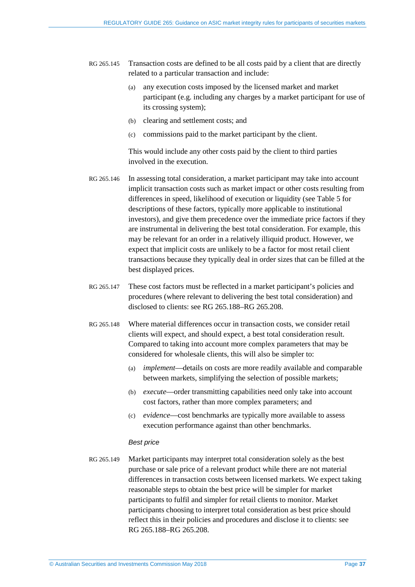- RG 265.145 Transaction costs are defined to be all costs paid by a client that are directly related to a particular transaction and include:
	- (a) any execution costs imposed by the licensed market and market participant (e.g. including any charges by a market participant for use of its crossing system);
	- (b) clearing and settlement costs; and
	- (c) commissions paid to the market participant by the client.

This would include any other costs paid by the client to third parties involved in the execution.

- RG 265.146 In assessing total consideration, a market participant may take into account implicit transaction costs such as market impact or other costs resulting from differences in speed, likelihood of execution or liquidity (see [Table 5](#page-39-0) for descriptions of these factors, typically more applicable to institutional investors), and give them precedence over the immediate price factors if they are instrumental in delivering the best total consideration. For example, this may be relevant for an order in a relatively illiquid product. However, we expect that implicit costs are unlikely to be a factor for most retail client transactions because they typically deal in order sizes that can be filled at the best displayed prices.
- RG 265.147 These cost factors must be reflected in a market participant's policies and procedures (where relevant to delivering the best total consideration) and disclosed to clients: see [RG 265.188–](#page-44-0)[RG 265.208.](#page-51-0)
- RG 265.148 Where material differences occur in transaction costs, we consider retail clients will expect, and should expect, a best total consideration result. Compared to taking into account more complex parameters that may be considered for wholesale clients, this will also be simpler to:
	- (a) *implement*—details on costs are more readily available and comparable between markets, simplifying the selection of possible markets;
	- (b) *execute*—order transmitting capabilities need only take into account cost factors, rather than more complex parameters; and
	- (c) *evidence*—cost benchmarks are typically more available to assess execution performance against than other benchmarks.

#### *Best price*

RG 265.149 Market participants may interpret total consideration solely as the best purchase or sale price of a relevant product while there are not material differences in transaction costs between licensed markets. We expect taking reasonable steps to obtain the best price will be simpler for market participants to fulfil and simpler for retail clients to monitor. Market participants choosing to interpret total consideration as best price should reflect this in their policies and procedures and disclose it to clients: see [RG 265.188](#page-44-0)[–RG 265.208.](#page-51-0)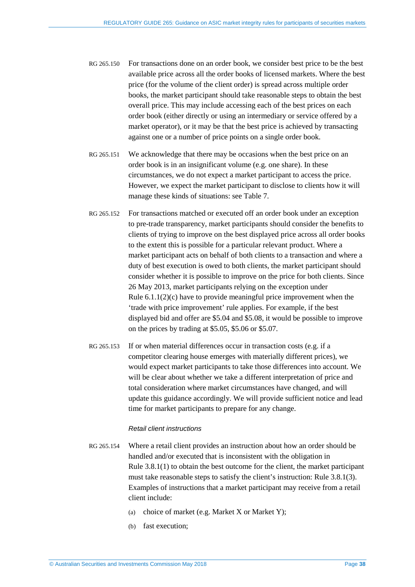- RG 265.150 For transactions done on an order book, we consider best price to be the best available price across all the order books of licensed markets. Where the best price (for the volume of the client order) is spread across multiple order books, the market participant should take reasonable steps to obtain the best overall price. This may include accessing each of the best prices on each order book (either directly or using an intermediary or service offered by a market operator), or it may be that the best price is achieved by transacting against one or a number of price points on a single order book.
- RG 265.151 We acknowledge that there may be occasions when the best price on an order book is in an insignificant volume (e.g. one share). In these circumstances, we do not expect a market participant to access the price. However, we expect the market participant to disclose to clients how it will manage these kinds of situations: see [Table 7.](#page-48-0)
- RG 265.152 For transactions matched or executed off an order book under an exception to pre-trade transparency, market participants should consider the benefits to clients of trying to improve on the best displayed price across all order books to the extent this is possible for a particular relevant product. Where a market participant acts on behalf of both clients to a transaction and where a duty of best execution is owed to both clients, the market participant should consider whether it is possible to improve on the price for both clients. Since 26 May 2013, market participants relying on the exception under Rule  $6.1.1(2)(c)$  have to provide meaningful price improvement when the 'trade with price improvement' rule applies. For example, if the best displayed bid and offer are \$5.04 and \$5.08, it would be possible to improve on the prices by trading at \$5.05, \$5.06 or \$5.07.
- RG 265.153 If or when material differences occur in transaction costs (e.g. if a competitor clearing house emerges with materially different prices), we would expect market participants to take those differences into account. We will be clear about whether we take a different interpretation of price and total consideration where market circumstances have changed, and will update this guidance accordingly. We will provide sufficient notice and lead time for market participants to prepare for any change.

#### *Retail client instructions*

- RG 265.154 Where a retail client provides an instruction about how an order should be handled and/or executed that is inconsistent with the obligation in Rule 3.8.1(1) to obtain the best outcome for the client, the market participant must take reasonable steps to satisfy the client's instruction: Rule 3.8.1(3). Examples of instructions that a market participant may receive from a retail client include:
	- (a) choice of market (e.g. Market X or Market Y);
	- (b) fast execution;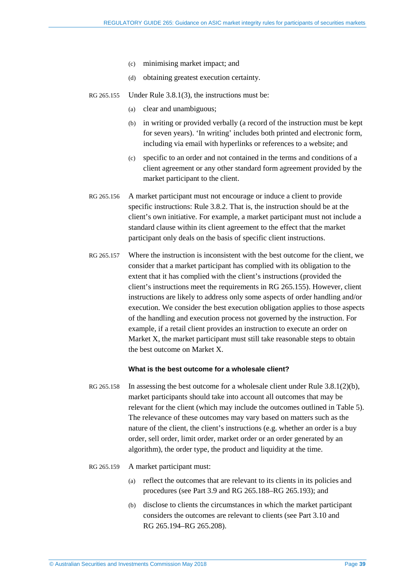- (c) minimising market impact; and
- (d) obtaining greatest execution certainty.
- <span id="page-38-0"></span>RG 265.155 Under Rule 3.8.1(3), the instructions must be:
	- (a) clear and unambiguous;
	- (b) in writing or provided verbally (a record of the instruction must be kept for seven years). 'In writing' includes both printed and electronic form, including via email with hyperlinks or references to a website; and
	- (c) specific to an order and not contained in the terms and conditions of a client agreement or any other standard form agreement provided by the market participant to the client.
- RG 265.156 A market participant must not encourage or induce a client to provide specific instructions: Rule 3.8.2. That is, the instruction should be at the client's own initiative. For example, a market participant must not include a standard clause within its client agreement to the effect that the market participant only deals on the basis of specific client instructions.
- RG 265.157 Where the instruction is inconsistent with the best outcome for the client, we consider that a market participant has complied with its obligation to the extent that it has complied with the client's instructions (provided the client's instructions meet the requirements in [RG 265.155\)](#page-38-0). However, client instructions are likely to address only some aspects of order handling and/or execution. We consider the best execution obligation applies to those aspects of the handling and execution process not governed by the instruction. For example, if a retail client provides an instruction to execute an order on Market X, the market participant must still take reasonable steps to obtain the best outcome on Market X.

#### **What is the best outcome for a wholesale client?**

RG 265.158 In assessing the best outcome for a wholesale client under Rule  $3.8.1(2)(b)$ , market participants should take into account all outcomes that may be relevant for the client (which may include the outcomes outlined i[n Table 5\)](#page-39-0). The relevance of these outcomes may vary based on matters such as the nature of the client, the client's instructions (e.g. whether an order is a buy order, sell order, limit order, market order or an order generated by an algorithm), the order type, the product and liquidity at the time.

#### RG 265.159 A market participant must:

- (a) reflect the outcomes that are relevant to its clients in its policies and procedures (see Part 3.9 and [RG 265.188–](#page-44-0)[RG 265.193\)](#page-47-0); and
- (b) disclose to clients the circumstances in which the market participant considers the outcomes are relevant to clients (see Part 3.10 and [RG 265.194–](#page-47-1)[RG 265.208\)](#page-51-0).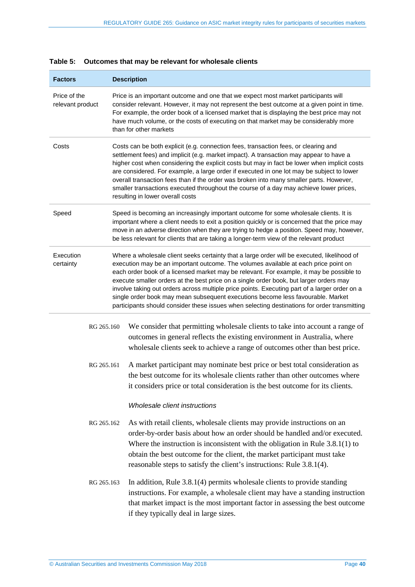| <b>Factors</b>                   | <b>Description</b>                                                                                                                                                                                                                                                                                                                                                                                                                                                                                                                                                                                                                                           |
|----------------------------------|--------------------------------------------------------------------------------------------------------------------------------------------------------------------------------------------------------------------------------------------------------------------------------------------------------------------------------------------------------------------------------------------------------------------------------------------------------------------------------------------------------------------------------------------------------------------------------------------------------------------------------------------------------------|
| Price of the<br>relevant product | Price is an important outcome and one that we expect most market participants will<br>consider relevant. However, it may not represent the best outcome at a given point in time.<br>For example, the order book of a licensed market that is displaying the best price may not<br>have much volume, or the costs of executing on that market may be considerably more<br>than for other markets                                                                                                                                                                                                                                                             |
| Costs                            | Costs can be both explicit (e.g. connection fees, transaction fees, or clearing and<br>settlement fees) and implicit (e.g. market impact). A transaction may appear to have a<br>higher cost when considering the explicit costs but may in fact be lower when implicit costs<br>are considered. For example, a large order if executed in one lot may be subject to lower<br>overall transaction fees than if the order was broken into many smaller parts. However,<br>smaller transactions executed throughout the course of a day may achieve lower prices,<br>resulting in lower overall costs                                                          |
| Speed                            | Speed is becoming an increasingly important outcome for some wholesale clients. It is<br>important where a client needs to exit a position quickly or is concerned that the price may<br>move in an adverse direction when they are trying to hedge a position. Speed may, however,<br>be less relevant for clients that are taking a longer-term view of the relevant product                                                                                                                                                                                                                                                                               |
| Execution<br>certainty           | Where a wholesale client seeks certainty that a large order will be executed, likelihood of<br>execution may be an important outcome. The volumes available at each price point on<br>each order book of a licensed market may be relevant. For example, it may be possible to<br>execute smaller orders at the best price on a single order book, but larger orders may<br>involve taking out orders across multiple price points. Executing part of a larger order on a<br>single order book may mean subsequent executions become less favourable. Market<br>participants should consider these issues when selecting destinations for order transmitting |
| RG 265.160                       | We consider that permitting wholesale clients to take into account a range of<br>outcomes in general reflects the existing environment in Australia, where<br>wholesale clients seek to achieve a range of outcomes other than best price.                                                                                                                                                                                                                                                                                                                                                                                                                   |
| RG 265.161                       | A market participant may nominate best price or best total consideration as<br>the best outcome for its wholesale clients rather than other outcomes where<br>it considers price or total consideration is the best outcome for its clients.                                                                                                                                                                                                                                                                                                                                                                                                                 |
|                                  | Wholesale client instructions                                                                                                                                                                                                                                                                                                                                                                                                                                                                                                                                                                                                                                |
| RG 265.162                       | As with retail clients, wholesale clients may provide instructions on an<br>order-by-order basis about how an order should be handled and/or executed.<br>Where the instruction is inconsistent with the obligation in Rule $3.8.1(1)$ to<br>obtain the best outcome for the client, the market participant must take<br>reasonable steps to satisfy the client's instructions: Rule 3.8.1(4).                                                                                                                                                                                                                                                               |
| RG 265.163                       | In addition, Rule 3.8.1(4) permits wholesale clients to provide standing<br>instructions. For example, a wholesale client may have a standing instruction<br>that market impact is the most important factor in assessing the best outcome<br>if they typically deal in large sizes.                                                                                                                                                                                                                                                                                                                                                                         |

<span id="page-39-0"></span>

|  |  |  |  |  | Table 5: Outcomes that may be relevant for wholesale clients |
|--|--|--|--|--|--------------------------------------------------------------|
|--|--|--|--|--|--------------------------------------------------------------|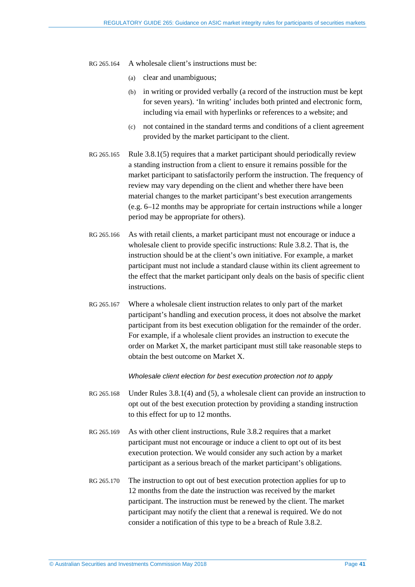<span id="page-40-0"></span>RG 265.164 A wholesale client's instructions must be:

- (a) clear and unambiguous;
- (b) in writing or provided verbally (a record of the instruction must be kept for seven years). 'In writing' includes both printed and electronic form, including via email with hyperlinks or references to a website; and
- (c) not contained in the standard terms and conditions of a client agreement provided by the market participant to the client.
- RG 265.165 Rule 3.8.1(5) requires that a market participant should periodically review a standing instruction from a client to ensure it remains possible for the market participant to satisfactorily perform the instruction. The frequency of review may vary depending on the client and whether there have been material changes to the market participant's best execution arrangements (e.g. 6–12 months may be appropriate for certain instructions while a longer period may be appropriate for others).
- RG 265.166 As with retail clients, a market participant must not encourage or induce a wholesale client to provide specific instructions: Rule 3.8.2. That is, the instruction should be at the client's own initiative. For example, a market participant must not include a standard clause within its client agreement to the effect that the market participant only deals on the basis of specific client instructions.
- RG 265.167 Where a wholesale client instruction relates to only part of the market participant's handling and execution process, it does not absolve the market participant from its best execution obligation for the remainder of the order. For example, if a wholesale client provides an instruction to execute the order on Market X, the market participant must still take reasonable steps to obtain the best outcome on Market X.

*Wholesale client election for best execution protection not to apply*

- RG 265.168 Under Rules 3.8.1(4) and (5), a wholesale client can provide an instruction to opt out of the best execution protection by providing a standing instruction to this effect for up to 12 months.
- RG 265.169 As with other client instructions, Rule 3.8.2 requires that a market participant must not encourage or induce a client to opt out of its best execution protection. We would consider any such action by a market participant as a serious breach of the market participant's obligations.
- RG 265.170 The instruction to opt out of best execution protection applies for up to 12 months from the date the instruction was received by the market participant. The instruction must be renewed by the client. The market participant may notify the client that a renewal is required. We do not consider a notification of this type to be a breach of Rule 3.8.2.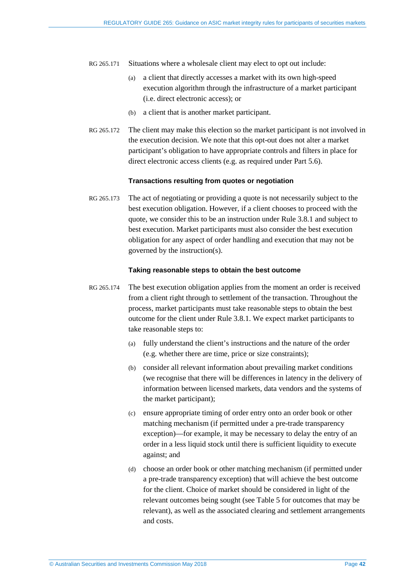- RG 265.171 Situations where a wholesale client may elect to opt out include:
	- (a) a client that directly accesses a market with its own high-speed execution algorithm through the infrastructure of a market participant (i.e. direct electronic access); or
	- (b) a client that is another market participant.
- RG 265.172 The client may make this election so the market participant is not involved in the execution decision. We note that this opt-out does not alter a market participant's obligation to have appropriate controls and filters in place for direct electronic access clients (e.g. as required under Part 5.6).

#### **Transactions resulting from quotes or negotiation**

RG 265.173 The act of negotiating or providing a quote is not necessarily subject to the best execution obligation. However, if a client chooses to proceed with the quote, we consider this to be an instruction under Rule 3.8.1 and subject to best execution. Market participants must also consider the best execution obligation for any aspect of order handling and execution that may not be governed by the instruction(s).

#### **Taking reasonable steps to obtain the best outcome**

- RG 265.174 The best execution obligation applies from the moment an order is received from a client right through to settlement of the transaction. Throughout the process, market participants must take reasonable steps to obtain the best outcome for the client under Rule 3.8.1. We expect market participants to take reasonable steps to:
	- (a) fully understand the client's instructions and the nature of the order (e.g. whether there are time, price or size constraints);
	- (b) consider all relevant information about prevailing market conditions (we recognise that there will be differences in latency in the delivery of information between licensed markets, data vendors and the systems of the market participant);
	- (c) ensure appropriate timing of order entry onto an order book or other matching mechanism (if permitted under a pre-trade transparency exception)—for example, it may be necessary to delay the entry of an order in a less liquid stock until there is sufficient liquidity to execute against; and
	- (d) choose an order book or other matching mechanism (if permitted under a pre-trade transparency exception) that will achieve the best outcome for the client. Choice of market should be considered in light of the relevant outcomes being sought (see [Table 5](#page-39-0) for outcomes that may be relevant), as well as the associated clearing and settlement arrangements and costs.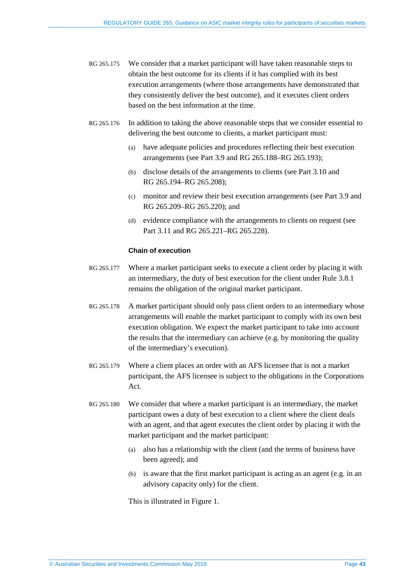- RG 265.175 We consider that a market participant will have taken reasonable steps to obtain the best outcome for its clients if it has complied with its best execution arrangements (where those arrangements have demonstrated that they consistently deliver the best outcome), and it executes client orders based on the best information at the time.
- RG 265.176 In addition to taking the above reasonable steps that we consider essential to delivering the best outcome to clients, a market participant must:
	- (a) have adequate policies and procedures reflecting their best execution arrangements (see Part 3.9 and [RG 265.188–](#page-44-0)[RG 265.193\)](#page-47-0);
	- (b) disclose details of the arrangements to clients (see Part 3.10 and [RG 265.194–](#page-47-1)[RG 265.208\)](#page-51-0);
	- (c) monitor and review their best execution arrangements (see Part 3.9 and [RG 265.209–](#page-51-1)[RG 265.220\)](#page-54-0); and
	- (d) evidence compliance with the arrangements to clients on request (see Part 3.11 an[d RG 265.221–](#page-54-1)[RG 265.228\)](#page-55-0).

#### **Chain of execution**

- RG 265.177 Where a market participant seeks to execute a client order by placing it with an intermediary, the duty of best execution for the client under Rule 3.8.1 remains the obligation of the original market participant.
- RG 265.178 A market participant should only pass client orders to an intermediary whose arrangements will enable the market participant to comply with its own best execution obligation. We expect the market participant to take into account the results that the intermediary can achieve (e.g. by monitoring the quality of the intermediary's execution).
- RG 265.179 Where a client places an order with an AFS licensee that is not a market participant, the AFS licensee is subject to the obligations in the Corporations Act.
- <span id="page-42-0"></span>RG 265.180 We consider that where a market participant is an intermediary, the market participant owes a duty of best execution to a client where the client deals with an agent, and that agent executes the client order by placing it with the market participant and the market participant:
	- (a) also has a relationship with the client (and the terms of business have been agreed); and
	- (b) is aware that the first market participant is acting as an agent (e.g. in an advisory capacity only) for the client.

This is illustrated i[n Figure 1.](#page-43-0)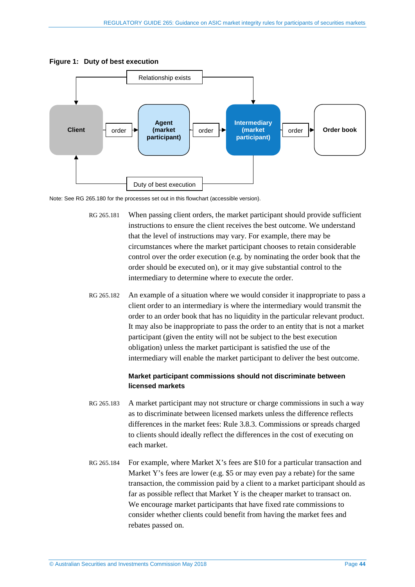<span id="page-43-0"></span>



Note: See RG [265.180](#page-42-0) for the processes set out in this flowchart (accessible version).

- RG 265.181 When passing client orders, the market participant should provide sufficient instructions to ensure the client receives the best outcome. We understand that the level of instructions may vary. For example, there may be circumstances where the market participant chooses to retain considerable control over the order execution (e.g. by nominating the order book that the order should be executed on), or it may give substantial control to the intermediary to determine where to execute the order.
- RG 265.182 An example of a situation where we would consider it inappropriate to pass a client order to an intermediary is where the intermediary would transmit the order to an order book that has no liquidity in the particular relevant product. It may also be inappropriate to pass the order to an entity that is not a market participant (given the entity will not be subject to the best execution obligation) unless the market participant is satisfied the use of the intermediary will enable the market participant to deliver the best outcome.

#### **Market participant commissions should not discriminate between licensed markets**

- RG 265.183 A market participant may not structure or charge commissions in such a way as to discriminate between licensed markets unless the difference reflects differences in the market fees: Rule 3.8.3. Commissions or spreads charged to clients should ideally reflect the differences in the cost of executing on each market.
- RG 265.184 For example, where Market X's fees are \$10 for a particular transaction and Market Y's fees are lower (e.g. \$5 or may even pay a rebate) for the same transaction, the commission paid by a client to a market participant should as far as possible reflect that Market Y is the cheaper market to transact on. We encourage market participants that have fixed rate commissions to consider whether clients could benefit from having the market fees and rebates passed on.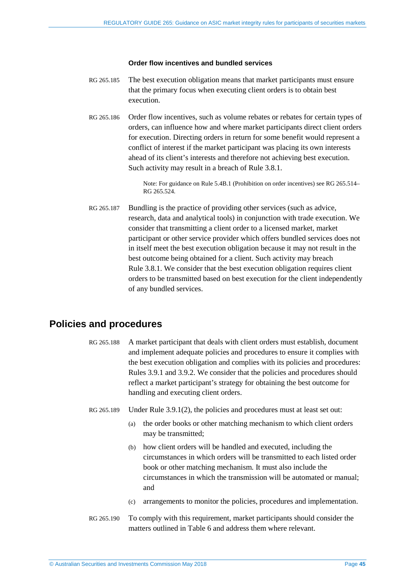#### **Order flow incentives and bundled services**

- RG 265.185 The best execution obligation means that market participants must ensure that the primary focus when executing client orders is to obtain best execution.
- RG 265.186 Order flow incentives, such as volume rebates or rebates for certain types of orders, can influence how and where market participants direct client orders for execution. Directing orders in return for some benefit would represent a conflict of interest if the market participant was placing its own interests ahead of its client's interests and therefore not achieving best execution. Such activity may result in a breach of Rule 3.8.1.

Note: For guidance on Rule 5.4B.1 (Prohibition on order incentives) see [RG 265.514–](#page-124-0) [RG 265.524.](#page-126-0) 

RG 265.187 Bundling is the practice of providing other services (such as advice, research, data and analytical tools) in conjunction with trade execution. We consider that transmitting a client order to a licensed market, market participant or other service provider which offers bundled services does not in itself meet the best execution obligation because it may not result in the best outcome being obtained for a client. Such activity may breach Rule 3.8.1. We consider that the best execution obligation requires client orders to be transmitted based on best execution for the client independently of any bundled services.

## <span id="page-44-0"></span>**Policies and procedures**

- RG 265.188 A market participant that deals with client orders must establish, document and implement adequate policies and procedures to ensure it complies with the best execution obligation and complies with its policies and procedures: Rules 3.9.1 and 3.9.2. We consider that the policies and procedures should reflect a market participant's strategy for obtaining the best outcome for handling and executing client orders.
- RG 265.189 Under Rule 3.9.1(2), the policies and procedures must at least set out:
	- (a) the order books or other matching mechanism to which client orders may be transmitted;
	- (b) how client orders will be handled and executed, including the circumstances in which orders will be transmitted to each listed order book or other matching mechanism. It must also include the circumstances in which the transmission will be automated or manual; and
	- (c) arrangements to monitor the policies, procedures and implementation.
- RG 265.190 To comply with this requirement, market participants should consider the matters outlined in [Table 6](#page-45-0) and address them where relevant.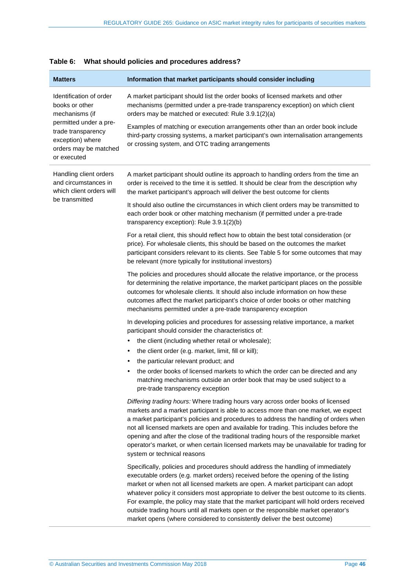| <b>Matters</b>                                                                                                                                                          | Information that market participants should consider including                                                                                                                                                                                                                                                                                                                                                                                                                                                                                                                                                     |
|-------------------------------------------------------------------------------------------------------------------------------------------------------------------------|--------------------------------------------------------------------------------------------------------------------------------------------------------------------------------------------------------------------------------------------------------------------------------------------------------------------------------------------------------------------------------------------------------------------------------------------------------------------------------------------------------------------------------------------------------------------------------------------------------------------|
| Identification of order<br>books or other<br>mechanisms (if<br>permitted under a pre-<br>trade transparency<br>exception) where<br>orders may be matched<br>or executed | A market participant should list the order books of licensed markets and other<br>mechanisms (permitted under a pre-trade transparency exception) on which client<br>orders may be matched or executed: Rule 3.9.1(2)(a)                                                                                                                                                                                                                                                                                                                                                                                           |
|                                                                                                                                                                         | Examples of matching or execution arrangements other than an order book include<br>third-party crossing systems, a market participant's own internalisation arrangements<br>or crossing system, and OTC trading arrangements                                                                                                                                                                                                                                                                                                                                                                                       |
| Handling client orders<br>and circumstances in<br>which client orders will<br>be transmitted                                                                            | A market participant should outline its approach to handling orders from the time an<br>order is received to the time it is settled. It should be clear from the description why<br>the market participant's approach will deliver the best outcome for clients                                                                                                                                                                                                                                                                                                                                                    |
|                                                                                                                                                                         | It should also outline the circumstances in which client orders may be transmitted to<br>each order book or other matching mechanism (if permitted under a pre-trade<br>transparency exception): Rule 3.9.1(2)(b)                                                                                                                                                                                                                                                                                                                                                                                                  |
|                                                                                                                                                                         | For a retail client, this should reflect how to obtain the best total consideration (or<br>price). For wholesale clients, this should be based on the outcomes the market<br>participant considers relevant to its clients. See Table 5 for some outcomes that may<br>be relevant (more typically for institutional investors)                                                                                                                                                                                                                                                                                     |
|                                                                                                                                                                         | The policies and procedures should allocate the relative importance, or the process<br>for determining the relative importance, the market participant places on the possible<br>outcomes for wholesale clients. It should also include information on how these<br>outcomes affect the market participant's choice of order books or other matching<br>mechanisms permitted under a pre-trade transparency exception                                                                                                                                                                                              |
|                                                                                                                                                                         | In developing policies and procedures for assessing relative importance, a market<br>participant should consider the characteristics of:<br>the client (including whether retail or wholesale);<br>the client order (e.g. market, limit, fill or kill);<br>٠<br>the particular relevant product; and<br>$\bullet$<br>the order books of licensed markets to which the order can be directed and any<br>$\bullet$<br>matching mechanisms outside an order book that may be used subject to a<br>pre-trade transparency exception                                                                                    |
|                                                                                                                                                                         | Differing trading hours: Where trading hours vary across order books of licensed<br>markets and a market participant is able to access more than one market, we expect<br>a market participant's policies and procedures to address the handling of orders when<br>not all licensed markets are open and available for trading. This includes before the<br>opening and after the close of the traditional trading hours of the responsible market<br>operator's market, or when certain licensed markets may be unavailable for trading for<br>system or technical reasons                                        |
|                                                                                                                                                                         | Specifically, policies and procedures should address the handling of immediately<br>executable orders (e.g. market orders) received before the opening of the listing<br>market or when not all licensed markets are open. A market participant can adopt<br>whatever policy it considers most appropriate to deliver the best outcome to its clients.<br>For example, the policy may state that the market participant will hold orders received<br>outside trading hours until all markets open or the responsible market operator's<br>market opens (where considered to consistently deliver the best outcome) |

## <span id="page-45-0"></span>**Table 6: What should policies and procedures address?**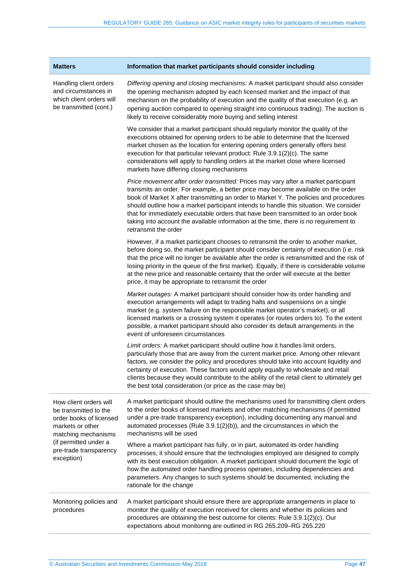| <b>Matters</b>                                                                                                                                                                         | Information that market participants should consider including                                                                                                                                                                                                                                                                                                                                                                                                                                                                                                   |
|----------------------------------------------------------------------------------------------------------------------------------------------------------------------------------------|------------------------------------------------------------------------------------------------------------------------------------------------------------------------------------------------------------------------------------------------------------------------------------------------------------------------------------------------------------------------------------------------------------------------------------------------------------------------------------------------------------------------------------------------------------------|
| Handling client orders<br>and circumstances in<br>which client orders will<br>be transmitted (cont.)                                                                                   | Differing opening and closing mechanisms: A market participant should also consider<br>the opening mechanism adopted by each licensed market and the impact of that<br>mechanism on the probability of execution and the quality of that execution (e.g. an<br>opening auction compared to opening straight into continuous trading). The auction is<br>likely to receive considerably more buying and selling interest                                                                                                                                          |
|                                                                                                                                                                                        | We consider that a market participant should regularly monitor the quality of the<br>executions obtained for opening orders to be able to determine that the licensed<br>market chosen as the location for entering opening orders generally offers best<br>execution for that particular relevant product: Rule 3.9.1(2)(c). The same<br>considerations will apply to handling orders at the market close where licensed<br>markets have differing closing mechanisms                                                                                           |
|                                                                                                                                                                                        | Price movement after order transmitted: Prices may vary after a market participant<br>transmits an order. For example, a better price may become available on the order<br>book of Market X after transmitting an order to Market Y. The policies and procedures<br>should outline how a market participant intends to handle this situation. We consider<br>that for immediately executable orders that have been transmitted to an order book<br>taking into account the available information at the time, there is no requirement to<br>retransmit the order |
|                                                                                                                                                                                        | However, if a market participant chooses to retransmit the order to another market,<br>before doing so, the market participant should consider certainty of execution (i.e. risk<br>that the price will no longer be available after the order is retransmitted and the risk of<br>losing priority in the queue of the first market). Equally, if there is considerable volume<br>at the new price and reasonable certainty that the order will execute at the better<br>price, it may be appropriate to retransmit the order                                    |
|                                                                                                                                                                                        | Market outages: A market participant should consider how its order handling and<br>execution arrangements will adapt to trading halts and suspensions on a single<br>market (e.g. system failure on the responsible market operator's market), or all<br>licensed markets or a crossing system it operates (or routes orders to). To the extent<br>possible, a market participant should also consider its default arrangements in the<br>event of unforeseen circumstances                                                                                      |
|                                                                                                                                                                                        | Limit orders: A market participant should outline how it handles limit orders,<br>particularly those that are away from the current market price. Among other relevant<br>factors, we consider the policy and procedures should take into account liquidity and<br>certainty of execution. These factors would apply equally to wholesale and retail<br>clients because they would contribute to the ability of the retail client to ultimately get<br>the best total consideration (or price as the case may be)                                                |
| How client orders will<br>be transmitted to the<br>order books of licensed<br>markets or other<br>matching mechanisms<br>(if permitted under a<br>pre-trade transparency<br>exception) | A market participant should outline the mechanisms used for transmitting client orders<br>to the order books of licensed markets and other matching mechanisms (if permitted<br>under a pre-trade transparency exception), including documenting any manual and<br>automated processes (Rule 3.9.1(2)(b)), and the circumstances in which the<br>mechanisms will be used                                                                                                                                                                                         |
|                                                                                                                                                                                        | Where a market participant has fully, or in part, automated its order handling<br>processes, it should ensure that the technologies employed are designed to comply<br>with its best execution obligation. A market participant should document the logic of<br>how the automated order handling process operates, including dependencies and<br>parameters. Any changes to such systems should be documented, including the<br>rationale for the change                                                                                                         |
| Monitoring policies and<br>procedures                                                                                                                                                  | A market participant should ensure there are appropriate arrangements in place to<br>monitor the quality of execution received for clients and whether its policies and<br>procedures are obtaining the best outcome for clients: Rule 3.9.1(2)(c). Our<br>expectations about monitoring are outlined in RG 265.209-RG 265.220                                                                                                                                                                                                                                   |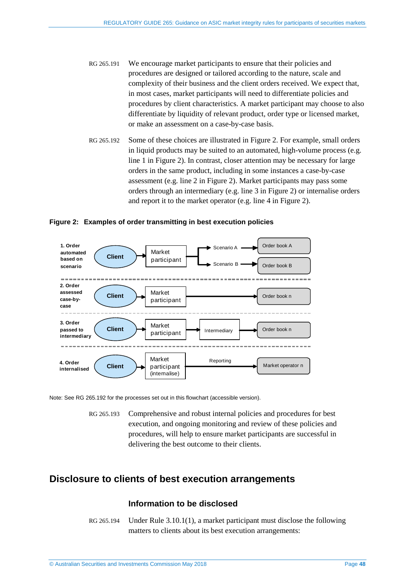- RG 265.191 We encourage market participants to ensure that their policies and procedures are designed or tailored according to the nature, scale and complexity of their business and the client orders received. We expect that, in most cases, market participants will need to differentiate policies and procedures by client characteristics. A market participant may choose to also differentiate by liquidity of relevant product, order type or licensed market, or make an assessment on a case-by-case basis.
- <span id="page-47-3"></span>RG 265.192 Some of these choices are illustrated in [Figure 2.](#page-47-2) For example, small orders in liquid products may be suited to an automated, high-volume process (e.g. line 1 in [Figure 2\)](#page-47-2). In contrast, closer attention may be necessary for large orders in the same product, including in some instances a case-by-case assessment (e.g. line 2 in [Figure 2\)](#page-47-2). Market participants may pass some orders through an intermediary (e.g. line 3 i[n Figure 2\)](#page-47-2) or internalise orders and report it to the market operator (e.g. line 4 in [Figure 2\)](#page-47-2).

<span id="page-47-2"></span>**Figure 2: Examples of order transmitting in best execution policies**



<span id="page-47-0"></span>Note: See RG [265.192](#page-47-3) for the processes set out in this flowchart (accessible version).

RG 265.193 Comprehensive and robust internal policies and procedures for best execution, and ongoing monitoring and review of these policies and procedures, will help to ensure market participants are successful in delivering the best outcome to their clients.

## <span id="page-47-1"></span>**Disclosure to clients of best execution arrangements**

## **Information to be disclosed**

RG 265.194 Under Rule 3.10.1(1), a market participant must disclose the following matters to clients about its best execution arrangements: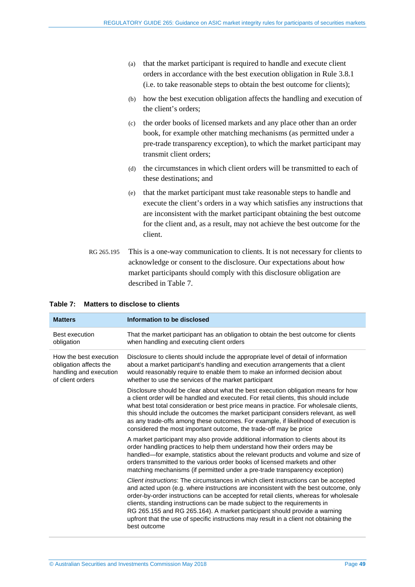- (a) that the market participant is required to handle and execute client orders in accordance with the best execution obligation in Rule 3.8.1 (i.e. to take reasonable steps to obtain the best outcome for clients);
- (b) how the best execution obligation affects the handling and execution of the client's orders;
- (c) the order books of licensed markets and any place other than an order book, for example other matching mechanisms (as permitted under a pre-trade transparency exception), to which the market participant may transmit client orders;
- (d) the circumstances in which client orders will be transmitted to each of these destinations; and
- (e) that the market participant must take reasonable steps to handle and execute the client's orders in a way which satisfies any instructions that are inconsistent with the market participant obtaining the best outcome for the client and, as a result, may not achieve the best outcome for the client.
- RG 265.195 This is a one-way communication to clients. It is not necessary for clients to acknowledge or consent to the disclosure. Our expectations about how market participants should comply with this disclosure obligation are described in [Table 7.](#page-48-0)

| <b>Matters</b>                                                                                 | Information to be disclosed                                                                                                                                                                                                                                                                                                                                                                                                                                                                                                              |
|------------------------------------------------------------------------------------------------|------------------------------------------------------------------------------------------------------------------------------------------------------------------------------------------------------------------------------------------------------------------------------------------------------------------------------------------------------------------------------------------------------------------------------------------------------------------------------------------------------------------------------------------|
| <b>Best execution</b><br>obligation                                                            | That the market participant has an obligation to obtain the best outcome for clients<br>when handling and executing client orders                                                                                                                                                                                                                                                                                                                                                                                                        |
| How the best execution<br>obligation affects the<br>handling and execution<br>of client orders | Disclosure to clients should include the appropriate level of detail of information<br>about a market participant's handling and execution arrangements that a client<br>would reasonably require to enable them to make an informed decision about<br>whether to use the services of the market participant                                                                                                                                                                                                                             |
|                                                                                                | Disclosure should be clear about what the best execution obligation means for how<br>a client order will be handled and executed. For retail clients, this should include<br>what best total consideration or best price means in practice. For wholesale clients,<br>this should include the outcomes the market participant considers relevant, as well<br>as any trade-offs among these outcomes. For example, if likelihood of execution is<br>considered the most important outcome, the trade-off may be price                     |
|                                                                                                | A market participant may also provide additional information to clients about its<br>order handling practices to help them understand how their orders may be<br>handled—for example, statistics about the relevant products and volume and size of<br>orders transmitted to the various order books of licensed markets and other<br>matching mechanisms (if permitted under a pre-trade transparency exception)                                                                                                                        |
|                                                                                                | Client instructions: The circumstances in which client instructions can be accepted<br>and acted upon (e.g. where instructions are inconsistent with the best outcome, only<br>order-by-order instructions can be accepted for retail clients, whereas for wholesale<br>clients, standing instructions can be made subject to the requirements in<br>RG 265.155 and RG 265.164). A market participant should provide a warning<br>upfront that the use of specific instructions may result in a client not obtaining the<br>best outcome |

#### <span id="page-48-0"></span>**Table 7: Matters to disclose to clients**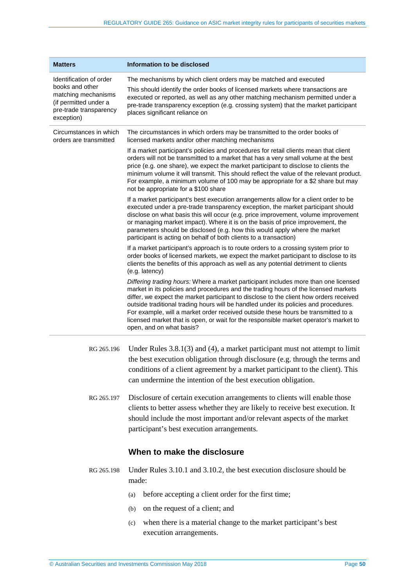| <b>Matters</b>                                                                                                                     | Information to be disclosed                                                                                                                                                                                                                                                                                                                                                                                                                                                                                                                                            |
|------------------------------------------------------------------------------------------------------------------------------------|------------------------------------------------------------------------------------------------------------------------------------------------------------------------------------------------------------------------------------------------------------------------------------------------------------------------------------------------------------------------------------------------------------------------------------------------------------------------------------------------------------------------------------------------------------------------|
| Identification of order<br>books and other<br>matching mechanisms<br>(if permitted under a<br>pre-trade transparency<br>exception) | The mechanisms by which client orders may be matched and executed<br>This should identify the order books of licensed markets where transactions are<br>executed or reported, as well as any other matching mechanism permitted under a<br>pre-trade transparency exception (e.g. crossing system) that the market participant<br>places significant reliance on                                                                                                                                                                                                       |
| Circumstances in which<br>orders are transmitted                                                                                   | The circumstances in which orders may be transmitted to the order books of<br>licensed markets and/or other matching mechanisms                                                                                                                                                                                                                                                                                                                                                                                                                                        |
|                                                                                                                                    | If a market participant's policies and procedures for retail clients mean that client<br>orders will not be transmitted to a market that has a very small volume at the best<br>price (e.g. one share), we expect the market participant to disclose to clients the<br>minimum volume it will transmit. This should reflect the value of the relevant product.<br>For example, a minimum volume of 100 may be appropriate for a \$2 share but may<br>not be appropriate for a \$100 share                                                                              |
|                                                                                                                                    | If a market participant's best execution arrangements allow for a client order to be<br>executed under a pre-trade transparency exception, the market participant should<br>disclose on what basis this will occur (e.g. price improvement, volume improvement<br>or managing market impact). Where it is on the basis of price improvement, the<br>parameters should be disclosed (e.g. how this would apply where the market<br>participant is acting on behalf of both clients to a transaction)                                                                    |
|                                                                                                                                    | If a market participant's approach is to route orders to a crossing system prior to<br>order books of licensed markets, we expect the market participant to disclose to its<br>clients the benefits of this approach as well as any potential detriment to clients<br>(e.g. latency)                                                                                                                                                                                                                                                                                   |
|                                                                                                                                    | Differing trading hours: Where a market participant includes more than one licensed<br>market in its policies and procedures and the trading hours of the licensed markets<br>differ, we expect the market participant to disclose to the client how orders received<br>outside traditional trading hours will be handled under its policies and procedures.<br>For example, will a market order received outside these hours be transmitted to a<br>licensed market that is open, or wait for the responsible market operator's market to<br>open, and on what basis? |

- RG 265.196 Under Rules 3.8.1(3) and (4), a market participant must not attempt to limit the best execution obligation through disclosure (e.g. through the terms and conditions of a client agreement by a market participant to the client). This can undermine the intention of the best execution obligation.
- RG 265.197 Disclosure of certain execution arrangements to clients will enable those clients to better assess whether they are likely to receive best execution. It should include the most important and/or relevant aspects of the market participant's best execution arrangements.

## **When to make the disclosure**

- <span id="page-49-0"></span>RG 265.198 Under Rules 3.10.1 and 3.10.2, the best execution disclosure should be made:
	- (a) before accepting a client order for the first time;
	- (b) on the request of a client; and
	- (c) when there is a material change to the market participant's best execution arrangements.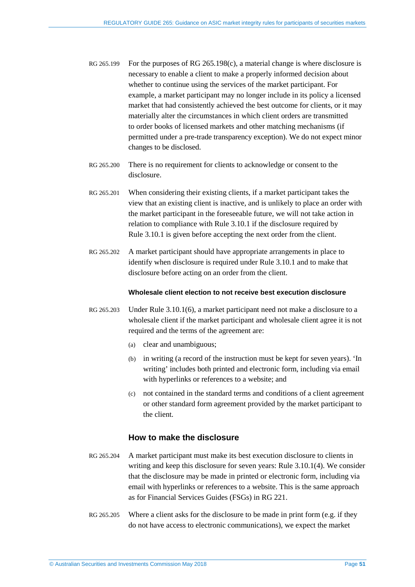- RG 265.199 For the purposes of [RG 265.198\(c\),](#page-49-0) a material change is where disclosure is necessary to enable a client to make a properly informed decision about whether to continue using the services of the market participant. For example, a market participant may no longer include in its policy a licensed market that had consistently achieved the best outcome for clients, or it may materially alter the circumstances in which client orders are transmitted to order books of licensed markets and other matching mechanisms (if permitted under a pre-trade transparency exception). We do not expect minor changes to be disclosed.
- RG 265.200 There is no requirement for clients to acknowledge or consent to the disclosure.
- RG 265.201 When considering their existing clients, if a market participant takes the view that an existing client is inactive, and is unlikely to place an order with the market participant in the foreseeable future, we will not take action in relation to compliance with Rule 3.10.1 if the disclosure required by Rule 3.10.1 is given before accepting the next order from the client.
- RG 265.202 A market participant should have appropriate arrangements in place to identify when disclosure is required under Rule 3.10.1 and to make that disclosure before acting on an order from the client.

#### **Wholesale client election to not receive best execution disclosure**

- RG 265.203 Under Rule 3.10.1(6), a market participant need not make a disclosure to a wholesale client if the market participant and wholesale client agree it is not required and the terms of the agreement are:
	- (a) clear and unambiguous;
	- (b) in writing (a record of the instruction must be kept for seven years). 'In writing' includes both printed and electronic form, including via email with hyperlinks or references to a website; and
	- (c) not contained in the standard terms and conditions of a client agreement or other standard form agreement provided by the market participant to the client.

## **How to make the disclosure**

- RG 265.204 A market participant must make its best execution disclosure to clients in writing and keep this disclosure for seven years: Rule 3.10.1(4). We consider that the disclosure may be made in printed or electronic form, including via email with hyperlinks or references to a website. This is the same approach as for Financial Services Guides (FSGs) in RG 221.
- RG 265.205 Where a client asks for the disclosure to be made in print form (e.g. if they do not have access to electronic communications), we expect the market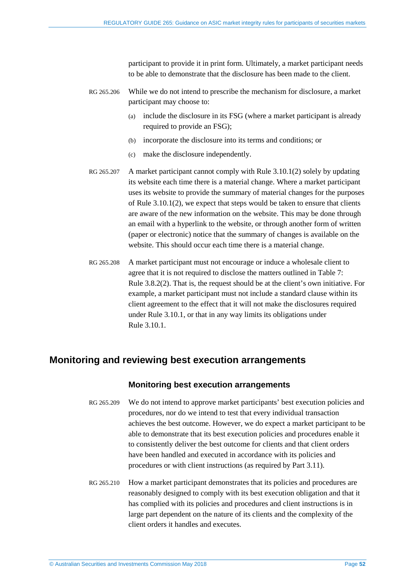participant to provide it in print form. Ultimately, a market participant needs to be able to demonstrate that the disclosure has been made to the client.

- RG 265.206 While we do not intend to prescribe the mechanism for disclosure, a market participant may choose to:
	- (a) include the disclosure in its FSG (where a market participant is already required to provide an FSG);
	- (b) incorporate the disclosure into its terms and conditions; or
	- (c) make the disclosure independently.
- RG 265.207 A market participant cannot comply with Rule 3.10.1(2) solely by updating its website each time there is a material change. Where a market participant uses its website to provide the summary of material changes for the purposes of Rule 3.10.1(2), we expect that steps would be taken to ensure that clients are aware of the new information on the website. This may be done through an email with a hyperlink to the website, or through another form of written (paper or electronic) notice that the summary of changes is available on the website. This should occur each time there is a material change.
- <span id="page-51-0"></span>RG 265.208 A market participant must not encourage or induce a wholesale client to agree that it is not required to disclose the matters outlined in [Table 7:](#page-48-0) Rule 3.8.2(2). That is, the request should be at the client's own initiative. For example, a market participant must not include a standard clause within its client agreement to the effect that it will not make the disclosures required under Rule 3.10.1, or that in any way limits its obligations under Rule 3.10.1.

## <span id="page-51-1"></span>**Monitoring and reviewing best execution arrangements**

## **Monitoring best execution arrangements**

- RG 265.209 We do not intend to approve market participants' best execution policies and procedures, nor do we intend to test that every individual transaction achieves the best outcome. However, we do expect a market participant to be able to demonstrate that its best execution policies and procedures enable it to consistently deliver the best outcome for clients and that client orders have been handled and executed in accordance with its policies and procedures or with client instructions (as required by Part 3.11).
- RG 265.210 How a market participant demonstrates that its policies and procedures are reasonably designed to comply with its best execution obligation and that it has complied with its policies and procedures and client instructions is in large part dependent on the nature of its clients and the complexity of the client orders it handles and executes.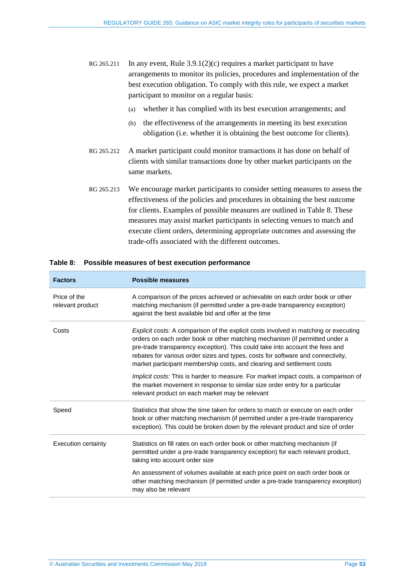- RG 265.211 In any event, Rule  $3.9.1(2)(c)$  requires a market participant to have arrangements to monitor its policies, procedures and implementation of the best execution obligation. To comply with this rule, we expect a market participant to monitor on a regular basis:
	- (a) whether it has complied with its best execution arrangements; and
	- (b) the effectiveness of the arrangements in meeting its best execution obligation (i.e. whether it is obtaining the best outcome for clients).
- RG 265.212 A market participant could monitor transactions it has done on behalf of clients with similar transactions done by other market participants on the same markets.
- RG 265.213 We encourage market participants to consider setting measures to assess the effectiveness of the policies and procedures in obtaining the best outcome for clients. Examples of possible measures are outlined in [Table 8.](#page-52-0) These measures may assist market participants in selecting venues to match and execute client orders, determining appropriate outcomes and assessing the trade-offs associated with the different outcomes.

| <b>Factors</b>                   | <b>Possible measures</b>                                                                                                                                                                                                                                                                                                                                                                                                |
|----------------------------------|-------------------------------------------------------------------------------------------------------------------------------------------------------------------------------------------------------------------------------------------------------------------------------------------------------------------------------------------------------------------------------------------------------------------------|
| Price of the<br>relevant product | A comparison of the prices achieved or achievable on each order book or other<br>matching mechanism (if permitted under a pre-trade transparency exception)<br>against the best available bid and offer at the time                                                                                                                                                                                                     |
| Costs                            | <i>Explicit costs:</i> A comparison of the explicit costs involved in matching or executing<br>orders on each order book or other matching mechanism (if permitted under a<br>pre-trade transparency exception). This could take into account the fees and<br>rebates for various order sizes and types, costs for software and connectivity,<br>market participant membership costs, and clearing and settlement costs |
|                                  | <i>Implicit costs:</i> This is harder to measure. For market impact costs, a comparison of<br>the market movement in response to similar size order entry for a particular<br>relevant product on each market may be relevant                                                                                                                                                                                           |
| Speed                            | Statistics that show the time taken for orders to match or execute on each order<br>book or other matching mechanism (if permitted under a pre-trade transparency<br>exception). This could be broken down by the relevant product and size of order                                                                                                                                                                    |
| <b>Execution certainty</b>       | Statistics on fill rates on each order book or other matching mechanism (if<br>permitted under a pre-trade transparency exception) for each relevant product,<br>taking into account order size                                                                                                                                                                                                                         |
|                                  | An assessment of volumes available at each price point on each order book or<br>other matching mechanism (if permitted under a pre-trade transparency exception)<br>may also be relevant                                                                                                                                                                                                                                |

#### <span id="page-52-0"></span>**Table 8: Possible measures of best execution performance**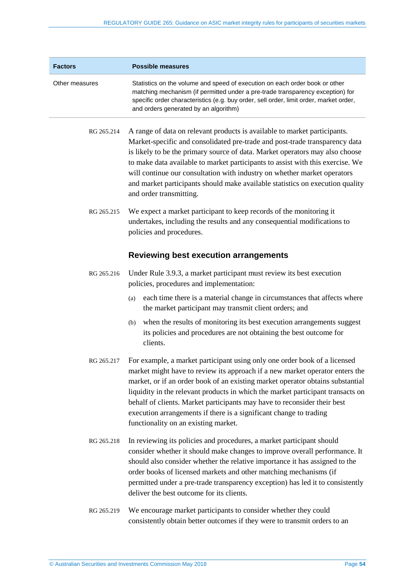| <b>Factors</b> | <b>Possible measures</b>                                                                                                                                                                                                                                                                                                                                                                                                                                                                                                 |
|----------------|--------------------------------------------------------------------------------------------------------------------------------------------------------------------------------------------------------------------------------------------------------------------------------------------------------------------------------------------------------------------------------------------------------------------------------------------------------------------------------------------------------------------------|
| Other measures | Statistics on the volume and speed of execution on each order book or other<br>matching mechanism (if permitted under a pre-trade transparency exception) for<br>specific order characteristics (e.g. buy order, sell order, limit order, market order,<br>and orders generated by an algorithm)                                                                                                                                                                                                                         |
| RG 265.214     | A range of data on relevant products is available to market participants.<br>Market-specific and consolidated pre-trade and post-trade transparency data<br>is likely to be the primary source of data. Market operators may also choose<br>to make data available to market participants to assist with this exercise. We<br>will continue our consultation with industry on whether market operators<br>and market participants should make available statistics on execution quality<br>and order transmitting.       |
| RG 265.215     | We expect a market participant to keep records of the monitoring it<br>undertakes, including the results and any consequential modifications to<br>policies and procedures.                                                                                                                                                                                                                                                                                                                                              |
|                | <b>Reviewing best execution arrangements</b>                                                                                                                                                                                                                                                                                                                                                                                                                                                                             |
| RG 265.216     | Under Rule 3.9.3, a market participant must review its best execution<br>policies, procedures and implementation:                                                                                                                                                                                                                                                                                                                                                                                                        |
|                | each time there is a material change in circumstances that affects where<br>(a)<br>the market participant may transmit client orders; and                                                                                                                                                                                                                                                                                                                                                                                |
|                | when the results of monitoring its best execution arrangements suggest<br>(b)<br>its policies and procedures are not obtaining the best outcome for<br>clients.                                                                                                                                                                                                                                                                                                                                                          |
| RG 265.217     | For example, a market participant using only one order book of a licensed<br>market might have to review its approach if a new market operator enters the<br>market, or if an order book of an existing market operator obtains substantial<br>liquidity in the relevant products in which the market participant transacts on<br>behalf of clients. Market participants may have to reconsider their best<br>execution arrangements if there is a significant change to trading<br>functionality on an existing market. |
| RG 265.218     | In reviewing its policies and procedures, a market participant should<br>consider whether it should make changes to improve overall performance. It<br>should also consider whether the relative importance it has assigned to the<br>order books of licensed markets and other matching mechanisms (if<br>permitted under a pre-trade transparency exception) has led it to consistently<br>deliver the best outcome for its clients.                                                                                   |
| RG 265.219     | We encourage market participants to consider whether they could                                                                                                                                                                                                                                                                                                                                                                                                                                                          |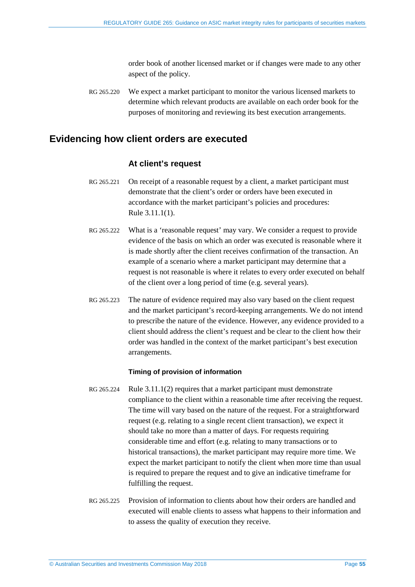order book of another licensed market or if changes were made to any other aspect of the policy.

<span id="page-54-0"></span>RG 265.220 We expect a market participant to monitor the various licensed markets to determine which relevant products are available on each order book for the purposes of monitoring and reviewing its best execution arrangements.

## <span id="page-54-1"></span>**Evidencing how client orders are executed**

#### **At client's request**

- RG 265.221 On receipt of a reasonable request by a client, a market participant must demonstrate that the client's order or orders have been executed in accordance with the market participant's policies and procedures: Rule 3.11.1(1).
- RG 265.222 What is a 'reasonable request' may vary. We consider a request to provide evidence of the basis on which an order was executed is reasonable where it is made shortly after the client receives confirmation of the transaction. An example of a scenario where a market participant may determine that a request is not reasonable is where it relates to every order executed on behalf of the client over a long period of time (e.g. several years).
- RG 265.223 The nature of evidence required may also vary based on the client request and the market participant's record-keeping arrangements. We do not intend to prescribe the nature of the evidence. However, any evidence provided to a client should address the client's request and be clear to the client how their order was handled in the context of the market participant's best execution arrangements.

#### **Timing of provision of information**

- RG 265.224 Rule  $3.11.1(2)$  requires that a market participant must demonstrate compliance to the client within a reasonable time after receiving the request. The time will vary based on the nature of the request. For a straightforward request (e.g. relating to a single recent client transaction), we expect it should take no more than a matter of days. For requests requiring considerable time and effort (e.g. relating to many transactions or to historical transactions), the market participant may require more time. We expect the market participant to notify the client when more time than usual is required to prepare the request and to give an indicative timeframe for fulfilling the request.
- RG 265.225 Provision of information to clients about how their orders are handled and executed will enable clients to assess what happens to their information and to assess the quality of execution they receive.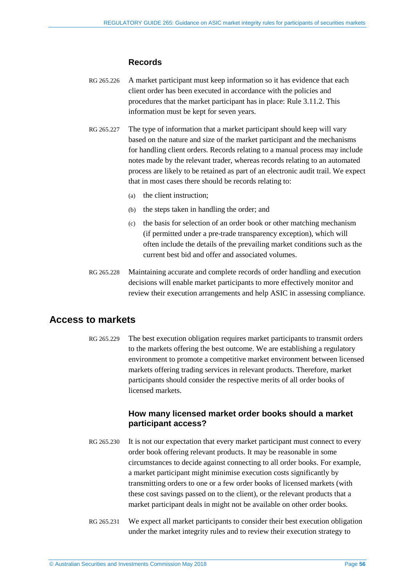## **Records**

- RG 265.226 A market participant must keep information so it has evidence that each client order has been executed in accordance with the policies and procedures that the market participant has in place: Rule 3.11.2. This information must be kept for seven years.
- RG 265.227 The type of information that a market participant should keep will vary based on the nature and size of the market participant and the mechanisms for handling client orders. Records relating to a manual process may include notes made by the relevant trader, whereas records relating to an automated process are likely to be retained as part of an electronic audit trail. We expect that in most cases there should be records relating to:
	- (a) the client instruction;
	- (b) the steps taken in handling the order; and
	- (c) the basis for selection of an order book or other matching mechanism (if permitted under a pre-trade transparency exception), which will often include the details of the prevailing market conditions such as the current best bid and offer and associated volumes.
- <span id="page-55-0"></span>RG 265.228 Maintaining accurate and complete records of order handling and execution decisions will enable market participants to more effectively monitor and review their execution arrangements and help ASIC in assessing compliance.

# **Access to markets**

RG 265.229 The best execution obligation requires market participants to transmit orders to the markets offering the best outcome. We are establishing a regulatory environment to promote a competitive market environment between licensed markets offering trading services in relevant products. Therefore, market participants should consider the respective merits of all order books of licensed markets.

## **How many licensed market order books should a market participant access?**

- RG 265.230 It is not our expectation that every market participant must connect to every order book offering relevant products. It may be reasonable in some circumstances to decide against connecting to all order books. For example, a market participant might minimise execution costs significantly by transmitting orders to one or a few order books of licensed markets (with these cost savings passed on to the client), or the relevant products that a market participant deals in might not be available on other order books.
- RG 265.231 We expect all market participants to consider their best execution obligation under the market integrity rules and to review their execution strategy to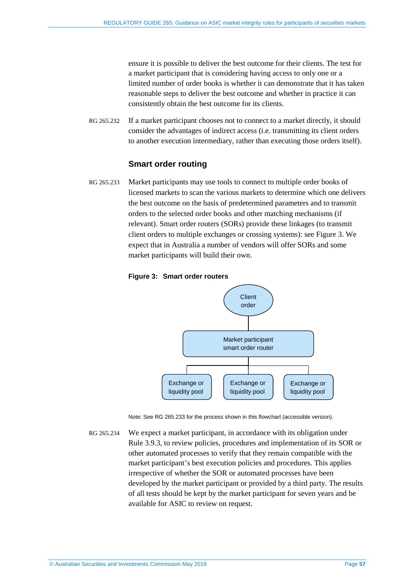ensure it is possible to deliver the best outcome for their clients. The test for a market participant that is considering having access to only one or a limited number of order books is whether it can demonstrate that it has taken reasonable steps to deliver the best outcome and whether in practice it can consistently obtain the best outcome for its clients.

RG 265.232 If a market participant chooses not to connect to a market directly, it should consider the advantages of indirect access (i.e. transmitting its client orders to another execution intermediary, rather than executing those orders itself).

## **Smart order routing**

<span id="page-56-1"></span>RG 265.233 Market participants may use tools to connect to multiple order books of licensed markets to scan the various markets to determine which one delivers the best outcome on the basis of predetermined parameters and to transmit orders to the selected order books and other matching mechanisms (if relevant). Smart order routers (SORs) provide these linkages (to transmit client orders to multiple exchanges or crossing systems): see [Figure 3.](#page-56-0) We expect that in Australia a number of vendors will offer SORs and some market participants will build their own.

<span id="page-56-0"></span>



Note: See RG [265.233](#page-56-1) for the process shown in this flowchart (accessible version).

RG 265.234 We expect a market participant, in accordance with its obligation under Rule 3.9.3, to review policies, procedures and implementation of its SOR or other automated processes to verify that they remain compatible with the market participant's best execution policies and procedures. This applies irrespective of whether the SOR or automated processes have been developed by the market participant or provided by a third party. The results of all tests should be kept by the market participant for seven years and be available for ASIC to review on request.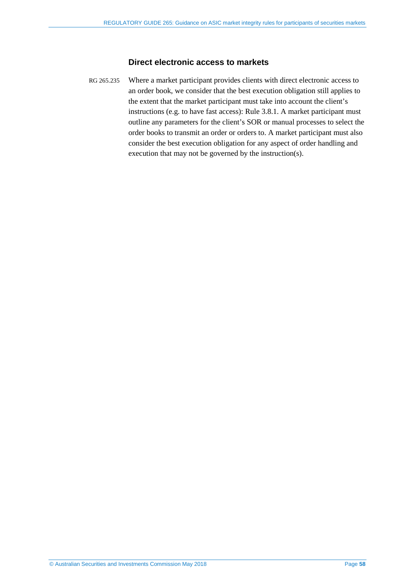## **Direct electronic access to markets**

RG 265.235 Where a market participant provides clients with direct electronic access to an order book, we consider that the best execution obligation still applies to the extent that the market participant must take into account the client's instructions (e.g. to have fast access): Rule 3.8.1. A market participant must outline any parameters for the client's SOR or manual processes to select the order books to transmit an order or orders to. A market participant must also consider the best execution obligation for any aspect of order handling and execution that may not be governed by the instruction(s).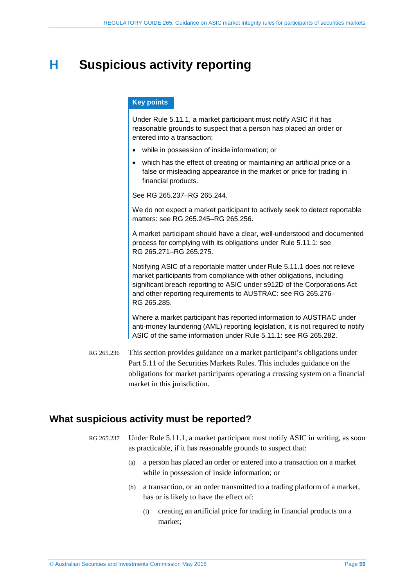# <span id="page-58-1"></span>**H Suspicious activity reporting**

## **Key points**

Under Rule 5.11.1, a market participant must notify ASIC if it has reasonable grounds to suspect that a person has placed an order or entered into a transaction:

- while in possession of inside information; or
- which has the effect of creating or maintaining an artificial price or a false or misleading appearance in the market or price for trading in financial products.

See RG [265.237–](#page-58-0)RG [265.244.](#page-60-0)

We do not expect a market participant to actively seek to detect reportable matters: see RG [265.245–](#page-60-1)RG [265.256.](#page-62-0)

A market participant should have a clear, well-understood and documented process for complying with its obligations under Rule 5.11.1: see RG [265.271–](#page-69-0)RG [265.275.](#page-69-1)

Notifying ASIC of a reportable matter under Rule 5.11.1 does not relieve market participants from compliance with other obligations, including significant breach reporting to ASIC under s912D of the Corporations Act and other reporting requirements to AUSTRAC: see RG [265.276–](#page-69-2) RG [265.285.](#page-70-0)

Where a market participant has reported information to AUSTRAC under anti-money laundering (AML) reporting legislation, it is not required to notify ASIC of the same information under Rule 5.11.1: see RG [265.282.](#page-70-1)

RG 265.236 This section provides guidance on a market participant's obligations under Part 5.11 of the Securities Markets Rules. This includes guidance on the obligations for market participants operating a crossing system on a financial market in this jurisdiction.

# <span id="page-58-0"></span>**What suspicious activity must be reported?**

- RG 265.237 Under Rule 5.11.1, a market participant must notify ASIC in writing, as soon as practicable, if it has reasonable grounds to suspect that:
	- (a) a person has placed an order or entered into a transaction on a market while in possession of inside information; or
	- (b) a transaction, or an order transmitted to a trading platform of a market, has or is likely to have the effect of:
		- (i) creating an artificial price for trading in financial products on a market;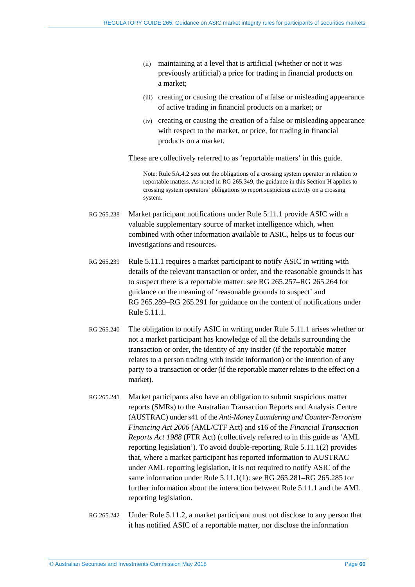- (ii) maintaining at a level that is artificial (whether or not it was previously artificial) a price for trading in financial products on a market;
- (iii) creating or causing the creation of a false or misleading appearance of active trading in financial products on a market; or
- (iv) creating or causing the creation of a false or misleading appearance with respect to the market, or price, for trading in financial products on a market.

These are collectively referred to as 'reportable matters' in this guide.

Note: Rule 5A.4.2 sets out the obligations of a crossing system operator in relation to reportable matters. As noted in RG [265.349,](#page-87-0) the guidance in this Sectio[n H](#page-58-1) applies to crossing system operators' obligations to report suspicious activity on a crossing system.

- RG 265.238 Market participant notifications under Rule 5.11.1 provide ASIC with a valuable supplementary source of market intelligence which, when combined with other information available to ASIC, helps us to focus our investigations and resources.
- RG 265.239 Rule 5.11.1 requires a market participant to notify ASIC in writing with details of the relevant transaction or order, and the reasonable grounds it has to suspect there is a reportable matter: see RG [265.257–](#page-62-1)RG [265.264](#page-63-0) for guidance on the meaning of 'reasonable grounds to suspect' and RG [265.289–](#page-71-0)RG [265.291](#page-71-1) for guidance on the content of notifications under Rule 5.11.1.
- RG 265.240 The obligation to notify ASIC in writing under Rule 5.11.1 arises whether or not a market participant has knowledge of all the details surrounding the transaction or order, the identity of any insider (if the reportable matter relates to a person trading with inside information) or the intention of any party to a transaction or order (if the reportable matter relates to the effect on a market).
- RG 265.241 Market participants also have an obligation to submit suspicious matter reports (SMRs) to the Australian Transaction Reports and Analysis Centre (AUSTRAC) under s41 of the *Anti-Money Laundering and Counter-Terrorism Financing Act 2006* (AML/CTF Act) and s16 of the *Financial Transaction Reports Act 1988* (FTR Act) (collectively referred to in this guide as 'AML reporting legislation'). To avoid double-reporting, Rule 5.11.1(2) provides that, where a market participant has reported information to AUSTRAC under AML reporting legislation, it is not required to notify ASIC of the same information under Rule 5.11.1(1): see RG [265.281–](#page-70-2)RG [265.285](#page-70-0) for further information about the interaction between Rule 5.11.1 and the AML reporting legislation.
- RG 265.242 Under Rule 5.11.2, a market participant must not disclose to any person that it has notified ASIC of a reportable matter, nor disclose the information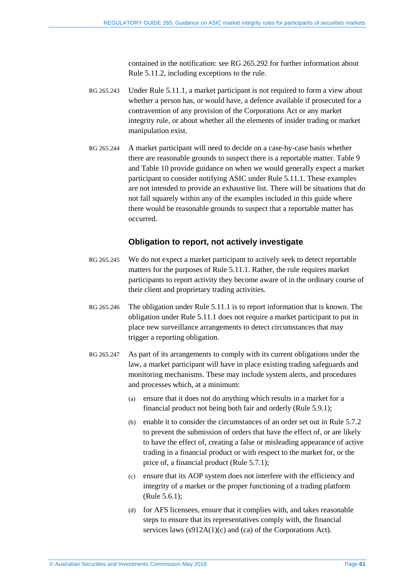contained in the notification: see RG [265.292](#page-72-0) for further information about Rule 5.11.2, including exceptions to the rule.

- RG 265.243 Under Rule 5.11.1, a market participant is not required to form a view about whether a person has, or would have, a defence available if prosecuted for a contravention of any provision of the Corporations Act or any market integrity rule, or about whether all the elements of insider trading or market manipulation exist.
- <span id="page-60-0"></span>RG 265.244 A market participant will need to decide on a case-by-case basis whether there are reasonable grounds to suspect there is a reportable matter. [Table 9](#page-65-0) and [Table 10](#page-67-0) provide guidance on when we would generally expect a market participant to consider notifying ASIC under Rule 5.11.1. These examples are not intended to provide an exhaustive list. There will be situations that do not fall squarely within any of the examples included in this guide where there would be reasonable grounds to suspect that a reportable matter has occurred.

## **Obligation to report, not actively investigate**

- <span id="page-60-1"></span>RG 265.245 We do not expect a market participant to actively seek to detect reportable matters for the purposes of Rule 5.11.1. Rather, the rule requires market participants to report activity they become aware of in the ordinary course of their client and proprietary trading activities.
- RG 265.246 The obligation under Rule 5.11.1 is to report information that is known. The obligation under Rule 5.11.1 does not require a market participant to put in place new surveillance arrangements to detect circumstances that may trigger a reporting obligation.
- RG 265.247 As part of its arrangements to comply with its current obligations under the law, a market participant will have in place existing trading safeguards and monitoring mechanisms. These may include system alerts, and procedures and processes which, at a minimum:
	- (a) ensure that it does not do anything which results in a market for a financial product not being both fair and orderly (Rule 5.9.1);
	- (b) enable it to consider the circumstances of an order set out in Rule 5.7.2 to prevent the submission of orders that have the effect of, or are likely to have the effect of, creating a false or misleading appearance of active trading in a financial product or with respect to the market for, or the price of, a financial product (Rule 5.7.1);
	- (c) ensure that its AOP system does not interfere with the efficiency and integrity of a market or the proper functioning of a trading platform (Rule 5.6.1);
	- (d) for AFS licensees, ensure that it complies with, and takes reasonable steps to ensure that its representatives comply with, the financial services laws (s912A(1)(c) and (ca) of the Corporations Act).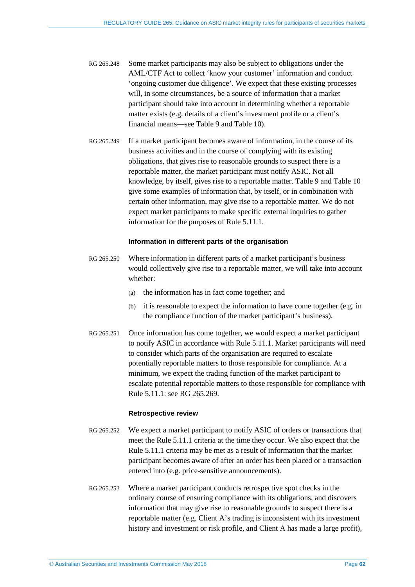- RG 265.248 Some market participants may also be subject to obligations under the AML/CTF Act to collect 'know your customer' information and conduct 'ongoing customer due diligence'. We expect that these existing processes will, in some circumstances, be a source of information that a market participant should take into account in determining whether a reportable matter exists (e.g. details of a client's investment profile or a client's financial means—see [Table 9](#page-65-0) and [Table 10\)](#page-67-0).
- <span id="page-61-0"></span>RG 265.249 If a market participant becomes aware of information, in the course of its business activities and in the course of complying with its existing obligations, that gives rise to reasonable grounds to suspect there is a reportable matter, the market participant must notify ASIC. Not all knowledge, by itself, gives rise to a reportable matter. [Table 9](#page-65-0) and [Table 10](#page-67-0) give some examples of information that, by itself, or in combination with certain other information, may give rise to a reportable matter. We do not expect market participants to make specific external inquiries to gather information for the purposes of Rule 5.11.1.

#### **Information in different parts of the organisation**

- RG 265.250 Where information in different parts of a market participant's business would collectively give rise to a reportable matter, we will take into account whether:
	- (a) the information has in fact come together; and
	- (b) it is reasonable to expect the information to have come together (e.g. in the compliance function of the market participant's business).
- RG 265.251 Once information has come together, we would expect a market participant to notify ASIC in accordance with Rule 5.11.1. Market participants will need to consider which parts of the organisation are required to escalate potentially reportable matters to those responsible for compliance. At a minimum, we expect the trading function of the market participant to escalate potential reportable matters to those responsible for compliance with Rule 5.11.1: see RG [265.269.](#page-64-0)

#### **Retrospective review**

- RG 265.252 We expect a market participant to notify ASIC of orders or transactions that meet the Rule 5.11.1 criteria at the time they occur. We also expect that the Rule 5.11.1 criteria may be met as a result of information that the market participant becomes aware of after an order has been placed or a transaction entered into (e.g. price-sensitive announcements).
- RG 265.253 Where a market participant conducts retrospective spot checks in the ordinary course of ensuring compliance with its obligations, and discovers information that may give rise to reasonable grounds to suspect there is a reportable matter (e.g. Client A's trading is inconsistent with its investment history and investment or risk profile, and Client A has made a large profit),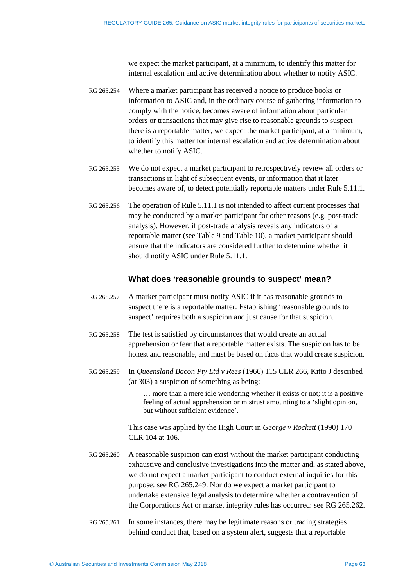we expect the market participant, at a minimum, to identify this matter for internal escalation and active determination about whether to notify ASIC.

- RG 265.254 Where a market participant has received a notice to produce books or information to ASIC and, in the ordinary course of gathering information to comply with the notice, becomes aware of information about particular orders or transactions that may give rise to reasonable grounds to suspect there is a reportable matter, we expect the market participant, at a minimum, to identify this matter for internal escalation and active determination about whether to notify ASIC.
- RG 265.255 We do not expect a market participant to retrospectively review all orders or transactions in light of subsequent events, or information that it later becomes aware of, to detect potentially reportable matters under Rule 5.11.1.
- <span id="page-62-0"></span>RG 265.256 The operation of Rule 5.11.1 is not intended to affect current processes that may be conducted by a market participant for other reasons (e.g. post-trade analysis). However, if post-trade analysis reveals any indicators of a reportable matter (see [Table 9](#page-65-0) an[d Table 10\)](#page-67-0), a market participant should ensure that the indicators are considered further to determine whether it should notify ASIC under Rule 5.11.1.

## **What does 'reasonable grounds to suspect' mean?**

- <span id="page-62-1"></span>RG 265.257 A market participant must notify ASIC if it has reasonable grounds to suspect there is a reportable matter. Establishing 'reasonable grounds to suspect' requires both a suspicion and just cause for that suspicion.
- RG 265.258 The test is satisfied by circumstances that would create an actual apprehension or fear that a reportable matter exists. The suspicion has to be honest and reasonable, and must be based on facts that would create suspicion.
- RG 265.259 In *Queensland Bacon Pty Ltd v Rees* (1966) 115 CLR 266, Kitto J described (at 303) a suspicion of something as being:

… more than a mere idle wondering whether it exists or not; it is a positive feeling of actual apprehension or mistrust amounting to a 'slight opinion, but without sufficient evidence'.

This case was applied by the High Court in *George v Rockett* (1990) 170 CLR 104 at 106.

- RG 265.260 A reasonable suspicion can exist without the market participant conducting exhaustive and conclusive investigations into the matter and, as stated above, we do not expect a market participant to conduct external inquiries for this purpose: see RG [265.249.](#page-61-0) Nor do we expect a market participant to undertake extensive legal analysis to determine whether a contravention of the Corporations Act or market integrity rules has occurred: see RG [265.262.](#page-63-1)
- RG 265.261 In some instances, there may be legitimate reasons or trading strategies behind conduct that, based on a system alert, suggests that a reportable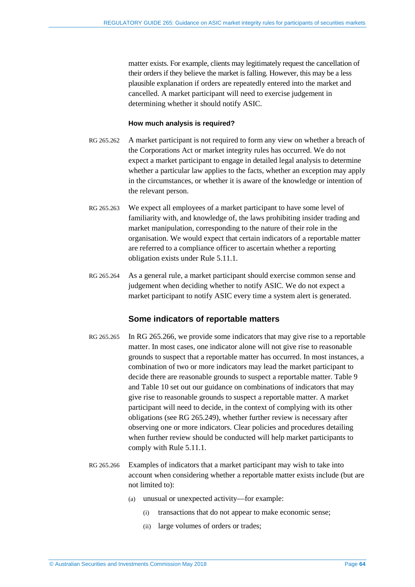matter exists. For example, clients may legitimately request the cancellation of their orders if they believe the market is falling. However, this may be a less plausible explanation if orders are repeatedly entered into the market and cancelled. A market participant will need to exercise judgement in determining whether it should notify ASIC.

#### **How much analysis is required?**

- <span id="page-63-1"></span>RG 265.262 A market participant is not required to form any view on whether a breach of the Corporations Act or market integrity rules has occurred. We do not expect a market participant to engage in detailed legal analysis to determine whether a particular law applies to the facts, whether an exception may apply in the circumstances, or whether it is aware of the knowledge or intention of the relevant person.
- RG 265.263 We expect all employees of a market participant to have some level of familiarity with, and knowledge of, the laws prohibiting insider trading and market manipulation, corresponding to the nature of their role in the organisation. We would expect that certain indicators of a reportable matter are referred to a compliance officer to ascertain whether a reporting obligation exists under Rule 5.11.1.
- <span id="page-63-0"></span>RG 265.264 As a general rule, a market participant should exercise common sense and judgement when deciding whether to notify ASIC. We do not expect a market participant to notify ASIC every time a system alert is generated.

#### **Some indicators of reportable matters**

- RG 265.265 In RG [265.266,](#page-63-2) we provide some indicators that may give rise to a reportable matter. In most cases, one indicator alone will not give rise to reasonable grounds to suspect that a reportable matter has occurred. In most instances, a combination of two or more indicators may lead the market participant to decide there are reasonable grounds to suspect a reportable matter[. Table 9](#page-65-0) and [Table 10](#page-67-0) set out our guidance on combinations of indicators that may give rise to reasonable grounds to suspect a reportable matter. A market participant will need to decide, in the context of complying with its other obligations (see RG [265.249\)](#page-61-0), whether further review is necessary after observing one or more indicators. Clear policies and procedures detailing when further review should be conducted will help market participants to comply with Rule 5.11.1.
- <span id="page-63-2"></span>RG 265.266 Examples of indicators that a market participant may wish to take into account when considering whether a reportable matter exists include (but are not limited to):
	- (a) unusual or unexpected activity—for example:
		- (i) transactions that do not appear to make economic sense;
		- (ii) large volumes of orders or trades;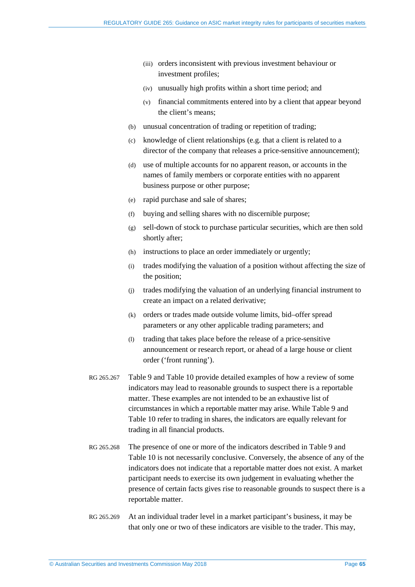- (iii) orders inconsistent with previous investment behaviour or investment profiles;
- (iv) unusually high profits within a short time period; and
- (v) financial commitments entered into by a client that appear beyond the client's means;
- (b) unusual concentration of trading or repetition of trading;
- (c) knowledge of client relationships (e.g. that a client is related to a director of the company that releases a price-sensitive announcement);
- (d) use of multiple accounts for no apparent reason, or accounts in the names of family members or corporate entities with no apparent business purpose or other purpose;
- (e) rapid purchase and sale of shares;
- (f) buying and selling shares with no discernible purpose;
- (g) sell-down of stock to purchase particular securities, which are then sold shortly after;
- (h) instructions to place an order immediately or urgently;
- (i) trades modifying the valuation of a position without affecting the size of the position;
- (j) trades modifying the valuation of an underlying financial instrument to create an impact on a related derivative;
- (k) orders or trades made outside volume limits, bid–offer spread parameters or any other applicable trading parameters; and
- (l) trading that takes place before the release of a price-sensitive announcement or research report, or ahead of a large house or client order ('front running').
- RG 265.267 [Table 9](#page-65-0) and [Table](#page-67-0) 10 provide detailed examples of how a review of some indicators may lead to reasonable grounds to suspect there is a reportable matter. These examples are not intended to be an exhaustive list of circumstances in which a reportable matter may arise. Whil[e Table 9](#page-65-0) and [Table 10](#page-67-0) refer to trading in shares, the indicators are equally relevant for trading in all financial products.
- RG 265.268 The presence of one or more of the indicators described i[n Table 9](#page-65-0) and [Table](#page-67-0) 10 is not necessarily conclusive. Conversely, the absence of any of the indicators does not indicate that a reportable matter does not exist. A market participant needs to exercise its own judgement in evaluating whether the presence of certain facts gives rise to reasonable grounds to suspect there is a reportable matter.
- <span id="page-64-0"></span>RG 265.269 At an individual trader level in a market participant's business, it may be that only one or two of these indicators are visible to the trader. This may,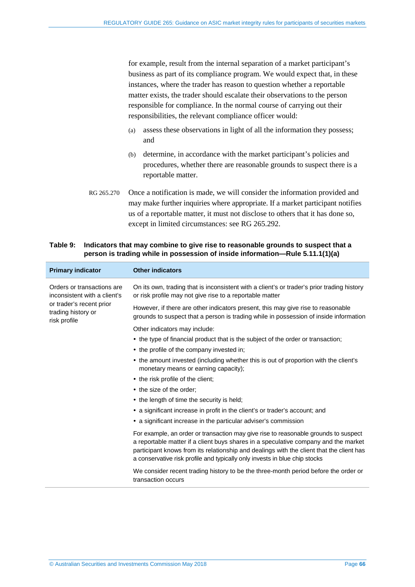for example, result from the internal separation of a market participant's business as part of its compliance program. We would expect that, in these instances, where the trader has reason to question whether a reportable matter exists, the trader should escalate their observations to the person responsible for compliance. In the normal course of carrying out their responsibilities, the relevant compliance officer would:

- (a) assess these observations in light of all the information they possess; and
- (b) determine, in accordance with the market participant's policies and procedures, whether there are reasonable grounds to suspect there is a reportable matter.
- RG 265.270 Once a notification is made, we will consider the information provided and may make further inquiries where appropriate. If a market participant notifies us of a reportable matter, it must not disclose to others that it has done so, except in limited circumstances: see RG [265.292.](#page-72-0)

| <b>Primary indicator</b>                                                                                                     | <b>Other indicators</b>                                                                                                                                                                                                                                                                                                                              |
|------------------------------------------------------------------------------------------------------------------------------|------------------------------------------------------------------------------------------------------------------------------------------------------------------------------------------------------------------------------------------------------------------------------------------------------------------------------------------------------|
| Orders or transactions are<br>inconsistent with a client's<br>or trader's recent prior<br>trading history or<br>risk profile | On its own, trading that is inconsistent with a client's or trader's prior trading history<br>or risk profile may not give rise to a reportable matter                                                                                                                                                                                               |
|                                                                                                                              | However, if there are other indicators present, this may give rise to reasonable<br>grounds to suspect that a person is trading while in possession of inside information                                                                                                                                                                            |
|                                                                                                                              | Other indicators may include:                                                                                                                                                                                                                                                                                                                        |
|                                                                                                                              | • the type of financial product that is the subject of the order or transaction;                                                                                                                                                                                                                                                                     |
|                                                                                                                              | • the profile of the company invested in;                                                                                                                                                                                                                                                                                                            |
|                                                                                                                              | • the amount invested (including whether this is out of proportion with the client's<br>monetary means or earning capacity);                                                                                                                                                                                                                         |
|                                                                                                                              | • the risk profile of the client;                                                                                                                                                                                                                                                                                                                    |
|                                                                                                                              | • the size of the order;                                                                                                                                                                                                                                                                                                                             |
|                                                                                                                              | • the length of time the security is held;                                                                                                                                                                                                                                                                                                           |
|                                                                                                                              | • a significant increase in profit in the client's or trader's account; and                                                                                                                                                                                                                                                                          |
|                                                                                                                              | • a significant increase in the particular adviser's commission                                                                                                                                                                                                                                                                                      |
|                                                                                                                              | For example, an order or transaction may give rise to reasonable grounds to suspect<br>a reportable matter if a client buys shares in a speculative company and the market<br>participant knows from its relationship and dealings with the client that the client has<br>a conservative risk profile and typically only invests in blue chip stocks |
|                                                                                                                              | We consider recent trading history to be the three-month period before the order or<br>transaction occurs                                                                                                                                                                                                                                            |

<span id="page-65-0"></span>**Table 9: Indicators that may combine to give rise to reasonable grounds to suspect that a person is trading while in possession of inside information—Rule 5.11.1(1)(a)**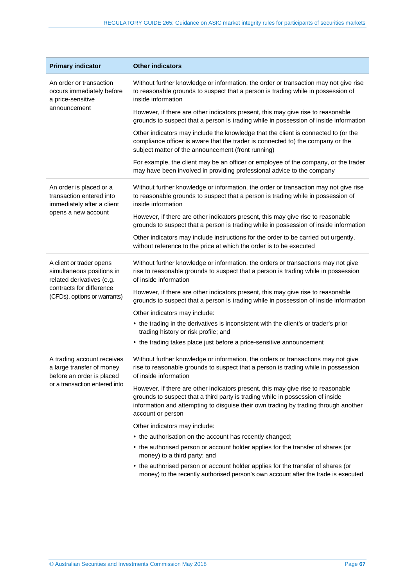| <b>Primary indicator</b>                                                                                              | <b>Other indicators</b>                                                                                                                                                                                                                                                        |
|-----------------------------------------------------------------------------------------------------------------------|--------------------------------------------------------------------------------------------------------------------------------------------------------------------------------------------------------------------------------------------------------------------------------|
| An order or transaction<br>occurs immediately before<br>a price-sensitive                                             | Without further knowledge or information, the order or transaction may not give rise<br>to reasonable grounds to suspect that a person is trading while in possession of<br>inside information                                                                                 |
| announcement                                                                                                          | However, if there are other indicators present, this may give rise to reasonable<br>grounds to suspect that a person is trading while in possession of inside information                                                                                                      |
|                                                                                                                       | Other indicators may include the knowledge that the client is connected to (or the<br>compliance officer is aware that the trader is connected to) the company or the<br>subject matter of the announcement (front running)                                                    |
|                                                                                                                       | For example, the client may be an officer or employee of the company, or the trader<br>may have been involved in providing professional advice to the company                                                                                                                  |
| An order is placed or a<br>transaction entered into<br>immediately after a client                                     | Without further knowledge or information, the order or transaction may not give rise<br>to reasonable grounds to suspect that a person is trading while in possession of<br>inside information                                                                                 |
| opens a new account                                                                                                   | However, if there are other indicators present, this may give rise to reasonable<br>grounds to suspect that a person is trading while in possession of inside information                                                                                                      |
|                                                                                                                       | Other indicators may include instructions for the order to be carried out urgently,<br>without reference to the price at which the order is to be executed                                                                                                                     |
| A client or trader opens<br>simultaneous positions in<br>related derivatives (e.g.                                    | Without further knowledge or information, the orders or transactions may not give<br>rise to reasonable grounds to suspect that a person is trading while in possession<br>of inside information                                                                               |
| contracts for difference<br>(CFDs), options or warrants)                                                              | However, if there are other indicators present, this may give rise to reasonable<br>grounds to suspect that a person is trading while in possession of inside information                                                                                                      |
|                                                                                                                       | Other indicators may include:                                                                                                                                                                                                                                                  |
|                                                                                                                       | • the trading in the derivatives is inconsistent with the client's or trader's prior<br>trading history or risk profile; and                                                                                                                                                   |
|                                                                                                                       | • the trading takes place just before a price-sensitive announcement                                                                                                                                                                                                           |
| A trading account receives<br>a large transfer of money<br>before an order is placed<br>or a transaction entered into | Without further knowledge or information, the orders or transactions may not give<br>rise to reasonable grounds to suspect that a person is trading while in possession<br>of inside information                                                                               |
|                                                                                                                       | However, if there are other indicators present, this may give rise to reasonable<br>grounds to suspect that a third party is trading while in possession of inside<br>information and attempting to disguise their own trading by trading through another<br>account or person |
|                                                                                                                       | Other indicators may include:                                                                                                                                                                                                                                                  |
|                                                                                                                       | • the authorisation on the account has recently changed;                                                                                                                                                                                                                       |
|                                                                                                                       | • the authorised person or account holder applies for the transfer of shares (or<br>money) to a third party; and                                                                                                                                                               |
|                                                                                                                       | • the authorised person or account holder applies for the transfer of shares (or<br>money) to the recently authorised person's own account after the trade is executed                                                                                                         |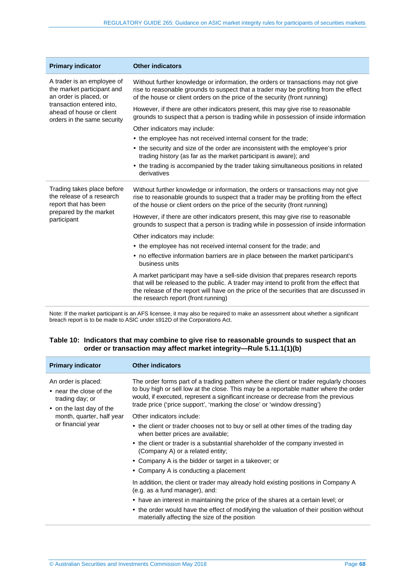| <b>Primary indicator</b>                                                                                                 | <b>Other indicators</b>                                                                                                                                                                                                                                                                                         |
|--------------------------------------------------------------------------------------------------------------------------|-----------------------------------------------------------------------------------------------------------------------------------------------------------------------------------------------------------------------------------------------------------------------------------------------------------------|
| A trader is an employee of<br>the market participant and<br>an order is placed, or                                       | Without further knowledge or information, the orders or transactions may not give<br>rise to reasonable grounds to suspect that a trader may be profiting from the effect<br>of the house or client orders on the price of the security (front running)                                                         |
| transaction entered into,<br>ahead of house or client<br>orders in the same security                                     | However, if there are other indicators present, this may give rise to reasonable<br>grounds to suspect that a person is trading while in possession of inside information                                                                                                                                       |
|                                                                                                                          | Other indicators may include:                                                                                                                                                                                                                                                                                   |
|                                                                                                                          | • the employee has not received internal consent for the trade;                                                                                                                                                                                                                                                 |
|                                                                                                                          | • the security and size of the order are inconsistent with the employee's prior<br>trading history (as far as the market participant is aware); and                                                                                                                                                             |
|                                                                                                                          | • the trading is accompanied by the trader taking simultaneous positions in related<br>derivatives                                                                                                                                                                                                              |
| Trading takes place before<br>the release of a research<br>report that has been<br>prepared by the market<br>participant | Without further knowledge or information, the orders or transactions may not give<br>rise to reasonable grounds to suspect that a trader may be profiting from the effect<br>of the house or client orders on the price of the security (front running)                                                         |
|                                                                                                                          | However, if there are other indicators present, this may give rise to reasonable<br>grounds to suspect that a person is trading while in possession of inside information                                                                                                                                       |
|                                                                                                                          | Other indicators may include:                                                                                                                                                                                                                                                                                   |
|                                                                                                                          | • the employee has not received internal consent for the trade; and                                                                                                                                                                                                                                             |
|                                                                                                                          | • no effective information barriers are in place between the market participant's<br>business units                                                                                                                                                                                                             |
|                                                                                                                          | A market participant may have a sell-side division that prepares research reports<br>that will be released to the public. A trader may intend to profit from the effect that<br>the release of the report will have on the price of the securities that are discussed in<br>the research report (front running) |

<span id="page-67-0"></span>Note: If the market participant is an AFS licensee, it may also be required to make an assessment about whether a significant breach report is to be made to ASIC under s912D of the Corporations Act.

| Table 10: Indicators that may combine to give rise to reasonable grounds to suspect that an |
|---------------------------------------------------------------------------------------------|
| order or transaction may affect market integrity—Rule 5.11.1(1)(b)                          |

| <b>Primary indicator</b>                                                                                                                        | <b>Other indicators</b>                                                                                                                                                                                                                                                                                                                          |
|-------------------------------------------------------------------------------------------------------------------------------------------------|--------------------------------------------------------------------------------------------------------------------------------------------------------------------------------------------------------------------------------------------------------------------------------------------------------------------------------------------------|
| An order is placed:<br>• near the close of the<br>trading day; or<br>• on the last day of the<br>month, quarter, half year<br>or financial year | The order forms part of a trading pattern where the client or trader regularly chooses<br>to buy high or sell low at the close. This may be a reportable matter where the order<br>would, if executed, represent a significant increase or decrease from the previous<br>trade price ('price support', 'marking the close' or 'window dressing') |
|                                                                                                                                                 | Other indicators include:                                                                                                                                                                                                                                                                                                                        |
|                                                                                                                                                 | • the client or trader chooses not to buy or sell at other times of the trading day<br>when better prices are available;                                                                                                                                                                                                                         |
|                                                                                                                                                 | • the client or trader is a substantial shareholder of the company invested in<br>(Company A) or a related entity;                                                                                                                                                                                                                               |
|                                                                                                                                                 | • Company A is the bidder or target in a takeover; or                                                                                                                                                                                                                                                                                            |
|                                                                                                                                                 | • Company A is conducting a placement                                                                                                                                                                                                                                                                                                            |
|                                                                                                                                                 | In addition, the client or trader may already hold existing positions in Company A<br>(e.g. as a fund manager), and:                                                                                                                                                                                                                             |
|                                                                                                                                                 | • have an interest in maintaining the price of the shares at a certain level; or                                                                                                                                                                                                                                                                 |
|                                                                                                                                                 | • the order would have the effect of modifying the valuation of their position without<br>materially affecting the size of the position                                                                                                                                                                                                          |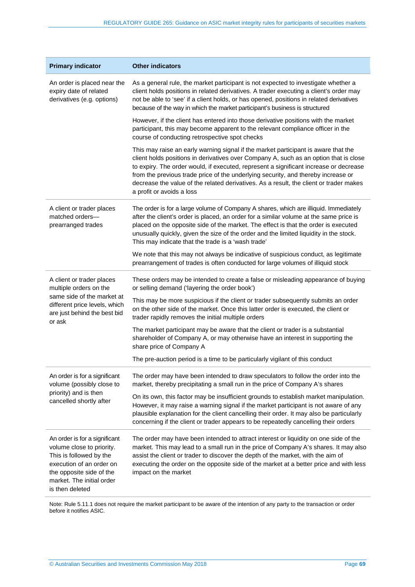| <b>Primary indicator</b>                                                                                                                                                                      | <b>Other indicators</b>                                                                                                                                                                                                                                                                                                                                                                                                                                                          |
|-----------------------------------------------------------------------------------------------------------------------------------------------------------------------------------------------|----------------------------------------------------------------------------------------------------------------------------------------------------------------------------------------------------------------------------------------------------------------------------------------------------------------------------------------------------------------------------------------------------------------------------------------------------------------------------------|
| An order is placed near the<br>expiry date of related<br>derivatives (e.g. options)                                                                                                           | As a general rule, the market participant is not expected to investigate whether a<br>client holds positions in related derivatives. A trader executing a client's order may<br>not be able to 'see' if a client holds, or has opened, positions in related derivatives<br>because of the way in which the market participant's business is structured                                                                                                                           |
|                                                                                                                                                                                               | However, if the client has entered into those derivative positions with the market<br>participant, this may become apparent to the relevant compliance officer in the<br>course of conducting retrospective spot checks                                                                                                                                                                                                                                                          |
|                                                                                                                                                                                               | This may raise an early warning signal if the market participant is aware that the<br>client holds positions in derivatives over Company A, such as an option that is close<br>to expiry. The order would, if executed, represent a significant increase or decrease<br>from the previous trade price of the underlying security, and thereby increase or<br>decrease the value of the related derivatives. As a result, the client or trader makes<br>a profit or avoids a loss |
| A client or trader places<br>matched orders-<br>prearranged trades                                                                                                                            | The order is for a large volume of Company A shares, which are illiquid. Immediately<br>after the client's order is placed, an order for a similar volume at the same price is<br>placed on the opposite side of the market. The effect is that the order is executed<br>unusually quickly, given the size of the order and the limited liquidity in the stock.<br>This may indicate that the trade is a 'wash trade'                                                            |
|                                                                                                                                                                                               | We note that this may not always be indicative of suspicious conduct, as legitimate<br>prearrangement of trades is often conducted for large volumes of illiquid stock                                                                                                                                                                                                                                                                                                           |
| A client or trader places<br>multiple orders on the<br>same side of the market at<br>different price levels, which<br>are just behind the best bid<br>or ask                                  | These orders may be intended to create a false or misleading appearance of buying<br>or selling demand ('layering the order book')                                                                                                                                                                                                                                                                                                                                               |
|                                                                                                                                                                                               | This may be more suspicious if the client or trader subsequently submits an order<br>on the other side of the market. Once this latter order is executed, the client or<br>trader rapidly removes the initial multiple orders                                                                                                                                                                                                                                                    |
|                                                                                                                                                                                               | The market participant may be aware that the client or trader is a substantial<br>shareholder of Company A, or may otherwise have an interest in supporting the<br>share price of Company A                                                                                                                                                                                                                                                                                      |
|                                                                                                                                                                                               | The pre-auction period is a time to be particularly vigilant of this conduct                                                                                                                                                                                                                                                                                                                                                                                                     |
| An order is for a significant<br>volume (possibly close to<br>priority) and is then<br>cancelled shortly after                                                                                | The order may have been intended to draw speculators to follow the order into the<br>market, thereby precipitating a small run in the price of Company A's shares                                                                                                                                                                                                                                                                                                                |
|                                                                                                                                                                                               | On its own, this factor may be insufficient grounds to establish market manipulation.<br>However, it may raise a warning signal if the market participant is not aware of any<br>plausible explanation for the client cancelling their order. It may also be particularly<br>concerning if the client or trader appears to be repeatedly cancelling their orders                                                                                                                 |
| An order is for a significant<br>volume close to priority.<br>This is followed by the<br>execution of an order on<br>the opposite side of the<br>market. The initial order<br>is then deleted | The order may have been intended to attract interest or liquidity on one side of the<br>market. This may lead to a small run in the price of Company A's shares. It may also<br>assist the client or trader to discover the depth of the market, with the aim of<br>executing the order on the opposite side of the market at a better price and with less<br>impact on the market                                                                                               |

Note: Rule 5.11.1 does not require the market participant to be aware of the intention of any party to the transaction or order before it notifies ASIC.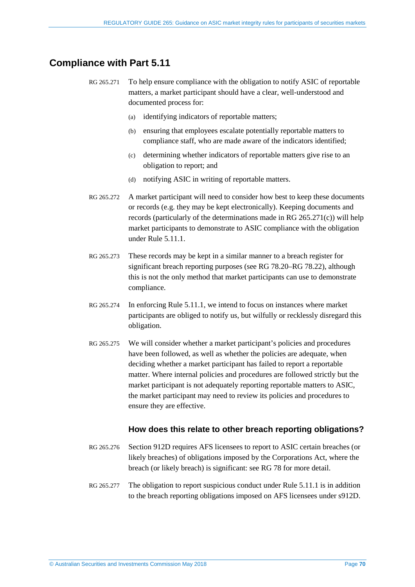# <span id="page-69-0"></span>**Compliance with Part 5.11**

- RG 265.271 To help ensure compliance with the obligation to notify ASIC of reportable matters, a market participant should have a clear, well-understood and documented process for:
	- (a) identifying indicators of reportable matters;
	- (b) ensuring that employees escalate potentially reportable matters to compliance staff, who are made aware of the indicators identified;
	- (c) determining whether indicators of reportable matters give rise to an obligation to report; and
	- (d) notifying ASIC in writing of reportable matters.
- <span id="page-69-3"></span>RG 265.272 A market participant will need to consider how best to keep these documents or records (e.g. they may be kept electronically). Keeping documents and records (particularly of the determinations made in RG [265.271\(c\)\)](#page-69-3) will help market participants to demonstrate to ASIC compliance with the obligation under Rule 5.11.1.
- RG 265.273 These records may be kept in a similar manner to a breach register for significant breach reporting purposes (see RG 78.20–RG 78.22), although this is not the only method that market participants can use to demonstrate compliance.
- RG 265.274 In enforcing Rule 5.11.1, we intend to focus on instances where market participants are obliged to notify us, but wilfully or recklessly disregard this obligation.
- <span id="page-69-1"></span>RG 265.275 We will consider whether a market participant's policies and procedures have been followed, as well as whether the policies are adequate, when deciding whether a market participant has failed to report a reportable matter. Where internal policies and procedures are followed strictly but the market participant is not adequately reporting reportable matters to ASIC, the market participant may need to review its policies and procedures to ensure they are effective.

## **How does this relate to other breach reporting obligations?**

- <span id="page-69-2"></span>RG 265.276 Section 912D requires AFS licensees to report to ASIC certain breaches (or likely breaches) of obligations imposed by the Corporations Act, where the breach (or likely breach) is significant: see RG 78 for more detail.
- RG 265.277 The obligation to report suspicious conduct under Rule 5.11.1 is in addition to the breach reporting obligations imposed on AFS licensees under s912D.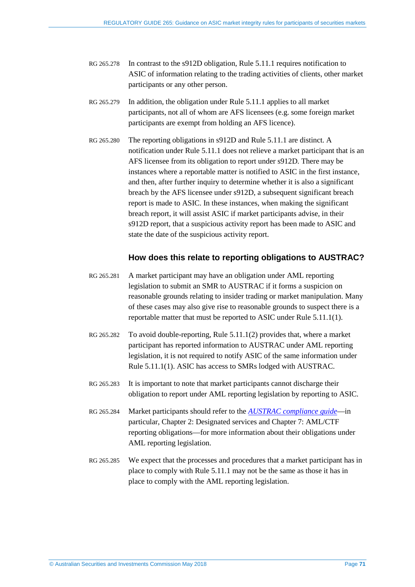- RG 265.278 In contrast to the s912D obligation, Rule 5.11.1 requires notification to ASIC of information relating to the trading activities of clients, other market participants or any other person.
- RG 265.279 In addition, the obligation under Rule 5.11.1 applies to all market participants, not all of whom are AFS licensees (e.g. some foreign market participants are exempt from holding an AFS licence).
- RG 265.280 The reporting obligations in s912D and Rule 5.11.1 are distinct. A notification under Rule 5.11.1 does not relieve a market participant that is an AFS licensee from its obligation to report under s912D. There may be instances where a reportable matter is notified to ASIC in the first instance, and then, after further inquiry to determine whether it is also a significant breach by the AFS licensee under s912D, a subsequent significant breach report is made to ASIC. In these instances, when making the significant breach report, it will assist ASIC if market participants advise, in their s912D report, that a suspicious activity report has been made to ASIC and state the date of the suspicious activity report.

## **How does this relate to reporting obligations to AUSTRAC?**

- <span id="page-70-2"></span>RG 265.281 A market participant may have an obligation under AML reporting legislation to submit an SMR to AUSTRAC if it forms a suspicion on reasonable grounds relating to insider trading or market manipulation. Many of these cases may also give rise to reasonable grounds to suspect there is a reportable matter that must be reported to ASIC under Rule 5.11.1(1).
- <span id="page-70-1"></span>RG 265.282 To avoid double-reporting, Rule  $5.11.1(2)$  provides that, where a market participant has reported information to AUSTRAC under AML reporting legislation, it is not required to notify ASIC of the same information under Rule 5.11.1(1). ASIC has access to SMRs lodged with AUSTRAC.
- RG 265.283 It is important to note that market participants cannot discharge their obligation to report under AML reporting legislation by reporting to ASIC.
- RG 265.284 Market participants should refer to the *[AUSTRAC compliance guide](http://www.austrac.gov.au/businesses/obligations-and-compliance/austrac-compliance-guide)*—in particular, Chapter 2: Designated services and Chapter 7: AML/CTF reporting obligations—for more information about their obligations under AML reporting legislation.
- <span id="page-70-0"></span>RG 265.285 We expect that the processes and procedures that a market participant has in place to comply with Rule 5.11.1 may not be the same as those it has in place to comply with the AML reporting legislation.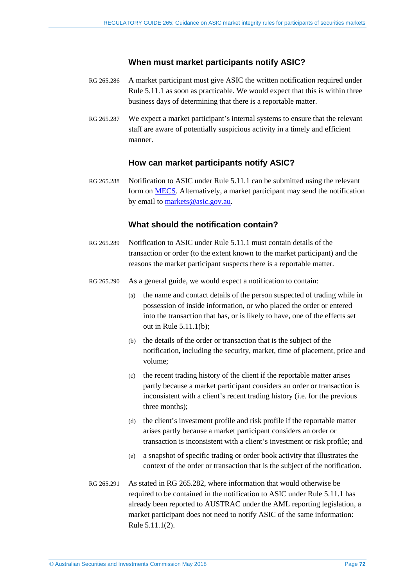## **When must market participants notify ASIC?**

- RG 265.286 A market participant must give ASIC the written notification required under Rule 5.11.1 as soon as practicable. We would expect that this is within three business days of determining that there is a reportable matter.
- RG 265.287 We expect a market participant's internal systems to ensure that the relevant staff are aware of potentially suspicious activity in a timely and efficient manner.

#### **How can market participants notify ASIC?**

RG 265.288 Notification to ASIC under Rule 5.11.1 can be submitted using the relevant form on [MECS.](http://asic.gov.au/online-services/market-entity-compliance-system/) Alternatively, a market participant may send the notification by email to [markets@asic.gov.au.](mailto:markets@asic.gov.au)

## **What should the notification contain?**

- <span id="page-71-0"></span>RG 265.289 Notification to ASIC under Rule 5.11.1 must contain details of the transaction or order (to the extent known to the market participant) and the reasons the market participant suspects there is a reportable matter.
- RG 265.290 As a general guide, we would expect a notification to contain:
	- (a) the name and contact details of the person suspected of trading while in possession of inside information, or who placed the order or entered into the transaction that has, or is likely to have, one of the effects set out in Rule 5.11.1(b);
	- (b) the details of the order or transaction that is the subject of the notification, including the security, market, time of placement, price and volume;
	- (c) the recent trading history of the client if the reportable matter arises partly because a market participant considers an order or transaction is inconsistent with a client's recent trading history (i.e. for the previous three months);
	- (d) the client's investment profile and risk profile if the reportable matter arises partly because a market participant considers an order or transaction is inconsistent with a client's investment or risk profile; and
	- (e) a snapshot of specific trading or order book activity that illustrates the context of the order or transaction that is the subject of the notification.
- <span id="page-71-1"></span>RG 265.291 As stated in RG [265.282,](#page-70-1) where information that would otherwise be required to be contained in the notification to ASIC under Rule 5.11.1 has already been reported to AUSTRAC under the AML reporting legislation, a market participant does not need to notify ASIC of the same information: Rule 5.11.1(2).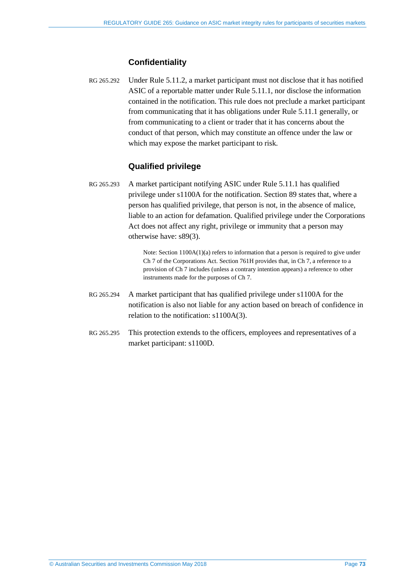# **Confidentiality**

RG 265.292 Under Rule 5.11.2, a market participant must not disclose that it has notified ASIC of a reportable matter under Rule 5.11.1, nor disclose the information contained in the notification. This rule does not preclude a market participant from communicating that it has obligations under Rule 5.11.1 generally, or from communicating to a client or trader that it has concerns about the conduct of that person, which may constitute an offence under the law or which may expose the market participant to risk.

# **Qualified privilege**

RG 265.293 A market participant notifying ASIC under Rule 5.11.1 has qualified privilege under s1100A for the notification. Section 89 states that, where a person has qualified privilege, that person is not, in the absence of malice, liable to an action for defamation. Qualified privilege under the Corporations Act does not affect any right, privilege or immunity that a person may otherwise have: s89(3).

> Note: Section 1100A(1)(a) refers to information that a person is required to give under Ch 7 of the Corporations Act. Section 761H provides that, in Ch 7, a reference to a provision of Ch 7 includes (unless a contrary intention appears) a reference to other instruments made for the purposes of Ch 7.

- RG 265.294 A market participant that has qualified privilege under s1100A for the notification is also not liable for any action based on breach of confidence in relation to the notification: s1100A(3).
- RG 265.295 This protection extends to the officers, employees and representatives of a market participant: s1100D.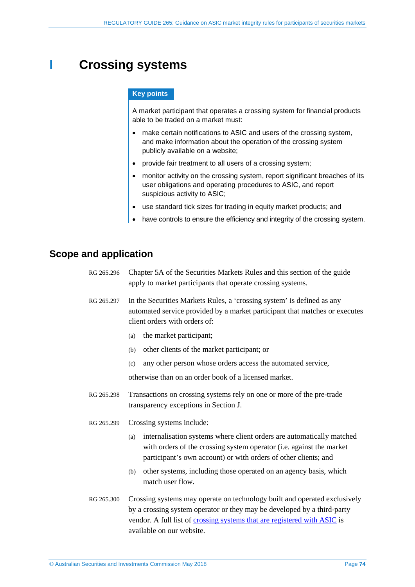# **I Crossing systems**

### **Key points**

A market participant that operates a crossing system for financial products able to be traded on a market must:

- make certain notifications to ASIC and users of the crossing system, and make information about the operation of the crossing system publicly available on a website;
- provide fair treatment to all users of a crossing system;
- monitor activity on the crossing system, report significant breaches of its user obligations and operating procedures to ASIC, and report suspicious activity to ASIC;
- use standard tick sizes for trading in equity market products; and
- have controls to ensure the efficiency and integrity of the crossing system.

# **Scope and application**

RG 265.296 Chapter 5A of the Securities Markets Rules and this section of the guide apply to market participants that operate crossing systems.

RG 265.297 In the Securities Markets Rules, a 'crossing system' is defined as any automated service provided by a market participant that matches or executes client orders with orders of:

- (a) the market participant;
- (b) other clients of the market participant; or
- (c) any other person whose orders access the automated service,

otherwise than on an order book of a licensed market.

- RG 265.298 Transactions on crossing systems rely on one or more of the pre-trade transparency exceptions in Section [J.](#page-91-0)
- RG 265.299 Crossing systems include:
	- (a) internalisation systems where client orders are automatically matched with orders of the crossing system operator (i.e. against the market participant's own account) or with orders of other clients; and
	- (b) other systems, including those operated on an agency basis, which match user flow.
- RG 265.300 Crossing systems may operate on technology built and operated exclusively by a crossing system operator or they may be developed by a third-party vendor. A full list of [crossing systems that are registered with ASIC](http://www.asic.gov.au/crossing-systems) is available on our website.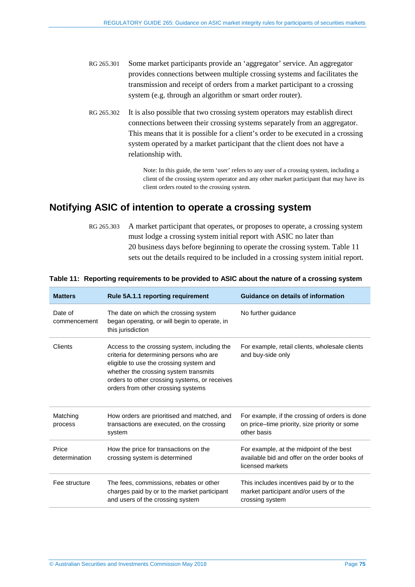- RG 265.301 Some market participants provide an 'aggregator' service. An aggregator provides connections between multiple crossing systems and facilitates the transmission and receipt of orders from a market participant to a crossing system (e.g. through an algorithm or smart order router).
- RG 265.302 It is also possible that two crossing system operators may establish direct connections between their crossing systems separately from an aggregator. This means that it is possible for a client's order to be executed in a crossing system operated by a market participant that the client does not have a relationship with.

Note: In this guide, the term 'user' refers to any user of a crossing system, including a client of the crossing system operator and any other market participant that may have its client orders routed to the crossing system.

# **Notifying ASIC of intention to operate a crossing system**

RG 265.303 A market participant that operates, or proposes to operate, a crossing system must lodge a crossing system initial report with ASIC no later than 20 business days before beginning to operate the crossing system. [Table 11](#page-74-0) sets out the details required to be included in a crossing system initial report.

| <b>Matters</b>          | <b>Rule 5A.1.1 reporting requirement</b>                                                                                                                                                                                                                            | Guidance on details of information                                                                             |
|-------------------------|---------------------------------------------------------------------------------------------------------------------------------------------------------------------------------------------------------------------------------------------------------------------|----------------------------------------------------------------------------------------------------------------|
| Date of<br>commencement | The date on which the crossing system<br>began operating, or will begin to operate, in<br>this jurisdiction                                                                                                                                                         | No further guidance                                                                                            |
| Clients                 | Access to the crossing system, including the<br>criteria for determining persons who are<br>eligible to use the crossing system and<br>whether the crossing system transmits<br>orders to other crossing systems, or receives<br>orders from other crossing systems | For example, retail clients, wholesale clients<br>and buy-side only                                            |
| Matching<br>process     | How orders are prioritised and matched, and<br>transactions are executed, on the crossing<br>system                                                                                                                                                                 | For example, if the crossing of orders is done<br>on price-time priority, size priority or some<br>other basis |
| Price<br>determination  | How the price for transactions on the<br>crossing system is determined                                                                                                                                                                                              | For example, at the midpoint of the best<br>available bid and offer on the order books of<br>licensed markets  |
| Fee structure           | The fees, commissions, rebates or other<br>charges paid by or to the market participant<br>and users of the crossing system                                                                                                                                         | This includes incentives paid by or to the<br>market participant and/or users of the<br>crossing system        |

### <span id="page-74-0"></span>**Table 11: Reporting requirements to be provided to ASIC about the nature of a crossing system**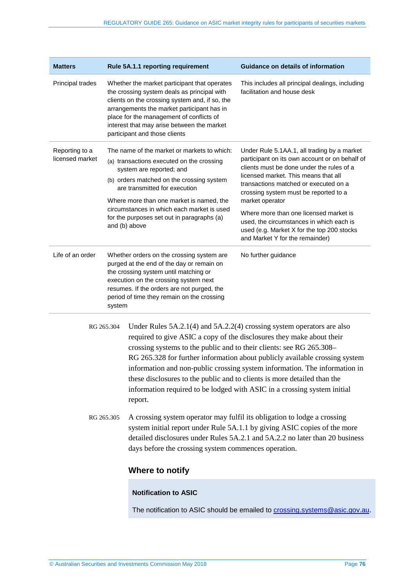| <b>Matters</b>                                                                                                                                                                                                                                                                                     |  | Rule 5A.1.1 reporting requirement                                                                                                                                                                                                                                                                                                                           | <b>Guidance on details of information</b>                                                                                                                                                                                                                                                                                                                                                                                                                                                                                                                    |
|----------------------------------------------------------------------------------------------------------------------------------------------------------------------------------------------------------------------------------------------------------------------------------------------------|--|-------------------------------------------------------------------------------------------------------------------------------------------------------------------------------------------------------------------------------------------------------------------------------------------------------------------------------------------------------------|--------------------------------------------------------------------------------------------------------------------------------------------------------------------------------------------------------------------------------------------------------------------------------------------------------------------------------------------------------------------------------------------------------------------------------------------------------------------------------------------------------------------------------------------------------------|
| Principal trades                                                                                                                                                                                                                                                                                   |  | Whether the market participant that operates<br>the crossing system deals as principal with<br>clients on the crossing system and, if so, the<br>arrangements the market participant has in<br>place for the management of conflicts of<br>interest that may arise between the market<br>participant and those clients                                      | This includes all principal dealings, including<br>facilitation and house desk                                                                                                                                                                                                                                                                                                                                                                                                                                                                               |
| Reporting to a<br>licensed market                                                                                                                                                                                                                                                                  |  | The name of the market or markets to which:<br>(a) transactions executed on the crossing<br>system are reported; and<br>(b) orders matched on the crossing system<br>are transmitted for execution<br>Where more than one market is named, the<br>circumstances in which each market is used<br>for the purposes set out in paragraphs (a)<br>and (b) above | Under Rule 5.1AA.1, all trading by a market<br>participant on its own account or on behalf of<br>clients must be done under the rules of a<br>licensed market. This means that all<br>transactions matched or executed on a<br>crossing system must be reported to a<br>market operator<br>Where more than one licensed market is<br>used, the circumstances in which each is<br>used (e.g. Market X for the top 200 stocks<br>and Market Y for the remainder)                                                                                               |
| Life of an order<br>Whether orders on the crossing system are<br>purged at the end of the day or remain on<br>the crossing system until matching or<br>execution on the crossing system next<br>resumes. If the orders are not purged, the<br>period of time they remain on the crossing<br>system |  |                                                                                                                                                                                                                                                                                                                                                             | No further guidance                                                                                                                                                                                                                                                                                                                                                                                                                                                                                                                                          |
| RG 265.304<br>RG 265.305                                                                                                                                                                                                                                                                           |  | required to give ASIC a copy of the disclosures they make about their<br>crossing systems to the public and to their clients: see RG 265.308–<br>these disclosures to the public and to clients is more detailed than the<br>report.                                                                                                                        | Under Rules $5A.2.1(4)$ and $5A.2.2(4)$ crossing system operators are also<br>RG 265.328 for further information about publicly available crossing system<br>information and non-public crossing system information. The information in<br>information required to be lodged with ASIC in a crossing system initial<br>A crossing system operator may fulfil its obligation to lodge a crossing<br>system initial report under Rule 5A.1.1 by giving ASIC copies of the more<br>detailed disclosures under Rules 5A.2.1 and 5A.2.2 no later than 20 business |
|                                                                                                                                                                                                                                                                                                    |  | days before the crossing system commences operation.<br>Where to notify                                                                                                                                                                                                                                                                                     |                                                                                                                                                                                                                                                                                                                                                                                                                                                                                                                                                              |
|                                                                                                                                                                                                                                                                                                    |  | <b>Notification to ASIC</b>                                                                                                                                                                                                                                                                                                                                 |                                                                                                                                                                                                                                                                                                                                                                                                                                                                                                                                                              |

The notification to ASIC should be emailed to [crossing.systems@asic.gov.au](mailto:crossing.systems@asic.gov.au).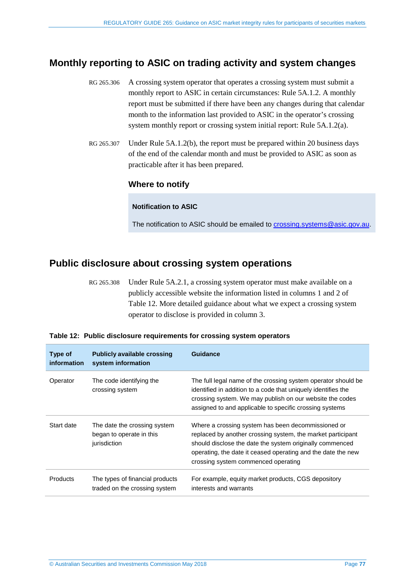# **Monthly reporting to ASIC on trading activity and system changes**

- RG 265.306 A crossing system operator that operates a crossing system must submit a monthly report to ASIC in certain circumstances: Rule 5A.1.2. A monthly report must be submitted if there have been any changes during that calendar month to the information last provided to ASIC in the operator's crossing system monthly report or crossing system initial report: Rule 5A.1.2(a).
- RG 265.307 Under Rule 5A.1.2(b), the report must be prepared within 20 business days of the end of the calendar month and must be provided to ASIC as soon as practicable after it has been prepared.

### **Where to notify**

### **Notification to ASIC**

The notification to ASIC should be emailed to **crossing.systems@asic.gov.au.** 

# <span id="page-76-0"></span>**Public disclosure about crossing system operations**

RG 265.308 Under Rule 5A.2.1, a crossing system operator must make available on a publicly accessible website the information listed in columns 1 and 2 of [Table 12.](#page-76-1) More detailed guidance about what we expect a crossing system operator to disclose is provided in column 3.

| Type of<br>information | <b>Publicly available crossing</b><br>system information                 | Guidance                                                                                                                                                                                                                                                                             |
|------------------------|--------------------------------------------------------------------------|--------------------------------------------------------------------------------------------------------------------------------------------------------------------------------------------------------------------------------------------------------------------------------------|
| Operator               | The code identifying the<br>crossing system                              | The full legal name of the crossing system operator should be<br>identified in addition to a code that uniquely identifies the<br>crossing system. We may publish on our website the codes<br>assigned to and applicable to specific crossing systems                                |
| Start date             | The date the crossing system<br>began to operate in this<br>jurisdiction | Where a crossing system has been decommissioned or<br>replaced by another crossing system, the market participant<br>should disclose the date the system originally commenced<br>operating, the date it ceased operating and the date the new<br>crossing system commenced operating |
| <b>Products</b>        | The types of financial products<br>traded on the crossing system         | For example, equity market products, CGS depository<br>interests and warrants                                                                                                                                                                                                        |

<span id="page-76-1"></span>

|  | Table 12: Public disclosure requirements for crossing system operators |  |  |  |
|--|------------------------------------------------------------------------|--|--|--|
|--|------------------------------------------------------------------------|--|--|--|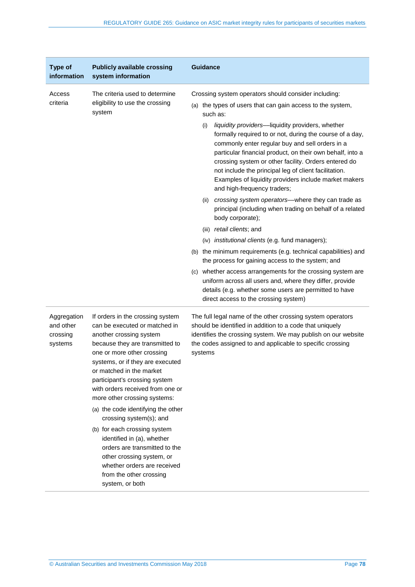| <b>Type of</b><br>information                   | <b>Publicly available crossing</b><br>system information                                                                                                                                                                                                                                                                                                                                                                                                                                                                                                                                                     | <b>Guidance</b>                                                                                                                                                                                                                                                                                                                                                                                                                                                                                                                                                                                                                                                                                                                                                                                                                                                                                                                                                                                                                                                                                                                                                          |
|-------------------------------------------------|--------------------------------------------------------------------------------------------------------------------------------------------------------------------------------------------------------------------------------------------------------------------------------------------------------------------------------------------------------------------------------------------------------------------------------------------------------------------------------------------------------------------------------------------------------------------------------------------------------------|--------------------------------------------------------------------------------------------------------------------------------------------------------------------------------------------------------------------------------------------------------------------------------------------------------------------------------------------------------------------------------------------------------------------------------------------------------------------------------------------------------------------------------------------------------------------------------------------------------------------------------------------------------------------------------------------------------------------------------------------------------------------------------------------------------------------------------------------------------------------------------------------------------------------------------------------------------------------------------------------------------------------------------------------------------------------------------------------------------------------------------------------------------------------------|
| Access<br>criteria                              | The criteria used to determine<br>eligibility to use the crossing<br>system                                                                                                                                                                                                                                                                                                                                                                                                                                                                                                                                  | Crossing system operators should consider including:<br>(a) the types of users that can gain access to the system,<br>such as:<br>liquidity providers-liquidity providers, whether<br>(i)<br>formally required to or not, during the course of a day,<br>commonly enter regular buy and sell orders in a<br>particular financial product, on their own behalf, into a<br>crossing system or other facility. Orders entered do<br>not include the principal leg of client facilitation.<br>Examples of liquidity providers include market makers<br>and high-frequency traders;<br>crossing system operators—where they can trade as<br>(ii)<br>principal (including when trading on behalf of a related<br>body corporate);<br>(iii) retail clients; and<br>(iv) <i>institutional clients</i> (e.g. fund managers);<br>(b) the minimum requirements (e.g. technical capabilities) and<br>the process for gaining access to the system; and<br>(c) whether access arrangements for the crossing system are<br>uniform across all users and, where they differ, provide<br>details (e.g. whether some users are permitted to have<br>direct access to the crossing system) |
| Aggregation<br>and other<br>crossing<br>systems | If orders in the crossing system<br>can be executed or matched in<br>another crossing system<br>because they are transmitted to<br>one or more other crossing<br>systems, or if they are executed<br>or matched in the market<br>participant's crossing system<br>with orders received from one or<br>more other crossing systems:<br>(a) the code identifying the other<br>crossing system(s); and<br>(b) for each crossing system<br>identified in (a), whether<br>orders are transmitted to the<br>other crossing system, or<br>whether orders are received<br>from the other crossing<br>system, or both | The full legal name of the other crossing system operators<br>should be identified in addition to a code that uniquely<br>identifies the crossing system. We may publish on our website<br>the codes assigned to and applicable to specific crossing<br>systems                                                                                                                                                                                                                                                                                                                                                                                                                                                                                                                                                                                                                                                                                                                                                                                                                                                                                                          |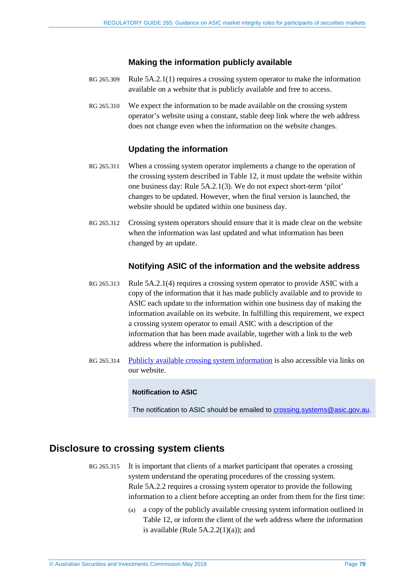## **Making the information publicly available**

- RG 265.309 Rule 5A.2.1(1) requires a crossing system operator to make the information available on a website that is publicly available and free to access.
- RG 265.310 We expect the information to be made available on the crossing system operator's website using a constant, stable deep link where the web address does not change even when the information on the website changes.

# **Updating the information**

- <span id="page-78-0"></span>RG 265.311 When a crossing system operator implements a change to the operation of the crossing system described in [Table 12,](#page-76-1) it must update the website within one business day: Rule 5A.2.1(3). We do not expect short-term 'pilot' changes to be updated. However, when the final version is launched, the website should be updated within one business day.
- RG 265.312 Crossing system operators should ensure that it is made clear on the website when the information was last updated and what information has been changed by an update.

### **Notifying ASIC of the information and the website address**

- RG 265.313 Rule 5A.2.1(4) requires a crossing system operator to provide ASIC with a copy of the information that it has made publicly available and to provide to ASIC each update to the information within one business day of making the information available on its website. In fulfilling this requirement, we expect a crossing system operator to email ASIC with a description of the information that has been made available, together with a link to the web address where the information is published.
- RG 265.314 [Publicly available crossing system information](http://www.asic.gov.au/crossing-systems) is also accessible via links on our website.

#### **Notification to ASIC**

The notification to ASIC should be emailed to [crossing.systems@asic.gov.au.](mailto:crossing.systems@asic.gov.au)

# **Disclosure to crossing system clients**

- RG 265.315 It is important that clients of a market participant that operates a crossing system understand the operating procedures of the crossing system. Rule 5A.2.2 requires a crossing system operator to provide the following information to a client before accepting an order from them for the first time:
	- (a) a copy of the publicly available crossing system information outlined in [Table 12,](#page-76-1) or inform the client of the web address where the information is available (Rule  $5A.2.2(1)(a)$ ); and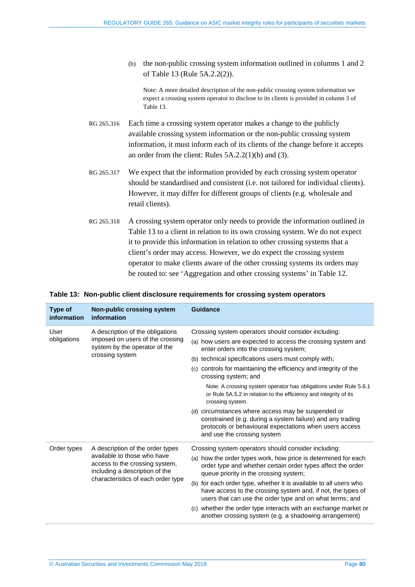(b) the non-public crossing system information outlined in columns 1 and 2 of [Table 13](#page-79-0) (Rule 5A.2.2(2)).

Note: A more detailed description of the non-public crossing system information we expect a crossing system operator to disclose to its clients is provided in column 3 of [Table 13.](#page-79-0)

- RG 265.316 Each time a crossing system operator makes a change to the publicly available crossing system information or the non-public crossing system information, it must inform each of its clients of the change before it accepts an order from the client: Rules 5A.2.2(1)(b) and (3).
- RG 265.317 We expect that the information provided by each crossing system operator should be standardised and consistent (i.e. not tailored for individual clients). However, it may differ for different groups of clients (e.g. wholesale and retail clients).
- RG 265.318 A crossing system operator only needs to provide the information outlined in [Table 13](#page-79-0) to a client in relation to its own crossing system. We do not expect it to provide this information in relation to other crossing systems that a client's order may access. However, we do expect the crossing system operator to make clients aware of the other crossing systems its orders may be routed to: see 'Aggregation and other crossing systems' in [Table 12.](#page-76-1)

<span id="page-79-0"></span>

|  |  | Table 13: Non-public client disclosure requirements for crossing system operators |  |  |  |  |
|--|--|-----------------------------------------------------------------------------------|--|--|--|--|
|--|--|-----------------------------------------------------------------------------------|--|--|--|--|

| Type of<br>information | <b>Non-public crossing system</b><br>information                                                                                                                          | <b>Guidance</b>                                                                                                                                                                                                                                                                                                                                                                                                                                                                                                                                                                                                                                                                                |
|------------------------|---------------------------------------------------------------------------------------------------------------------------------------------------------------------------|------------------------------------------------------------------------------------------------------------------------------------------------------------------------------------------------------------------------------------------------------------------------------------------------------------------------------------------------------------------------------------------------------------------------------------------------------------------------------------------------------------------------------------------------------------------------------------------------------------------------------------------------------------------------------------------------|
| User<br>obligations    | A description of the obligations<br>imposed on users of the crossing<br>system by the operator of the<br>crossing system                                                  | Crossing system operators should consider including:<br>(a) how users are expected to access the crossing system and<br>enter orders into the crossing system;<br>(b) technical specifications users must comply with;<br>(c) controls for maintaining the efficiency and integrity of the<br>crossing system; and<br>Note: A crossing system operator has obligations under Rule 5.6.1<br>or Rule 5A.5.2 in relation to the efficiency and integrity of its<br>crossing system.<br>(d) circumstances where access may be suspended or<br>constrained (e.g. during a system failure) and any trading<br>protocols or behavioural expectations when users access<br>and use the crossing system |
| Order types            | A description of the order types<br>available to those who have<br>access to the crossing system,<br>including a description of the<br>characteristics of each order type | Crossing system operators should consider including:<br>(a) how the order types work, how price is determined for each<br>order type and whether certain order types affect the order<br>queue priority in the crossing system;<br>(b) for each order type, whether it is available to all users who<br>have access to the crossing system and, if not, the types of<br>users that can use the order type and on what terms; and<br>(c) whether the order type interacts with an exchange market or<br>another crossing system (e.g. a shadowing arrangement)                                                                                                                                  |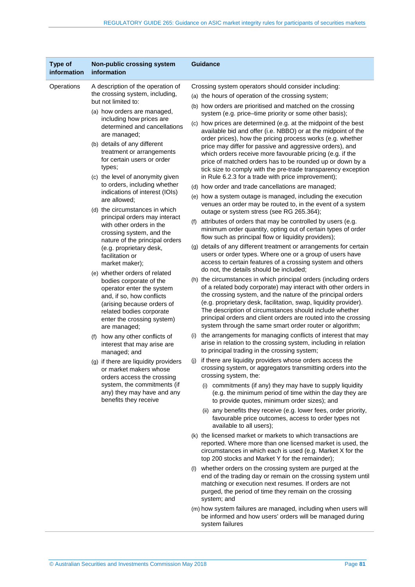| <b>Type of</b><br>information | <b>Non-public crossing system</b><br>information                                                                                                                                                                                                                                                                                                | <b>Guidance</b>                                                                                                                                                                                                                                                                                                                                                                                                                                                                                                                                                                                                                                                                                                                    |
|-------------------------------|-------------------------------------------------------------------------------------------------------------------------------------------------------------------------------------------------------------------------------------------------------------------------------------------------------------------------------------------------|------------------------------------------------------------------------------------------------------------------------------------------------------------------------------------------------------------------------------------------------------------------------------------------------------------------------------------------------------------------------------------------------------------------------------------------------------------------------------------------------------------------------------------------------------------------------------------------------------------------------------------------------------------------------------------------------------------------------------------|
| Operations                    | A description of the operation of<br>the crossing system, including,<br>but not limited to:<br>(a) how orders are managed,<br>including how prices are<br>determined and cancellations<br>are managed;<br>(b) details of any different<br>treatment or arrangements<br>for certain users or order<br>types;                                     | Crossing system operators should consider including:<br>(a) the hours of operation of the crossing system;<br>(b) how orders are prioritised and matched on the crossing<br>system (e.g. price-time priority or some other basis);<br>(c) how prices are determined (e.g. at the midpoint of the best<br>available bid and offer (i.e. NBBO) or at the midpoint of the<br>order prices), how the pricing process works (e.g. whether<br>price may differ for passive and aggressive orders), and<br>which orders receive more favourable pricing (e.g. if the<br>price of matched orders has to be rounded up or down by a<br>tick size to comply with the pre-trade transparency exception                                        |
|                               | (c) the level of anonymity given<br>to orders, including whether<br>indications of interest (IOIs)<br>are allowed;<br>(d) the circumstances in which<br>principal orders may interact<br>with other orders in the<br>crossing system, and the<br>nature of the principal orders<br>(e.g. proprietary desk,<br>facilitation or<br>market maker); | in Rule 6.2.3 for a trade with price improvement);<br>(d) how order and trade cancellations are managed;<br>(e) how a system outage is managed, including the execution<br>venues an order may be routed to, in the event of a system<br>outage or system stress (see RG 265.364);<br>(f) attributes of orders that may be controlled by users (e.g.<br>minimum order quantity, opting out of certain types of order<br>flow such as principal flow or liquidity providers);<br>(g) details of any different treatment or arrangements for certain<br>users or order types. Where one or a group of users have<br>access to certain features of a crossing system and others                                                       |
|                               | (e) whether orders of related<br>bodies corporate of the<br>operator enter the system<br>and, if so, how conflicts<br>(arising because orders of<br>related bodies corporate<br>enter the crossing system)<br>are managed;                                                                                                                      | do not, the details should be included;<br>(h) the circumstances in which principal orders (including orders<br>of a related body corporate) may interact with other orders in<br>the crossing system, and the nature of the principal orders<br>(e.g. proprietary desk, facilitation, swap, liquidity provider).<br>The description of circumstances should include whether<br>principal orders and client orders are routed into the crossing<br>system through the same smart order router or algorithm;                                                                                                                                                                                                                        |
|                               | how any other conflicts of<br>(f)<br>interest that may arise are<br>managed; and                                                                                                                                                                                                                                                                | (i) the arrangements for managing conflicts of interest that may<br>arise in relation to the crossing system, including in relation<br>to principal trading in the crossing system;                                                                                                                                                                                                                                                                                                                                                                                                                                                                                                                                                |
|                               | (g) if there are liquidity providers<br>or market makers whose<br>orders access the crossing<br>system, the commitments (if<br>any) they may have and any<br>benefits they receive                                                                                                                                                              | if there are liquidity providers whose orders access the<br>crossing system, or aggregators transmitting orders into the<br>crossing system, the:<br>(i) commitments (if any) they may have to supply liquidity<br>(e.g. the minimum period of time within the day they are<br>to provide quotes, minimum order sizes); and<br>(ii) any benefits they receive (e.g. lower fees, order priority,<br>favourable price outcomes, access to order types not<br>available to all users);<br>(k) the licensed market or markets to which transactions are<br>reported. Where more than one licensed market is used, the<br>circumstances in which each is used (e.g. Market X for the<br>top 200 stocks and Market Y for the remainder); |

- (l) whether orders on the crossing system are purged at the end of the trading day or remain on the crossing system until matching or execution next resumes. If orders are not purged, the period of time they remain on the crossing system; and
- (m) how system failures are managed, including when users will be informed and how users' orders will be managed during system failures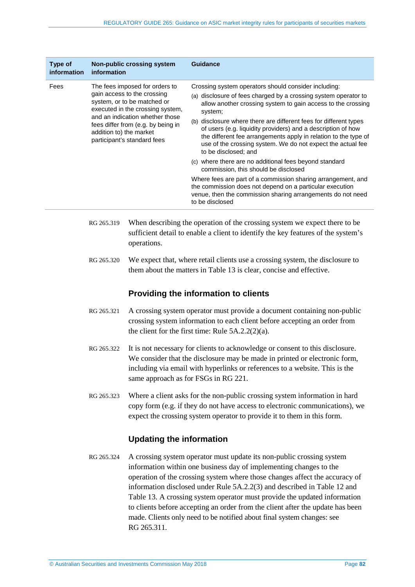| Type of<br>information                                                                                                                                                                                                                  | Non-public crossing system<br>information | Guidance                                                                                                                                                                                                                                                                                    |
|-----------------------------------------------------------------------------------------------------------------------------------------------------------------------------------------------------------------------------------------|-------------------------------------------|---------------------------------------------------------------------------------------------------------------------------------------------------------------------------------------------------------------------------------------------------------------------------------------------|
| Fees<br>The fees imposed for orders to<br>gain access to the crossing<br>system, or to be matched or<br>and an indication whether those<br>fees differ from (e.g. by being in<br>addition to) the market<br>participant's standard fees | executed in the crossing system,          | Crossing system operators should consider including:<br>(a) disclosure of fees charged by a crossing system operator to<br>allow another crossing system to gain access to the crossing<br>system;                                                                                          |
|                                                                                                                                                                                                                                         |                                           | (b) disclosure where there are different fees for different types<br>of users (e.g. liquidity providers) and a description of how<br>the different fee arrangements apply in relation to the type of<br>use of the crossing system. We do not expect the actual fee<br>to be disclosed; and |
|                                                                                                                                                                                                                                         |                                           | (c) where there are no additional fees beyond standard<br>commission, this should be disclosed                                                                                                                                                                                              |
|                                                                                                                                                                                                                                         |                                           | Where fees are part of a commission sharing arrangement, and<br>the commission does not depend on a particular execution<br>venue, then the commission sharing arrangements do not need<br>to be disclosed                                                                                  |

- RG 265.319 When describing the operation of the crossing system we expect there to be sufficient detail to enable a client to identify the key features of the system's operations.
- RG 265.320 We expect that, where retail clients use a crossing system, the disclosure to them about the matters in [Table 13](#page-79-0) is clear, concise and effective.

## **Providing the information to clients**

- RG 265.321 A crossing system operator must provide a document containing non-public crossing system information to each client before accepting an order from the client for the first time: Rule 5A.2.2(2)(a).
- RG 265.322 It is not necessary for clients to acknowledge or consent to this disclosure. We consider that the disclosure may be made in printed or electronic form, including via email with hyperlinks or references to a website. This is the same approach as for FSGs in RG 221.
- RG 265.323 Where a client asks for the non-public crossing system information in hard copy form (e.g. if they do not have access to electronic communications), we expect the crossing system operator to provide it to them in this form.

# **Updating the information**

RG 265.324 A crossing system operator must update its non-public crossing system information within one business day of implementing changes to the operation of the crossing system where those changes affect the accuracy of information disclosed under Rule 5A.2.2(3) and described in [Table 12](#page-76-1) and [Table 13.](#page-79-0) A crossing system operator must provide the updated information to clients before accepting an order from the client after the update has been made. Clients only need to be notified about final system changes: see RG [265.311.](#page-78-0)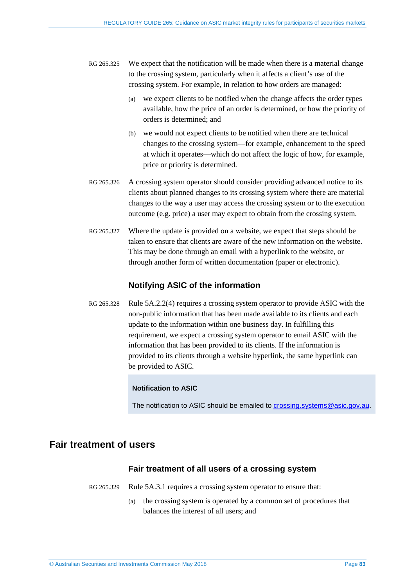- RG 265.325 We expect that the notification will be made when there is a material change to the crossing system, particularly when it affects a client's use of the crossing system. For example, in relation to how orders are managed:
	- (a) we expect clients to be notified when the change affects the order types available, how the price of an order is determined, or how the priority of orders is determined; and
	- (b) we would not expect clients to be notified when there are technical changes to the crossing system––for example, enhancement to the speed at which it operates––which do not affect the logic of how, for example, price or priority is determined.
- RG 265.326 A crossing system operator should consider providing advanced notice to its clients about planned changes to its crossing system where there are material changes to the way a user may access the crossing system or to the execution outcome (e.g. price) a user may expect to obtain from the crossing system.
- RG 265.327 Where the update is provided on a website, we expect that steps should be taken to ensure that clients are aware of the new information on the website. This may be done through an email with a hyperlink to the website, or through another form of written documentation (paper or electronic).

## **Notifying ASIC of the information**

<span id="page-82-0"></span>RG 265.328 Rule 5A.2.2(4) requires a crossing system operator to provide ASIC with the non-public information that has been made available to its clients and each update to the information within one business day. In fulfilling this requirement, we expect a crossing system operator to email ASIC with the information that has been provided to its clients. If the information is provided to its clients through a website hyperlink, the same hyperlink can be provided to ASIC.

### **Notification to ASIC**

The notification to ASIC should be emailed to [crossing.systems@asic.gov.au.](mailto:crossing.systems@asic.gov.au)

# **Fair treatment of users**

### **Fair treatment of all users of a crossing system**

RG 265.329 Rule 5A.3.1 requires a crossing system operator to ensure that:

(a) the crossing system is operated by a common set of procedures that balances the interest of all users; and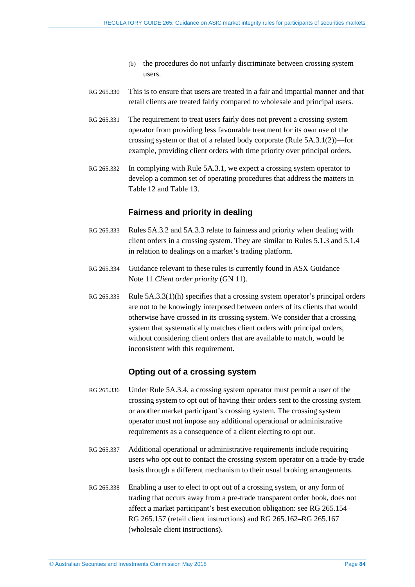- (b) the procedures do not unfairly discriminate between crossing system users.
- RG 265.330 This is to ensure that users are treated in a fair and impartial manner and that retail clients are treated fairly compared to wholesale and principal users.
- RG 265.331 The requirement to treat users fairly does not prevent a crossing system operator from providing less favourable treatment for its own use of the crossing system or that of a related body corporate (Rule 5A.3.1(2))—for example, providing client orders with time priority over principal orders.
- <span id="page-83-0"></span>RG 265.332 In complying with Rule 5A.3.1, we expect a crossing system operator to develop a common set of operating procedures that address the matters in [Table 12](#page-76-1) and [Table 13.](#page-79-0)

## **Fairness and priority in dealing**

- RG 265.333 Rules 5A.3.2 and 5A.3.3 relate to fairness and priority when dealing with client orders in a crossing system. They are similar to Rules 5.1.3 and 5.1.4 in relation to dealings on a market's trading platform.
- RG 265.334 Guidance relevant to these rules is currently found in ASX Guidance Note 11 *Client order priority* (GN 11).
- RG 265.335 Rule 5A.3.3(1)(h) specifies that a crossing system operator's principal orders are not to be knowingly interposed between orders of its clients that would otherwise have crossed in its crossing system. We consider that a crossing system that systematically matches client orders with principal orders, without considering client orders that are available to match, would be inconsistent with this requirement.

### **Opting out of a crossing system**

- RG 265.336 Under Rule 5A.3.4, a crossing system operator must permit a user of the crossing system to opt out of having their orders sent to the crossing system or another market participant's crossing system. The crossing system operator must not impose any additional operational or administrative requirements as a consequence of a client electing to opt out.
- RG 265.337 Additional operational or administrative requirements include requiring users who opt out to contact the crossing system operator on a trade-by-trade basis through a different mechanism to their usual broking arrangements.
- RG 265.338 Enabling a user to elect to opt out of a crossing system, or any form of trading that occurs away from a pre-trade transparent order book, does not affect a market participant's best execution obligation: see RG [265.154–](#page-37-0) RG [265.157](#page-38-0) (retail client instructions) and RG [265.162–](#page-39-0)RG [265.167](#page-40-0) (wholesale client instructions).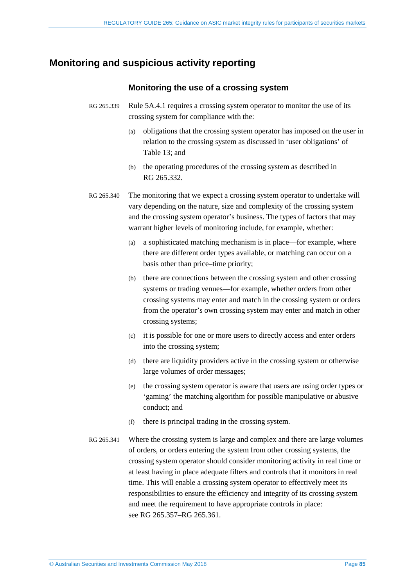# **Monitoring and suspicious activity reporting**

## **Monitoring the use of a crossing system**

- RG 265.339 Rule 5A.4.1 requires a crossing system operator to monitor the use of its crossing system for compliance with the:
	- (a) obligations that the crossing system operator has imposed on the user in relation to the crossing system as discussed in 'user obligations' of [Table 13;](#page-79-0) and
	- (b) the operating procedures of the crossing system as described in RG [265.332.](#page-83-0)
- RG 265.340 The monitoring that we expect a crossing system operator to undertake will vary depending on the nature, size and complexity of the crossing system and the crossing system operator's business. The types of factors that may warrant higher levels of monitoring include, for example, whether:
	- (a) a sophisticated matching mechanism is in place––for example, where there are different order types available, or matching can occur on a basis other than price–time priority;
	- (b) there are connections between the crossing system and other crossing systems or trading venues––for example, whether orders from other crossing systems may enter and match in the crossing system or orders from the operator's own crossing system may enter and match in other crossing systems;
	- (c) it is possible for one or more users to directly access and enter orders into the crossing system;
	- (d) there are liquidity providers active in the crossing system or otherwise large volumes of order messages;
	- (e) the crossing system operator is aware that users are using order types or 'gaming' the matching algorithm for possible manipulative or abusive conduct; and
	- (f) there is principal trading in the crossing system.
- RG 265.341 Where the crossing system is large and complex and there are large volumes of orders, or orders entering the system from other crossing systems, the crossing system operator should consider monitoring activity in real time or at least having in place adequate filters and controls that it monitors in real time. This will enable a crossing system operator to effectively meet its responsibilities to ensure the efficiency and integrity of its crossing system and meet the requirement to have appropriate controls in place: see RG [265.357–](#page-88-0)RG [265.361.](#page-89-0)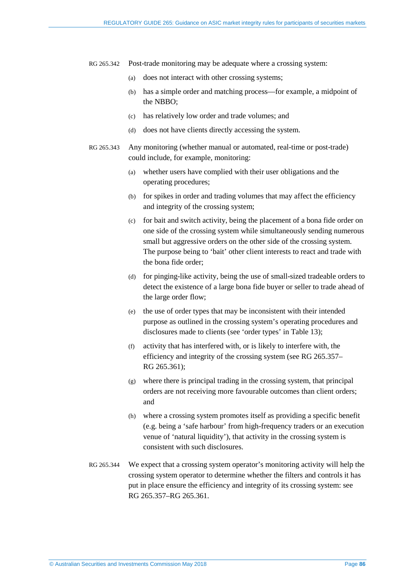RG 265.342 Post-trade monitoring may be adequate where a crossing system:

- (a) does not interact with other crossing systems;
- (b) has a simple order and matching process—for example, a midpoint of the NBBO;
- (c) has relatively low order and trade volumes; and
- (d) does not have clients directly accessing the system.
- RG 265.343 Any monitoring (whether manual or automated, real-time or post-trade) could include, for example, monitoring:
	- (a) whether users have complied with their user obligations and the operating procedures;
	- (b) for spikes in order and trading volumes that may affect the efficiency and integrity of the crossing system;
	- (c) for bait and switch activity, being the placement of a bona fide order on one side of the crossing system while simultaneously sending numerous small but aggressive orders on the other side of the crossing system. The purpose being to 'bait' other client interests to react and trade with the bona fide order;
	- (d) for pinging-like activity, being the use of small-sized tradeable orders to detect the existence of a large bona fide buyer or seller to trade ahead of the large order flow;
	- (e) the use of order types that may be inconsistent with their intended purpose as outlined in the crossing system's operating procedures and disclosures made to clients (see 'order types' in [Table 13\)](#page-79-0);
	- (f) activity that has interfered with, or is likely to interfere with, the efficiency and integrity of the crossing system (see RG [265.357–](#page-88-0) RG [265.361\)](#page-89-0);
	- (g) where there is principal trading in the crossing system, that principal orders are not receiving more favourable outcomes than client orders; and
	- (h) where a crossing system promotes itself as providing a specific benefit (e.g. being a 'safe harbour' from high-frequency traders or an execution venue of 'natural liquidity'), that activity in the crossing system is consistent with such disclosures.
- RG 265.344 We expect that a crossing system operator's monitoring activity will help the crossing system operator to determine whether the filters and controls it has put in place ensure the efficiency and integrity of its crossing system: see RG [265.357–](#page-88-0)RG [265.361.](#page-89-0)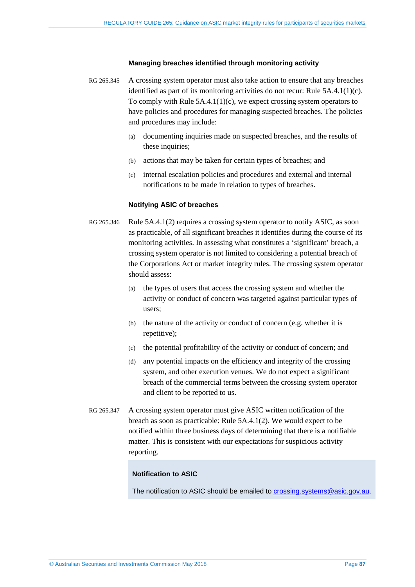#### **Managing breaches identified through monitoring activity**

- RG 265.345 A crossing system operator must also take action to ensure that any breaches identified as part of its monitoring activities do not recur: Rule 5A.4.1(1)(c). To comply with Rule 5A.4.1(1)(c), we expect crossing system operators to have policies and procedures for managing suspected breaches. The policies and procedures may include:
	- (a) documenting inquiries made on suspected breaches, and the results of these inquiries;
	- (b) actions that may be taken for certain types of breaches; and
	- (c) internal escalation policies and procedures and external and internal notifications to be made in relation to types of breaches.

#### **Notifying ASIC of breaches**

- RG 265.346 Rule 5A.4.1(2) requires a crossing system operator to notify ASIC, as soon as practicable, of all significant breaches it identifies during the course of its monitoring activities. In assessing what constitutes a 'significant' breach, a crossing system operator is not limited to considering a potential breach of the Corporations Act or market integrity rules. The crossing system operator should assess:
	- (a) the types of users that access the crossing system and whether the activity or conduct of concern was targeted against particular types of users;
	- (b) the nature of the activity or conduct of concern (e.g. whether it is repetitive);
	- (c) the potential profitability of the activity or conduct of concern; and
	- (d) any potential impacts on the efficiency and integrity of the crossing system, and other execution venues. We do not expect a significant breach of the commercial terms between the crossing system operator and client to be reported to us.
- RG 265.347 A crossing system operator must give ASIC written notification of the breach as soon as practicable: Rule 5A.4.1(2). We would expect to be notified within three business days of determining that there is a notifiable matter. This is consistent with our expectations for suspicious activity reporting.

#### **Notification to ASIC**

The notification to ASIC should be emailed to **crossing.systems@asic.gov.au**.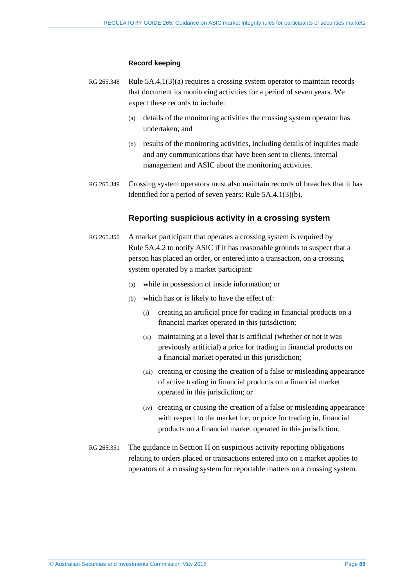#### **Record keeping**

- RG 265.348 Rule 5A.4.1(3)(a) requires a crossing system operator to maintain records that document its monitoring activities for a period of seven years. We expect these records to include:
	- (a) details of the monitoring activities the crossing system operator has undertaken; and
	- (b) results of the monitoring activities, including details of inquiries made and any communications that have been sent to clients, internal management and ASIC about the monitoring activities.
- RG 265.349 Crossing system operators must also maintain records of breaches that it has identified for a period of seven years: Rule 5A.4.1(3)(b).

## **Reporting suspicious activity in a crossing system**

- RG 265.350 A market participant that operates a crossing system is required by Rule 5A.4.2 to notify ASIC if it has reasonable grounds to suspect that a person has placed an order, or entered into a transaction, on a crossing system operated by a market participant:
	- (a) while in possession of inside information; or
	- (b) which has or is likely to have the effect of:
		- (i) creating an artificial price for trading in financial products on a financial market operated in this jurisdiction;
		- (ii) maintaining at a level that is artificial (whether or not it was previously artificial) a price for trading in financial products on a financial market operated in this jurisdiction;
		- (iii) creating or causing the creation of a false or misleading appearance of active trading in financial products on a financial market operated in this jurisdiction; or
		- (iv) creating or causing the creation of a false or misleading appearance with respect to the market for, or price for trading in, financial products on a financial market operated in this jurisdiction.
- RG 265.351 The guidance in Sectio[n H](#page-58-0) on suspicious activity reporting obligations relating to orders placed or transactions entered into on a market applies to operators of a crossing system for reportable matters on a crossing system.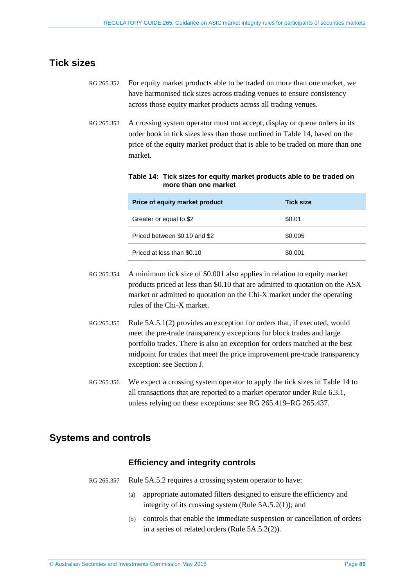# **Tick sizes**

- RG 265.352 For equity market products able to be traded on more than one market, we have harmonised tick sizes across trading venues to ensure consistency across those equity market products across all trading venues.
- <span id="page-88-1"></span>RG 265.353 A crossing system operator must not accept, display or queue orders in its order book in tick sizes less than those outlined i[n Table 14,](#page-88-1) based on the price of the equity market product that is able to be traded on more than one market.

#### **Table 14: Tick sizes for equity market products able to be traded on more than one market**

| Price of equity market product | <b>Tick size</b> |
|--------------------------------|------------------|
| Greater or equal to \$2        | \$0.01           |
| Priced between \$0.10 and \$2  | \$0,005          |
| Priced at less than \$0.10     | \$0.001          |

- RG 265.354 A minimum tick size of \$0.001 also applies in relation to equity market products priced at less than \$0.10 that are admitted to quotation on the ASX market or admitted to quotation on the Chi-X market under the operating rules of the Chi-X market.
- RG 265.355 Rule 5A.5.1(2) provides an exception for orders that, if executed, would meet the pre-trade transparency exceptions for block trades and large portfolio trades. There is also an exception for orders matched at the best midpoint for trades that meet the price improvement pre-trade transparency exception: see Section [J.](#page-91-0)
- RG 265.356 We expect a crossing system operator to apply the tick sizes in [Table 14](#page-88-1) to all transactions that are reported to a market operator under Rule 6.3.1, unless relying on these exceptions: see RG [265.419–](#page-101-0)RG [265.437.](#page-105-0)

# <span id="page-88-0"></span>**Systems and controls**

### **Efficiency and integrity controls**

- RG 265.357 Rule 5A.5.2 requires a crossing system operator to have:
	- (a) appropriate automated filters designed to ensure the efficiency and integrity of its crossing system (Rule 5A.5.2(1)); and
	- (b) controls that enable the immediate suspension or cancellation of orders in a series of related orders (Rule 5A.5.2(2)).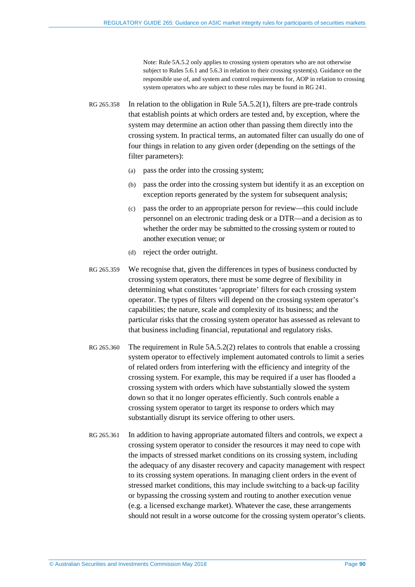Note: Rule 5A.5.2 only applies to crossing system operators who are not otherwise subject to Rules 5.6.1 and 5.6.3 in relation to their crossing system(s). Guidance on the responsible use of, and system and control requirements for, AOP in relation to crossing system operators who are subject to these rules may be found in RG 241.

- RG 265.358 In relation to the obligation in Rule 5A.5.2(1), filters are pre-trade controls that establish points at which orders are tested and, by exception, where the system may determine an action other than passing them directly into the crossing system. In practical terms, an automated filter can usually do one of four things in relation to any given order (depending on the settings of the filter parameters):
	- (a) pass the order into the crossing system;
	- (b) pass the order into the crossing system but identify it as an exception on exception reports generated by the system for subsequent analysis;
	- (c) pass the order to an appropriate person for review––this could include personnel on an electronic trading desk or a DTR––and a decision as to whether the order may be submitted to the crossing system or routed to another execution venue; or
	- (d) reject the order outright.
- RG 265.359 We recognise that, given the differences in types of business conducted by crossing system operators, there must be some degree of flexibility in determining what constitutes 'appropriate' filters for each crossing system operator. The types of filters will depend on the crossing system operator's capabilities; the nature, scale and complexity of its business; and the particular risks that the crossing system operator has assessed as relevant to that business including financial, reputational and regulatory risks.
- RG 265.360 The requirement in Rule 5A.5.2(2) relates to controls that enable a crossing system operator to effectively implement automated controls to limit a series of related orders from interfering with the efficiency and integrity of the crossing system. For example, this may be required if a user has flooded a crossing system with orders which have substantially slowed the system down so that it no longer operates efficiently. Such controls enable a crossing system operator to target its response to orders which may substantially disrupt its service offering to other users.
- <span id="page-89-0"></span>RG 265.361 In addition to having appropriate automated filters and controls, we expect a crossing system operator to consider the resources it may need to cope with the impacts of stressed market conditions on its crossing system, including the adequacy of any disaster recovery and capacity management with respect to its crossing system operations. In managing client orders in the event of stressed market conditions, this may include switching to a back-up facility or bypassing the crossing system and routing to another execution venue (e.g. a licensed exchange market). Whatever the case, these arrangements should not result in a worse outcome for the crossing system operator's clients.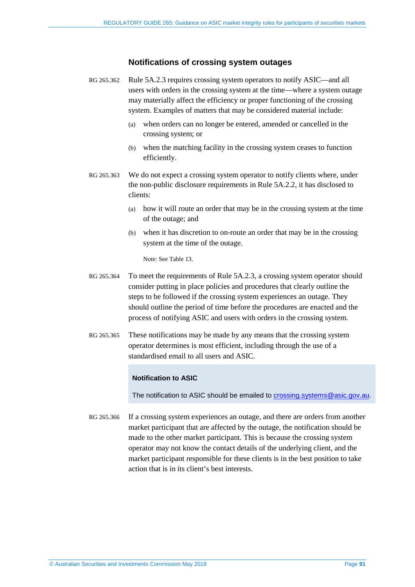### **Notifications of crossing system outages**

- RG 265.362 Rule 5A.2.3 requires crossing system operators to notify ASIC—and all users with orders in the crossing system at the time—where a system outage may materially affect the efficiency or proper functioning of the crossing system. Examples of matters that may be considered material include:
	- (a) when orders can no longer be entered, amended or cancelled in the crossing system; or
	- (b) when the matching facility in the crossing system ceases to function efficiently.
- RG 265.363 We do not expect a crossing system operator to notify clients where, under the non-public disclosure requirements in Rule 5A.2.2, it has disclosed to clients:
	- (a) how it will route an order that may be in the crossing system at the time of the outage; and
	- (b) when it has discretion to on-route an order that may be in the crossing system at the time of the outage.

Note: See [Table 13.](#page-79-0)

- <span id="page-90-0"></span>RG 265.364 To meet the requirements of Rule 5A.2.3, a crossing system operator should consider putting in place policies and procedures that clearly outline the steps to be followed if the crossing system experiences an outage. They should outline the period of time before the procedures are enacted and the process of notifying ASIC and users with orders in the crossing system.
- RG 265.365 These notifications may be made by any means that the crossing system operator determines is most efficient, including through the use of a standardised email to all users and ASIC.

### **Notification to ASIC**

The notification to ASIC should be emailed to [crossing.systems@asic.gov.au.](mailto:crossing.systems@asic.gov.au)

RG 265.366 If a crossing system experiences an outage, and there are orders from another market participant that are affected by the outage, the notification should be made to the other market participant. This is because the crossing system operator may not know the contact details of the underlying client, and the market participant responsible for these clients is in the best position to take action that is in its client's best interests.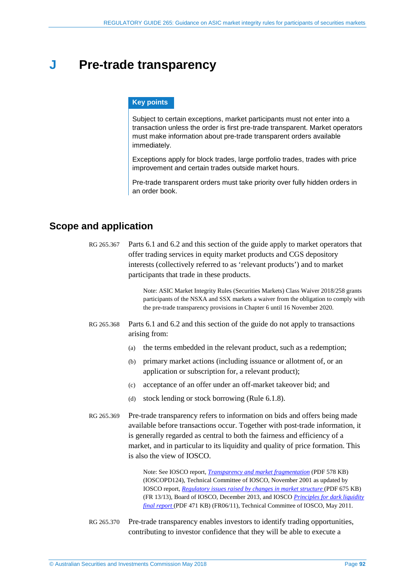# <span id="page-91-0"></span>**J Pre-trade transparency**

### **Key points**

Subject to certain exceptions, market participants must not enter into a transaction unless the order is first pre-trade transparent. Market operators must make information about pre-trade transparent orders available immediately.

Exceptions apply for block trades, large portfolio trades, trades with price improvement and certain trades outside market hours.

Pre-trade transparent orders must take priority over fully hidden orders in an order book.

# **Scope and application**

RG 265.367 Parts 6.1 and 6.2 and this section of the guide apply to market operators that offer trading services in equity market products and CGS depository interests (collectively referred to as 'relevant products') and to market participants that trade in these products.

> Note: ASIC Market Integrity Rules (Securities Markets) Class Waiver 2018/258 grants participants of the NSXA and SSX markets a waiver from the obligation to comply with the pre-trade transparency provisions in Chapter 6 until 16 November 2020.

- RG 265.368 Parts 6.1 and 6.2 and this section of the guide do not apply to transactions arising from:
	- (a) the terms embedded in the relevant product, such as a redemption;
	- (b) primary market actions (including issuance or allotment of, or an application or subscription for, a relevant product);
	- (c) acceptance of an offer under an off-market takeover bid; and
	- (d) stock lending or stock borrowing (Rule 6.1.8).
- RG 265.369 Pre-trade transparency refers to information on bids and offers being made available before transactions occur. Together with post-trade information, it is generally regarded as central to both the fairness and efficiency of a market, and in particular to its liquidity and quality of price formation. This is also the view of IOSCO.

Note: See IOSCO report, *[Transparency and market](https://www.iosco.org/library/pubdocs/pdf/IOSCOPD124.pdf) fragmentation* (PDF 578 KB) (IOSCOPD124), Technical Committee of IOSCO, November 2001 as updated by IOSCO report, *[Regulatory issues raised by changes in market structure](http://www.iosco.org/library/pubdocs/pdf/IOSCOPD431.pdf)* (PDF 675 KB) (FR 13/13), Board of IOSCO, December 2013, and IOSCO *[Principles for dark liquidity](http://www.iosco.org/library/pubdocs/pdf/IOSCOPD353.pdf)  [final report](http://www.iosco.org/library/pubdocs/pdf/IOSCOPD353.pdf)* (PDF 471 KB) (FR06/11), Technical Committee of IOSCO, May 2011.

RG 265.370 Pre-trade transparency enables investors to identify trading opportunities, contributing to investor confidence that they will be able to execute a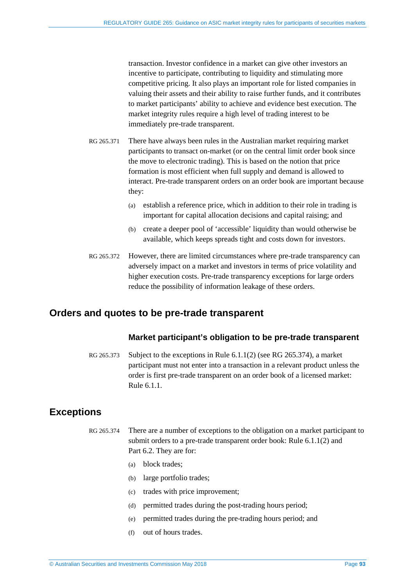transaction. Investor confidence in a market can give other investors an incentive to participate, contributing to liquidity and stimulating more competitive pricing. It also plays an important role for listed companies in valuing their assets and their ability to raise further funds, and it contributes to market participants' ability to achieve and evidence best execution. The market integrity rules require a high level of trading interest to be immediately pre-trade transparent.

- RG 265.371 There have always been rules in the Australian market requiring market participants to transact on-market (or on the central limit order book since the move to electronic trading). This is based on the notion that price formation is most efficient when full supply and demand is allowed to interact. Pre-trade transparent orders on an order book are important because they:
	- (a) establish a reference price, which in addition to their role in trading is important for capital allocation decisions and capital raising; and
	- (b) create a deeper pool of 'accessible' liquidity than would otherwise be available, which keeps spreads tight and costs down for investors.
- RG 265.372 However, there are limited circumstances where pre-trade transparency can adversely impact on a market and investors in terms of price volatility and higher execution costs. Pre-trade transparency exceptions for large orders reduce the possibility of information leakage of these orders.

# **Orders and quotes to be pre-trade transparent**

### **Market participant's obligation to be pre-trade transparent**

RG 265.373 Subject to the exceptions in Rule 6.1.1(2) (see RG [265.374\)](#page-92-0), a market participant must not enter into a transaction in a relevant product unless the order is first pre-trade transparent on an order book of a licensed market: Rule 6.1.1.

# <span id="page-92-0"></span>**Exceptions**

- RG 265.374 There are a number of exceptions to the obligation on a market participant to submit orders to a pre-trade transparent order book: Rule 6.1.1(2) and Part 6.2. They are for:
	- (a) block trades;
	- (b) large portfolio trades;
	- (c) trades with price improvement;
	- (d) permitted trades during the post-trading hours period;
	- (e) permitted trades during the pre-trading hours period; and
	- (f) out of hours trades.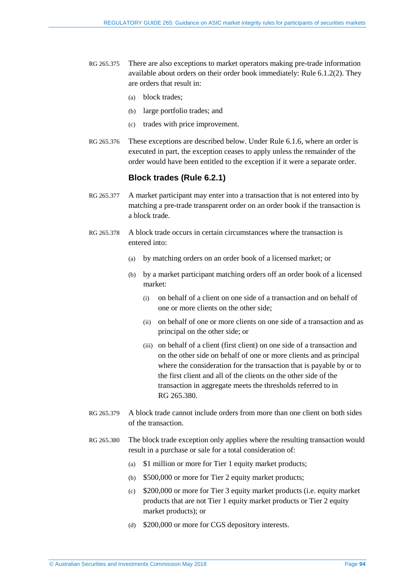- RG 265.375 There are also exceptions to market operators making pre-trade information available about orders on their order book immediately: Rule 6.1.2(2). They are orders that result in:
	- (a) block trades;
	- (b) large portfolio trades; and
	- (c) trades with price improvement.
- RG 265.376 These exceptions are described below. Under Rule 6.1.6, where an order is executed in part, the exception ceases to apply unless the remainder of the order would have been entitled to the exception if it were a separate order.

### **Block trades (Rule 6.2.1)**

- RG 265.377 A market participant may enter into a transaction that is not entered into by matching a pre-trade transparent order on an order book if the transaction is a block trade.
- RG 265.378 A block trade occurs in certain circumstances where the transaction is entered into:
	- (a) by matching orders on an order book of a licensed market; or
	- (b) by a market participant matching orders off an order book of a licensed market:
		- (i) on behalf of a client on one side of a transaction and on behalf of one or more clients on the other side;
		- (ii) on behalf of one or more clients on one side of a transaction and as principal on the other side; or
		- (iii) on behalf of a client (first client) on one side of a transaction and on the other side on behalf of one or more clients and as principal where the consideration for the transaction that is payable by or to the first client and all of the clients on the other side of the transaction in aggregate meets the thresholds referred to in RG [265.380.](#page-93-0)
- RG 265.379 A block trade cannot include orders from more than one client on both sides of the transaction.
- <span id="page-93-0"></span>RG 265.380 The block trade exception only applies where the resulting transaction would result in a purchase or sale for a total consideration of:
	- (a) \$1 million or more for Tier 1 equity market products;
	- (b) \$500,000 or more for Tier 2 equity market products;
	- (c) \$200,000 or more for Tier 3 equity market products (i.e. equity market products that are not Tier 1 equity market products or Tier 2 equity market products); or
	- (d) \$200,000 or more for CGS depository interests.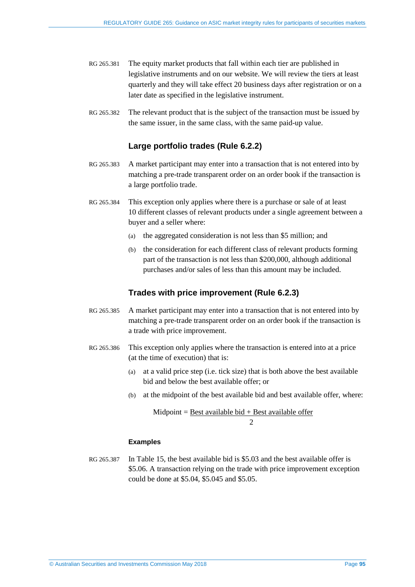- RG 265.381 The equity market products that fall within each tier are published in legislative instruments and on our website. We will review the tiers at least quarterly and they will take effect 20 business days after registration or on a later date as specified in the legislative instrument.
- RG 265.382 The relevant product that is the subject of the transaction must be issued by the same issuer, in the same class, with the same paid-up value.

## **Large portfolio trades (Rule 6.2.2)**

- RG 265.383 A market participant may enter into a transaction that is not entered into by matching a pre-trade transparent order on an order book if the transaction is a large portfolio trade.
- RG 265.384 This exception only applies where there is a purchase or sale of at least 10 different classes of relevant products under a single agreement between a buyer and a seller where:
	- (a) the aggregated consideration is not less than \$5 million; and
	- (b) the consideration for each different class of relevant products forming part of the transaction is not less than \$200,000, although additional purchases and/or sales of less than this amount may be included.

## **Trades with price improvement (Rule 6.2.3)**

- RG 265.385 A market participant may enter into a transaction that is not entered into by matching a pre-trade transparent order on an order book if the transaction is a trade with price improvement.
- RG 265.386 This exception only applies where the transaction is entered into at a price (at the time of execution) that is:
	- (a) at a valid price step (i.e. tick size) that is both above the best available bid and below the best available offer; or
	- (b) at the midpoint of the best available bid and best available offer, where:

 $Midpoint = Best available bid + Best available offer$ 2

#### **Examples**

RG 265.387 In [Table 15,](#page-95-0) the best available bid is \$5.03 and the best available offer is \$5.06. A transaction relying on the trade with price improvement exception could be done at \$5.04, \$5.045 and \$5.05.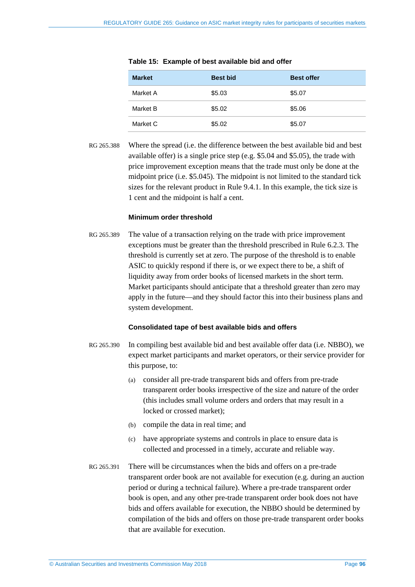<span id="page-95-0"></span>

| <b>Market</b> | <b>Best bid</b> | <b>Best offer</b> |
|---------------|-----------------|-------------------|
| Market A      | \$5.03          | \$5.07            |
| Market B      | \$5.02          | \$5.06            |
| Market C      | \$5.02          | \$5.07            |

**Table 15: Example of best available bid and offer**

RG 265.388 Where the spread (i.e. the difference between the best available bid and best available offer) is a single price step (e.g. \$5.04 and \$5.05), the trade with price improvement exception means that the trade must only be done at the midpoint price (i.e. \$5.045). The midpoint is not limited to the standard tick sizes for the relevant product in Rule 9.4.1. In this example, the tick size is 1 cent and the midpoint is half a cent.

### **Minimum order threshold**

RG 265.389 The value of a transaction relying on the trade with price improvement exceptions must be greater than the threshold prescribed in Rule 6.2.3. The threshold is currently set at zero. The purpose of the threshold is to enable ASIC to quickly respond if there is, or we expect there to be, a shift of liquidity away from order books of licensed markets in the short term. Market participants should anticipate that a threshold greater than zero may apply in the future—and they should factor this into their business plans and system development.

### **Consolidated tape of best available bids and offers**

- RG 265.390 In compiling best available bid and best available offer data (i.e. NBBO), we expect market participants and market operators, or their service provider for this purpose, to:
	- (a) consider all pre-trade transparent bids and offers from pre-trade transparent order books irrespective of the size and nature of the order (this includes small volume orders and orders that may result in a locked or crossed market);
	- (b) compile the data in real time; and
	- (c) have appropriate systems and controls in place to ensure data is collected and processed in a timely, accurate and reliable way.
- RG 265.391 There will be circumstances when the bids and offers on a pre-trade transparent order book are not available for execution (e.g. during an auction period or during a technical failure). Where a pre-trade transparent order book is open, and any other pre-trade transparent order book does not have bids and offers available for execution, the NBBO should be determined by compilation of the bids and offers on those pre-trade transparent order books that are available for execution.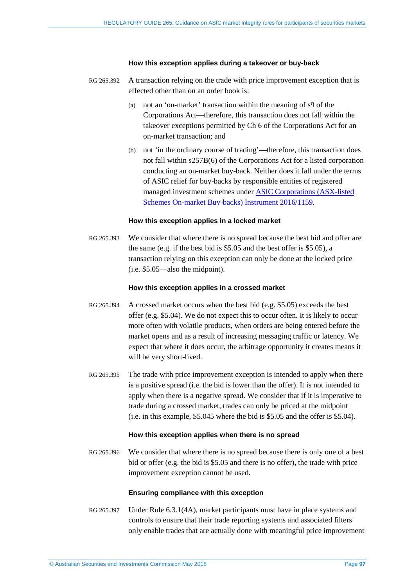#### **How this exception applies during a takeover or buy-back**

- RG 265.392 A transaction relying on the trade with price improvement exception that is effected other than on an order book is:
	- (a) not an 'on-market' transaction within the meaning of s9 of the Corporations Act—therefore, this transaction does not fall within the takeover exceptions permitted by Ch 6 of the Corporations Act for an on-market transaction; and
	- (b) not 'in the ordinary course of trading'—therefore, this transaction does not fall within s257B(6) of the Corporations Act for a listed corporation conducting an on-market buy-back. Neither does it fall under the terms of ASIC relief for buy-backs by responsible entities of registered managed investment schemes under [ASIC Corporations \(ASX-listed](https://www.legislation.gov.au/Details/F2016L01946)  [Schemes On-market Buy-backs\) Instrument 2016/1159.](https://www.legislation.gov.au/Details/F2016L01946)

#### **How this exception applies in a locked market**

RG 265.393 We consider that where there is no spread because the best bid and offer are the same (e.g. if the best bid is \$5.05 and the best offer is \$5.05), a transaction relying on this exception can only be done at the locked price (i.e. \$5.05—also the midpoint).

#### **How this exception applies in a crossed market**

- RG 265.394 A crossed market occurs when the best bid (e.g. \$5.05) exceeds the best offer (e.g. \$5.04). We do not expect this to occur often. It is likely to occur more often with volatile products, when orders are being entered before the market opens and as a result of increasing messaging traffic or latency. We expect that where it does occur, the arbitrage opportunity it creates means it will be very short-lived.
- RG 265.395 The trade with price improvement exception is intended to apply when there is a positive spread (i.e. the bid is lower than the offer). It is not intended to apply when there is a negative spread. We consider that if it is imperative to trade during a crossed market, trades can only be priced at the midpoint (i.e. in this example, \$5.045 where the bid is \$5.05 and the offer is \$5.04).

#### **How this exception applies when there is no spread**

RG 265.396 We consider that where there is no spread because there is only one of a best bid or offer (e.g. the bid is \$5.05 and there is no offer), the trade with price improvement exception cannot be used.

#### **Ensuring compliance with this exception**

RG 265.397 Under Rule 6.3.1(4A), market participants must have in place systems and controls to ensure that their trade reporting systems and associated filters only enable trades that are actually done with meaningful price improvement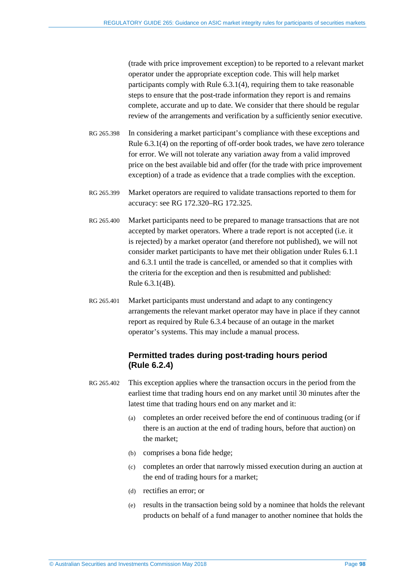(trade with price improvement exception) to be reported to a relevant market operator under the appropriate exception code. This will help market participants comply with Rule 6.3.1(4), requiring them to take reasonable steps to ensure that the post-trade information they report is and remains complete, accurate and up to date. We consider that there should be regular review of the arrangements and verification by a sufficiently senior executive.

- RG 265.398 In considering a market participant's compliance with these exceptions and Rule 6.3.1(4) on the reporting of off-order book trades, we have zero tolerance for error. We will not tolerate any variation away from a valid improved price on the best available bid and offer (for the trade with price improvement exception) of a trade as evidence that a trade complies with the exception.
- RG 265.399 Market operators are required to validate transactions reported to them for accuracy: see RG 172.320–RG 172.325.
- RG 265.400 Market participants need to be prepared to manage transactions that are not accepted by market operators. Where a trade report is not accepted (i.e. it is rejected) by a market operator (and therefore not published), we will not consider market participants to have met their obligation under Rules 6.1.1 and 6.3.1 until the trade is cancelled, or amended so that it complies with the criteria for the exception and then is resubmitted and published: Rule 6.3.1(4B).
- RG 265.401 Market participants must understand and adapt to any contingency arrangements the relevant market operator may have in place if they cannot report as required by Rule 6.3.4 because of an outage in the market operator's systems. This may include a manual process.

# **Permitted trades during post-trading hours period (Rule 6.2.4)**

- RG 265.402 This exception applies where the transaction occurs in the period from the earliest time that trading hours end on any market until 30 minutes after the latest time that trading hours end on any market and it:
	- (a) completes an order received before the end of continuous trading (or if there is an auction at the end of trading hours, before that auction) on the market;
	- (b) comprises a bona fide hedge;
	- (c) completes an order that narrowly missed execution during an auction at the end of trading hours for a market;
	- (d) rectifies an error; or
	- (e) results in the transaction being sold by a nominee that holds the relevant products on behalf of a fund manager to another nominee that holds the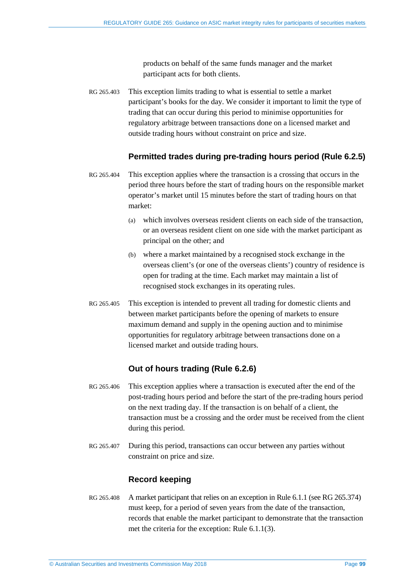products on behalf of the same funds manager and the market participant acts for both clients.

RG 265.403 This exception limits trading to what is essential to settle a market participant's books for the day. We consider it important to limit the type of trading that can occur during this period to minimise opportunities for regulatory arbitrage between transactions done on a licensed market and outside trading hours without constraint on price and size.

### **Permitted trades during pre-trading hours period (Rule 6.2.5)**

- RG 265.404 This exception applies where the transaction is a crossing that occurs in the period three hours before the start of trading hours on the responsible market operator's market until 15 minutes before the start of trading hours on that market:
	- (a) which involves overseas resident clients on each side of the transaction, or an overseas resident client on one side with the market participant as principal on the other; and
	- (b) where a market maintained by a recognised stock exchange in the overseas client's (or one of the overseas clients') country of residence is open for trading at the time. Each market may maintain a list of recognised stock exchanges in its operating rules.
- RG 265.405 This exception is intended to prevent all trading for domestic clients and between market participants before the opening of markets to ensure maximum demand and supply in the opening auction and to minimise opportunities for regulatory arbitrage between transactions done on a licensed market and outside trading hours.

## **Out of hours trading (Rule 6.2.6)**

- RG 265.406 This exception applies where a transaction is executed after the end of the post-trading hours period and before the start of the pre-trading hours period on the next trading day. If the transaction is on behalf of a client, the transaction must be a crossing and the order must be received from the client during this period.
- RG 265.407 During this period, transactions can occur between any parties without constraint on price and size.

### **Record keeping**

RG 265.408 A market participant that relies on an exception in Rule 6.1.1 (see RG [265.374\)](#page-92-0) must keep, for a period of seven years from the date of the transaction, records that enable the market participant to demonstrate that the transaction met the criteria for the exception: Rule 6.1.1(3).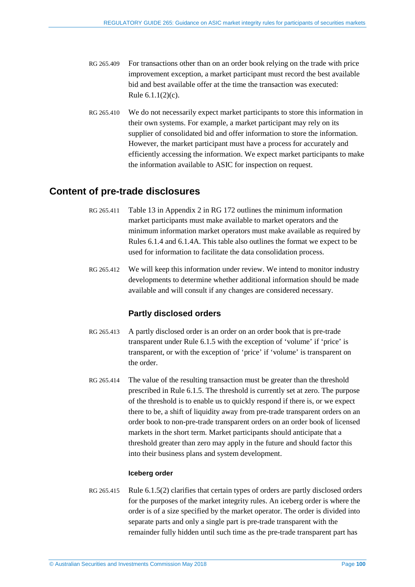- RG 265.409 For transactions other than on an order book relying on the trade with price improvement exception, a market participant must record the best available bid and best available offer at the time the transaction was executed: Rule 6.1.1(2)(c).
- RG 265.410 We do not necessarily expect market participants to store this information in their own systems. For example, a market participant may rely on its supplier of consolidated bid and offer information to store the information. However, the market participant must have a process for accurately and efficiently accessing the information. We expect market participants to make the information available to ASIC for inspection on request.

# **Content of pre-trade disclosures**

- RG 265.411 Table 13 in Appendix 2 in RG 172 outlines the minimum information market participants must make available to market operators and the minimum information market operators must make available as required by Rules 6.1.4 and 6.1.4A. This table also outlines the format we expect to be used for information to facilitate the data consolidation process.
- RG 265.412 We will keep this information under review. We intend to monitor industry developments to determine whether additional information should be made available and will consult if any changes are considered necessary.

# **Partly disclosed orders**

- RG 265.413 A partly disclosed order is an order on an order book that is pre-trade transparent under Rule 6.1.5 with the exception of 'volume' if 'price' is transparent, or with the exception of 'price' if 'volume' is transparent on the order.
- RG 265.414 The value of the resulting transaction must be greater than the threshold prescribed in Rule 6.1.5. The threshold is currently set at zero. The purpose of the threshold is to enable us to quickly respond if there is, or we expect there to be, a shift of liquidity away from pre-trade transparent orders on an order book to non-pre-trade transparent orders on an order book of licensed markets in the short term. Market participants should anticipate that a threshold greater than zero may apply in the future and should factor this into their business plans and system development.

### **Iceberg order**

RG 265.415 Rule 6.1.5(2) clarifies that certain types of orders are partly disclosed orders for the purposes of the market integrity rules. An iceberg order is where the order is of a size specified by the market operator. The order is divided into separate parts and only a single part is pre-trade transparent with the remainder fully hidden until such time as the pre-trade transparent part has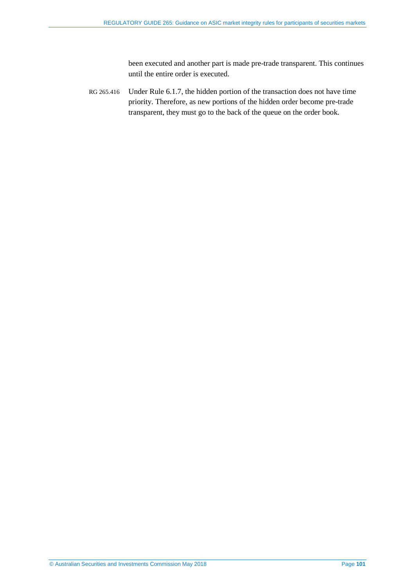been executed and another part is made pre-trade transparent. This continues until the entire order is executed.

RG 265.416 Under Rule 6.1.7, the hidden portion of the transaction does not have time priority. Therefore, as new portions of the hidden order become pre-trade transparent, they must go to the back of the queue on the order book.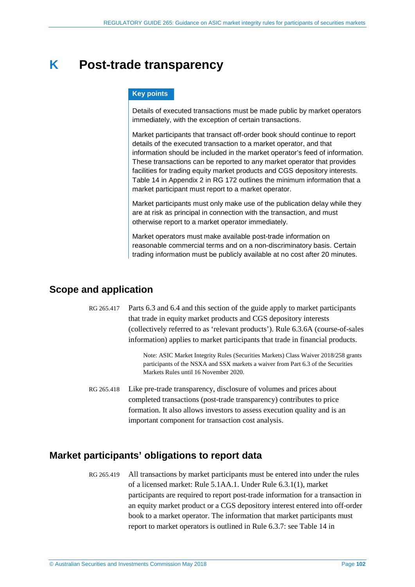# **K Post-trade transparency**

### **Key points**

Details of executed transactions must be made public by market operators immediately, with the exception of certain transactions.

Market participants that transact off-order book should continue to report details of the executed transaction to a market operator, and that information should be included in the market operator's feed of information. These transactions can be reported to any market operator that provides facilities for trading equity market products and CGS depository interests. Table 14 in Appendix 2 in RG 172 outlines the minimum information that a market participant must report to a market operator.

Market participants must only make use of the publication delay while they are at risk as principal in connection with the transaction, and must otherwise report to a market operator immediately.

Market operators must make available post-trade information on reasonable commercial terms and on a non-discriminatory basis. Certain trading information must be publicly available at no cost after 20 minutes.

# **Scope and application**

RG 265.417 Parts 6.3 and 6.4 and this section of the guide apply to market participants that trade in equity market products and CGS depository interests (collectively referred to as 'relevant products'). Rule 6.3.6A (course-of-sales information) applies to market participants that trade in financial products.

> Note: ASIC Market Integrity Rules (Securities Markets) Class Waiver 2018/258 grants participants of the NSXA and SSX markets a waiver from Part 6.3 of the Securities Markets Rules until 16 November 2020.

RG 265.418 Like pre-trade transparency, disclosure of volumes and prices about completed transactions (post-trade transparency) contributes to price formation. It also allows investors to assess execution quality and is an important component for transaction cost analysis.

# <span id="page-101-0"></span>**Market participants' obligations to report data**

RG 265.419 All transactions by market participants must be entered into under the rules of a licensed market: Rule 5.1AA.1. Under Rule 6.3.1(1), market participants are required to report post-trade information for a transaction in an equity market product or a CGS depository interest entered into off-order book to a market operator. The information that market participants must report to market operators is outlined in Rule 6.3.7: see Table 14 in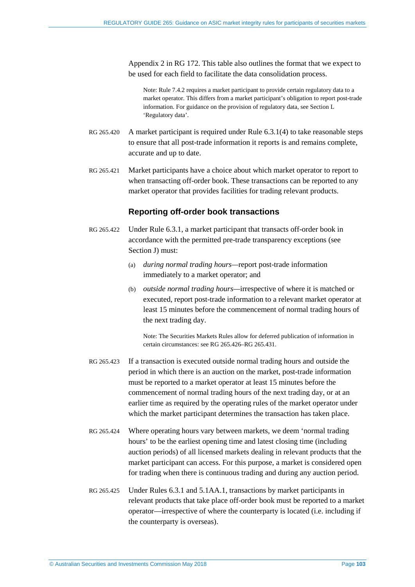Appendix 2 in RG 172. This table also outlines the format that we expect to be used for each field to facilitate the data consolidation process.

Note: Rule 7.4.2 requires a market participant to provide certain regulatory data to a market operator. This differs from a market participant's obligation to report post-trade information. For guidance on the provision of regulatory data, see Section [L](#page-107-0) ['Regulatory data'](#page-107-0).

- RG 265.420 A market participant is required under Rule 6.3.1(4) to take reasonable steps to ensure that all post-trade information it reports is and remains complete, accurate and up to date.
- RG 265.421 Market participants have a choice about which market operator to report to when transacting off-order book. These transactions can be reported to any market operator that provides facilities for trading relevant products.

### **Reporting off-order book transactions**

- RG 265.422 Under Rule 6.3.1, a market participant that transacts off-order book in accordance with the permitted pre-trade transparency exceptions (see Section [J\)](#page-91-0) must:
	- (a) *during normal trading hours—*report post-trade information immediately to a market operator; and
	- (b) *outside normal trading hours—*irrespective of where it is matched or executed, report post-trade information to a relevant market operator at least 15 minutes before the commencement of normal trading hours of the next trading day.

Note: The Securities Markets Rules allow for deferred publication of information in certain circumstances: see RG [265.426–](#page-103-0)RG [265.431.](#page-103-1)

- RG 265.423 If a transaction is executed outside normal trading hours and outside the period in which there is an auction on the market, post-trade information must be reported to a market operator at least 15 minutes before the commencement of normal trading hours of the next trading day, or at an earlier time as required by the operating rules of the market operator under which the market participant determines the transaction has taken place.
- RG 265.424 Where operating hours vary between markets, we deem 'normal trading hours' to be the earliest opening time and latest closing time (including auction periods) of all licensed markets dealing in relevant products that the market participant can access. For this purpose, a market is considered open for trading when there is continuous trading and during any auction period.
- RG 265.425 Under Rules 6.3.1 and 5.1AA.1, transactions by market participants in relevant products that take place off-order book must be reported to a market operator—irrespective of where the counterparty is located (i.e. including if the counterparty is overseas).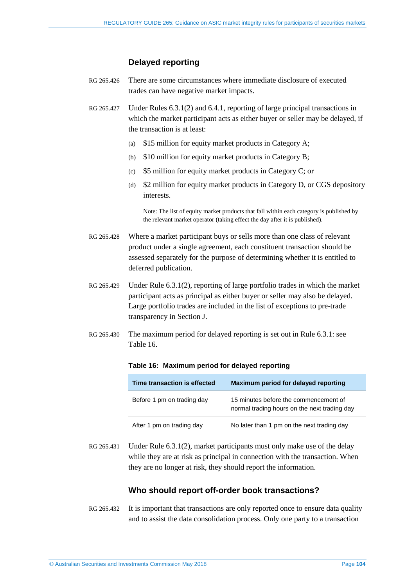# **Delayed reporting**

<span id="page-103-0"></span>RG 265.426 There are some circumstances where immediate disclosure of executed trades can have negative market impacts.

RG 265.427 Under Rules 6.3.1(2) and 6.4.1, reporting of large principal transactions in which the market participant acts as either buyer or seller may be delayed, if the transaction is at least:

- (a) \$15 million for equity market products in Category A;
- (b) \$10 million for equity market products in Category B;
- (c) \$5 million for equity market products in Category C; or
- (d) \$2 million for equity market products in Category D, or CGS depository interests.

Note: The list of equity market products that fall within each category is published by the relevant market operator (taking effect the day after it is published).

- RG 265.428 Where a market participant buys or sells more than one class of relevant product under a single agreement, each constituent transaction should be assessed separately for the purpose of determining whether it is entitled to deferred publication.
- RG 265.429 Under Rule 6.3.1(2), reporting of large portfolio trades in which the market participant acts as principal as either buyer or seller may also be delayed. Large portfolio trades are included in the list of exceptions to pre-trade transparency in Section [J.](#page-91-0)
- <span id="page-103-2"></span>RG 265.430 The maximum period for delayed reporting is set out in Rule 6.3.1: see [Table 16.](#page-103-2)

#### **Table 16: Maximum period for delayed reporting**

| Time transaction is effected | Maximum period for delayed reporting                                                  |
|------------------------------|---------------------------------------------------------------------------------------|
| Before 1 pm on trading day   | 15 minutes before the commencement of<br>normal trading hours on the next trading day |
| After 1 pm on trading day    | No later than 1 pm on the next trading day                                            |

<span id="page-103-1"></span>RG 265.431 Under Rule 6.3.1(2), market participants must only make use of the delay while they are at risk as principal in connection with the transaction. When they are no longer at risk, they should report the information.

### **Who should report off-order book transactions?**

RG 265.432 It is important that transactions are only reported once to ensure data quality and to assist the data consolidation process. Only one party to a transaction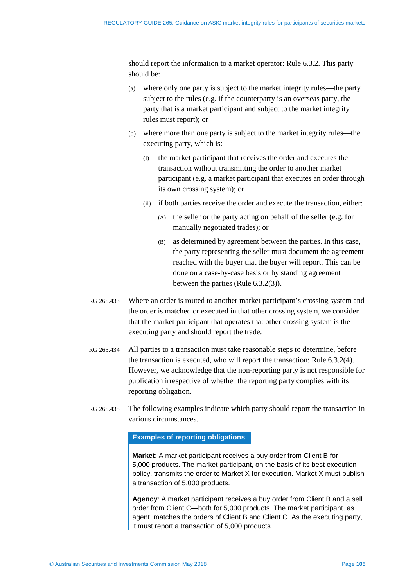should report the information to a market operator: Rule 6.3.2. This party should be:

- (a) where only one party is subject to the market integrity rules—the party subject to the rules (e.g. if the counterparty is an overseas party, the party that is a market participant and subject to the market integrity rules must report); or
- (b) where more than one party is subject to the market integrity rules—the executing party, which is:
	- (i) the market participant that receives the order and executes the transaction without transmitting the order to another market participant (e.g. a market participant that executes an order through its own crossing system); or
	- (ii) if both parties receive the order and execute the transaction, either:
		- (A) the seller or the party acting on behalf of the seller (e.g. for manually negotiated trades); or
		- (B) as determined by agreement between the parties. In this case, the party representing the seller must document the agreement reached with the buyer that the buyer will report. This can be done on a case-by-case basis or by standing agreement between the parties (Rule 6.3.2(3)).
- RG 265.433 Where an order is routed to another market participant's crossing system and the order is matched or executed in that other crossing system, we consider that the market participant that operates that other crossing system is the executing party and should report the trade.
- RG 265.434 All parties to a transaction must take reasonable steps to determine, before the transaction is executed, who will report the transaction: Rule 6.3.2(4). However, we acknowledge that the non-reporting party is not responsible for publication irrespective of whether the reporting party complies with its reporting obligation.
- RG 265.435 The following examples indicate which party should report the transaction in various circumstances.

### **Examples of reporting obligations**

**Market**: A market participant receives a buy order from Client B for 5,000 products. The market participant, on the basis of its best execution policy, transmits the order to Market X for execution. Market X must publish a transaction of 5,000 products.

**Agency**: A market participant receives a buy order from Client B and a sell order from Client C—both for 5,000 products. The market participant, as agent, matches the orders of Client B and Client C. As the executing party, it must report a transaction of 5,000 products.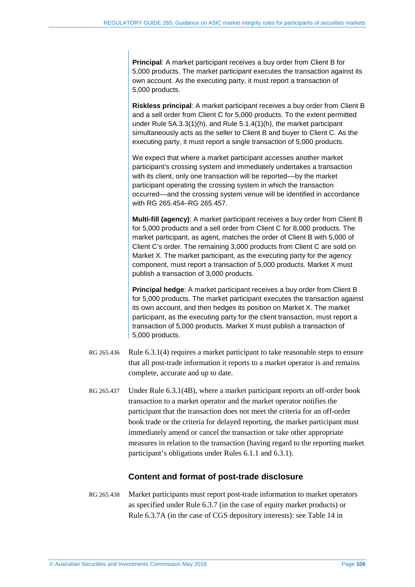**Principal:** A market participant receives a buy order from Client B for 5,000 products. The market participant executes the transaction against its own account. As the executing party, it must report a transaction of 5,000 products.

**Riskless principal**: A market participant receives a buy order from Client B and a sell order from Client C for 5,000 products. To the extent permitted under Rule 5A.3.3(1)(h), and Rule 5.1.4(1)(h), the market participant simultaneously acts as the seller to Client B and buyer to Client C. As the executing party, it must report a single transaction of 5,000 products.

We expect that where a market participant accesses another market participant's crossing system and immediately undertakes a transaction with its client, only one transaction will be reported––by the market participant operating the crossing system in which the transaction occurred––and the crossing system venue will be identified in accordance with RG [265.454–](#page-110-0)RG [265.457.](#page-111-0)

**Multi-fill (agency)**: A market participant receives a buy order from Client B for 5,000 products and a sell order from Client C for 8,000 products. The market participant, as agent, matches the order of Client B with 5,000 of Client C's order. The remaining 3,000 products from Client C are sold on Market X. The market participant, as the executing party for the agency component, must report a transaction of 5,000 products. Market X must publish a transaction of 3,000 products.

**Principal hedge**: A market participant receives a buy order from Client B for 5,000 products. The market participant executes the transaction against its own account, and then hedges its position on Market X. The market participant, as the executing party for the client transaction, must report a transaction of 5,000 products. Market X must publish a transaction of 5,000 products.

- RG 265.436 Rule 6.3.1(4) requires a market participant to take reasonable steps to ensure that all post-trade information it reports to a market operator is and remains complete, accurate and up to date.
- <span id="page-105-0"></span>RG 265.437 Under Rule 6.3.1(4B), where a market participant reports an off-order book transaction to a market operator and the market operator notifies the participant that the transaction does not meet the criteria for an off-order book trade or the criteria for delayed reporting, the market participant must immediately amend or cancel the transaction or take other appropriate measures in relation to the transaction (having regard to the reporting market participant's obligations under Rules 6.1.1 and 6.3.1).

# **Content and format of post-trade disclosure**

RG 265.438 Market participants must report post-trade information to market operators as specified under Rule 6.3.7 (in the case of equity market products) or Rule 6.3.7A (in the case of CGS depository interests): see Table 14 in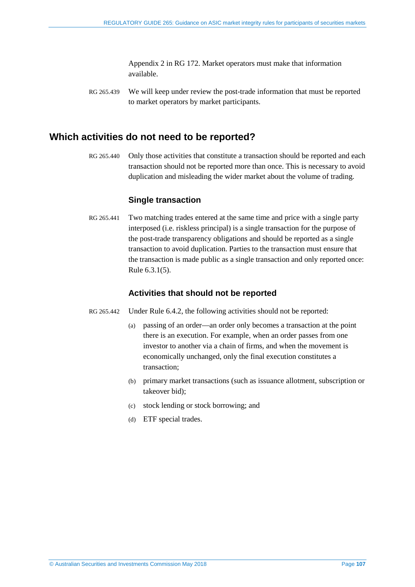Appendix 2 in RG 172. Market operators must make that information available.

RG 265.439 We will keep under review the post-trade information that must be reported to market operators by market participants.

# **Which activities do not need to be reported?**

RG 265.440 Only those activities that constitute a transaction should be reported and each transaction should not be reported more than once. This is necessary to avoid duplication and misleading the wider market about the volume of trading.

### **Single transaction**

RG 265.441 Two matching trades entered at the same time and price with a single party interposed (i.e. riskless principal) is a single transaction for the purpose of the post-trade transparency obligations and should be reported as a single transaction to avoid duplication. Parties to the transaction must ensure that the transaction is made public as a single transaction and only reported once: Rule 6.3.1(5).

### **Activities that should not be reported**

- RG 265.442 Under Rule 6.4.2, the following activities should not be reported:
	- (a) passing of an order—an order only becomes a transaction at the point there is an execution. For example, when an order passes from one investor to another via a chain of firms, and when the movement is economically unchanged, only the final execution constitutes a transaction;
	- (b) primary market transactions (such as issuance allotment, subscription or takeover bid);
	- (c) stock lending or stock borrowing; and
	- (d) ETF special trades.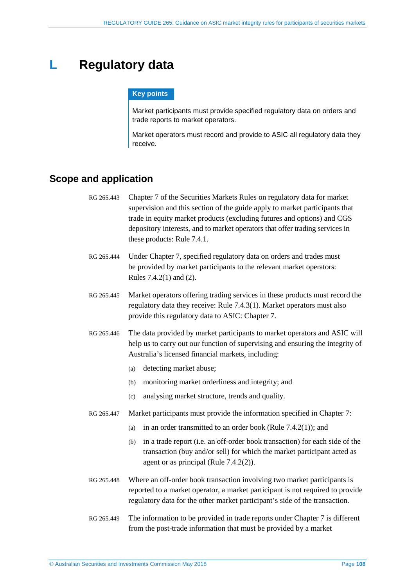# <span id="page-107-0"></span>**L Regulatory data**

### **Key points**

Market participants must provide specified regulatory data on orders and trade reports to market operators.

Market operators must record and provide to ASIC all regulatory data they receive.

# **Scope and application**

- RG 265.443 Chapter 7 of the Securities Markets Rules on regulatory data for market supervision and this section of the guide apply to market participants that trade in equity market products (excluding futures and options) and CGS depository interests, and to market operators that offer trading services in these products: Rule 7.4.1.
- RG 265.444 Under Chapter 7, specified regulatory data on orders and trades must be provided by market participants to the relevant market operators: Rules 7.4.2(1) and (2).
- RG 265.445 Market operators offering trading services in these products must record the regulatory data they receive: Rule 7.4.3(1). Market operators must also provide this regulatory data to ASIC: Chapter 7.
- RG 265.446 The data provided by market participants to market operators and ASIC will help us to carry out our function of supervising and ensuring the integrity of Australia's licensed financial markets, including:
	- (a) detecting market abuse;
	- (b) monitoring market orderliness and integrity; and
	- (c) analysing market structure, trends and quality.
- RG 265.447 Market participants must provide the information specified in Chapter 7:
	- (a) in an order transmitted to an order book (Rule 7.4.2(1)); and
	- (b) in a trade report (i.e. an off-order book transaction) for each side of the transaction (buy and/or sell) for which the market participant acted as agent or as principal (Rule 7.4.2(2)).
- RG 265.448 Where an off-order book transaction involving two market participants is reported to a market operator, a market participant is not required to provide regulatory data for the other market participant's side of the transaction.
- RG 265.449 The information to be provided in trade reports under Chapter 7 is different from the post-trade information that must be provided by a market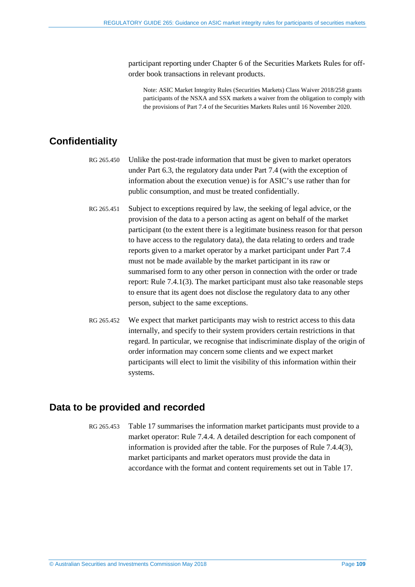participant reporting under Chapter 6 of the Securities Markets Rules for offorder book transactions in relevant products.

Note: ASIC Market Integrity Rules (Securities Markets) Class Waiver 2018/258 grants participants of the NSXA and SSX markets a waiver from the obligation to comply with the provisions of Part 7.4 of the Securities Markets Rules until 16 November 2020.

# **Confidentiality**

- RG 265.450 Unlike the post-trade information that must be given to market operators under Part 6.3, the regulatory data under Part 7.4 (with the exception of information about the execution venue) is for ASIC's use rather than for public consumption, and must be treated confidentially.
- RG 265.451 Subject to exceptions required by law, the seeking of legal advice, or the provision of the data to a person acting as agent on behalf of the market participant (to the extent there is a legitimate business reason for that person to have access to the regulatory data), the data relating to orders and trade reports given to a market operator by a market participant under Part 7.4 must not be made available by the market participant in its raw or summarised form to any other person in connection with the order or trade report: Rule 7.4.1(3). The market participant must also take reasonable steps to ensure that its agent does not disclose the regulatory data to any other person, subject to the same exceptions.
- RG 265.452 We expect that market participants may wish to restrict access to this data internally, and specify to their system providers certain restrictions in that regard. In particular, we recognise that indiscriminate display of the origin of order information may concern some clients and we expect market participants will elect to limit the visibility of this information within their systems.

# **Data to be provided and recorded**

RG 265.453 [Table 17](#page-109-0) summarises the information market participants must provide to a market operator: Rule 7.4.4. A detailed description for each component of information is provided after the table. For the purposes of Rule 7.4.4(3), market participants and market operators must provide the data in accordance with the format and content requirements set out in [Table 17.](#page-109-0)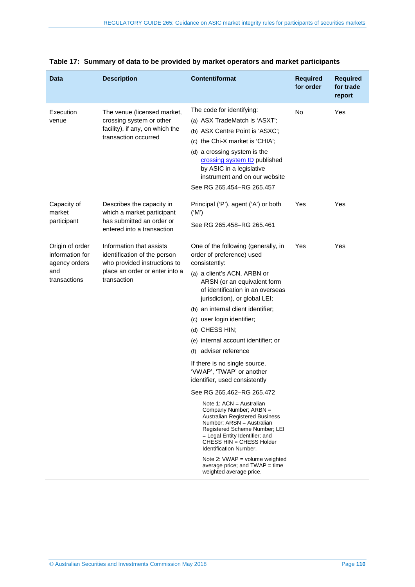| Data                                                                       | <b>Description</b>                                                                                                                        | <b>Content/format</b>                                                                                                                                                                                                                                                                                                                                                                                                                                                                                                                                                                                                                                                                                                                                                                                                                                               | <b>Required</b><br>for order | <b>Required</b><br>for trade<br>report |
|----------------------------------------------------------------------------|-------------------------------------------------------------------------------------------------------------------------------------------|---------------------------------------------------------------------------------------------------------------------------------------------------------------------------------------------------------------------------------------------------------------------------------------------------------------------------------------------------------------------------------------------------------------------------------------------------------------------------------------------------------------------------------------------------------------------------------------------------------------------------------------------------------------------------------------------------------------------------------------------------------------------------------------------------------------------------------------------------------------------|------------------------------|----------------------------------------|
| Execution<br>venue                                                         | The venue (licensed market,<br>crossing system or other<br>facility), if any, on which the<br>transaction occurred                        | The code for identifying:<br>(a) ASX TradeMatch is 'ASXT';<br>(b) ASX Centre Point is 'ASXC';<br>(c) the Chi-X market is 'CHIA';<br>(d) a crossing system is the<br>crossing system ID published<br>by ASIC in a legislative<br>instrument and on our website<br>See RG 265.454-RG 265.457                                                                                                                                                                                                                                                                                                                                                                                                                                                                                                                                                                          | <b>No</b>                    | Yes                                    |
| Capacity of<br>market<br>participant                                       | Describes the capacity in<br>which a market participant<br>has submitted an order or<br>entered into a transaction                        | Principal ('P'), agent ('A') or both<br>(M')<br>See RG 265.458-RG 265.461                                                                                                                                                                                                                                                                                                                                                                                                                                                                                                                                                                                                                                                                                                                                                                                           | Yes                          | Yes                                    |
| Origin of order<br>information for<br>agency orders<br>and<br>transactions | Information that assists<br>identification of the person<br>who provided instructions to<br>place an order or enter into a<br>transaction | One of the following (generally, in<br>order of preference) used<br>consistently:<br>(a) a client's ACN, ARBN or<br>ARSN (or an equivalent form<br>of identification in an overseas<br>jurisdiction), or global LEI;<br>(b) an internal client identifier;<br>(c) user login identifier;<br>(d) CHESS HIN;<br>(e) internal account identifier; or<br>adviser reference<br>(f)<br>If there is no single source,<br>'VWAP', 'TWAP' or another<br>identifier, used consistently<br>See RG 265.462–RG 265.472<br>Note 1: $ACN =$ Australian<br>Company Number; ARBN =<br>Australian Registered Business<br>Number; ARSN = Australian<br>Registered Scheme Number; LEI<br>= Legal Entity Identifier; and<br>CHESS HIN = CHESS Holder<br><b>Identification Number.</b><br>Note 2: $VWAP = volume weighted$<br>average price; and $TWAP = time$<br>weighted average price. | Yes                          | Yes                                    |

<span id="page-109-0"></span>

| Table 17: Summary of data to be provided by market operators and market participants |  |
|--------------------------------------------------------------------------------------|--|
|--------------------------------------------------------------------------------------|--|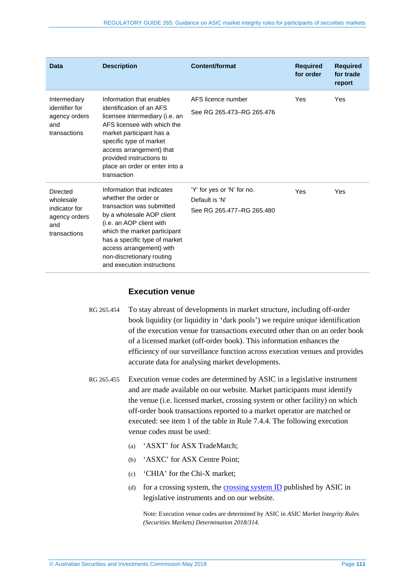| Data                                                                           | <b>Description</b>                                                                                                                                                                                                                                                                               | <b>Content/format</b>                                                     | <b>Required</b><br>for order | <b>Required</b><br>for trade<br>report |
|--------------------------------------------------------------------------------|--------------------------------------------------------------------------------------------------------------------------------------------------------------------------------------------------------------------------------------------------------------------------------------------------|---------------------------------------------------------------------------|------------------------------|----------------------------------------|
| Intermediary<br>identifier for<br>agency orders<br>and<br>transactions         | Information that enables<br>identification of an AFS<br>licensee intermediary (i.e. an<br>AFS licensee with which the<br>market participant has a<br>specific type of market<br>access arrangement) that<br>provided instructions to<br>place an order or enter into a<br>transaction            | AFS licence number<br>See RG 265.473–RG 265.476                           | Yes                          | Yes                                    |
| Directed<br>wholesale<br>indicator for<br>agency orders<br>and<br>transactions | Information that indicates<br>whether the order or<br>transaction was submitted<br>by a wholesale AOP client<br>(i.e. an AOP client with<br>which the market participant<br>has a specific type of market<br>access arrangement) with<br>non-discretionary routing<br>and execution instructions | 'Y' for yes or 'N' for no.<br>Default is 'N'<br>See RG 265.477-RG 265.480 | Yes                          | Yes                                    |

#### **Execution venue**

- <span id="page-110-0"></span>RG 265.454 To stay abreast of developments in market structure, including off-order book liquidity (or liquidity in 'dark pools') we require unique identification of the execution venue for transactions executed other than on an order book of a licensed market (off-order book). This information enhances the efficiency of our surveillance function across execution venues and provides accurate data for analysing market developments.
- RG 265.455 Execution venue codes are determined by ASIC in a legislative instrument and are made available on our website. Market participants must identify the venue (i.e. licensed market, crossing system or other facility) on which off-order book transactions reported to a market operator are matched or executed: see item 1 of the table in Rule 7.4.4. The following execution venue codes must be used:
	- (a) 'ASXT' for ASX TradeMatch;
	- (b) 'ASXC' for ASX Centre Point;
	- (c) 'CHIA' for the Chi-X market;
	- (d) for a crossing system, the [crossing system ID](http://www.asic.gov.au/crossing-systems) published by ASIC in legislative instruments and on our website.

Note: Execution venue codes are determined by ASIC in *ASIC Market Integrity Rules (Securities Markets) Determination 2018/314*.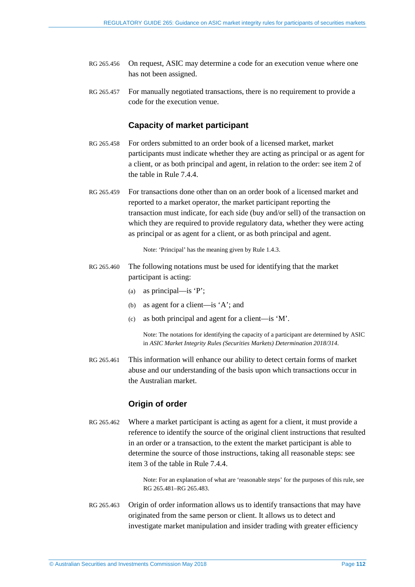- RG 265.456 On request, ASIC may determine a code for an execution venue where one has not been assigned.
- <span id="page-111-0"></span>RG 265.457 For manually negotiated transactions, there is no requirement to provide a code for the execution venue.

#### **Capacity of market participant**

- <span id="page-111-1"></span>RG 265.458 For orders submitted to an order book of a licensed market, market participants must indicate whether they are acting as principal or as agent for a client, or as both principal and agent, in relation to the order: see item 2 of the table in Rule 7.4.4.
- RG 265.459 For transactions done other than on an order book of a licensed market and reported to a market operator, the market participant reporting the transaction must indicate, for each side (buy and/or sell) of the transaction on which they are required to provide regulatory data, whether they were acting as principal or as agent for a client, or as both principal and agent.

Note: 'Principal' has the meaning given by Rule 1.4.3.

- RG 265.460 The following notations must be used for identifying that the market participant is acting:
	- (a) as principal—is 'P';
	- (b) as agent for a client—is 'A'; and
	- (c) as both principal and agent for a client—is 'M'.

Note: The notations for identifying the capacity of a participant are determined by ASIC in *ASIC Market Integrity Rules (Securities Markets) Determination 2018/314*.

<span id="page-111-2"></span>RG 265.461 This information will enhance our ability to detect certain forms of market abuse and our understanding of the basis upon which transactions occur in the Australian market.

#### **Origin of order**

<span id="page-111-3"></span>RG 265.462 Where a market participant is acting as agent for a client, it must provide a reference to identify the source of the original client instructions that resulted in an order or a transaction, to the extent the market participant is able to determine the source of those instructions, taking all reasonable steps: see item 3 of the table in Rule 7.4.4.

> Note: For an explanation of what are 'reasonable steps' for the purposes of this rule, see RG [265.481–](#page-117-0)RG [265.483.](#page-117-1)

RG 265.463 Origin of order information allows us to identify transactions that may have originated from the same person or client. It allows us to detect and investigate market manipulation and insider trading with greater efficiency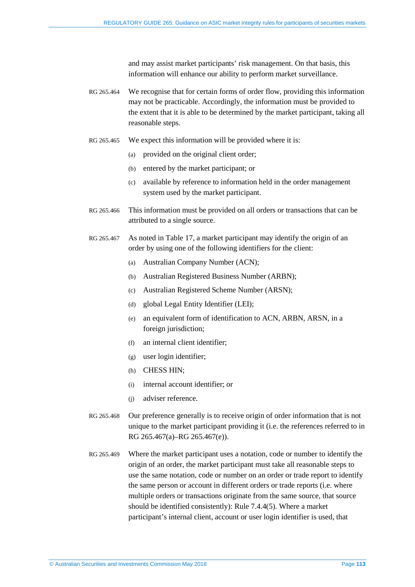and may assist market participants' risk management. On that basis, this information will enhance our ability to perform market surveillance.

RG 265.464 We recognise that for certain forms of order flow, providing this information may not be practicable. Accordingly, the information must be provided to the extent that it is able to be determined by the market participant, taking all reasonable steps.

- RG 265.465 We expect this information will be provided where it is:
	- (a) provided on the original client order;
	- (b) entered by the market participant; or
	- (c) available by reference to information held in the order management system used by the market participant.
- RG 265.466 This information must be provided on all orders or transactions that can be attributed to a single source.
- <span id="page-112-1"></span><span id="page-112-0"></span>RG 265.467 As noted in [Table 17,](#page-109-0) a market participant may identify the origin of an order by using one of the following identifiers for the client:
	- (a) Australian Company Number (ACN);
	- (b) Australian Registered Business Number (ARBN);
	- (c) Australian Registered Scheme Number (ARSN);
	- (d) global Legal Entity Identifier (LEI);
	- (e) an equivalent form of identification to ACN, ARBN, ARSN, in a foreign jurisdiction;
	- (f) an internal client identifier;
	- (g) user login identifier;
	- (h) CHESS HIN;
	- (i) internal account identifier; or
	- (j) adviser reference.
- RG 265.468 Our preference generally is to receive origin of order information that is not unique to the market participant providing it (i.e. the references referred to in RG [265.467\(a\)–](#page-112-0)RG [265.467\(e\)\)](#page-112-1).
- RG 265.469 Where the market participant uses a notation, code or number to identify the origin of an order, the market participant must take all reasonable steps to use the same notation, code or number on an order or trade report to identify the same person or account in different orders or trade reports (i.e. where multiple orders or transactions originate from the same source, that source should be identified consistently): Rule 7.4.4(5). Where a market participant's internal client, account or user login identifier is used, that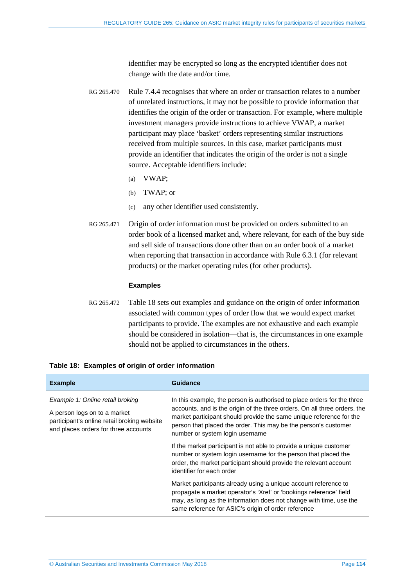identifier may be encrypted so long as the encrypted identifier does not change with the date and/or time.

- RG 265.470 Rule 7.4.4 recognises that where an order or transaction relates to a number of unrelated instructions, it may not be possible to provide information that identifies the origin of the order or transaction. For example, where multiple investment managers provide instructions to achieve VWAP, a market participant may place 'basket' orders representing similar instructions received from multiple sources. In this case, market participants must provide an identifier that indicates the origin of the order is not a single source. Acceptable identifiers include:
	- (a) VWAP;
	- (b) TWAP; or
	- (c) any other identifier used consistently.
- RG 265.471 Origin of order information must be provided on orders submitted to an order book of a licensed market and, where relevant, for each of the buy side and sell side of transactions done other than on an order book of a market when reporting that transaction in accordance with Rule 6.3.1 (for relevant products) or the market operating rules (for other products).

#### <span id="page-113-0"></span>**Examples**

RG 265.472 [Table 18](#page-113-1) sets out examples and guidance on the origin of order information associated with common types of order flow that we would expect market participants to provide. The examples are not exhaustive and each example should be considered in isolation—that is, the circumstances in one example should not be applied to circumstances in the others.

| <b>Example</b>                                                                                                                                          | <b>Guidance</b>                                                                                                                                                                                                                                                                                                                   |
|---------------------------------------------------------------------------------------------------------------------------------------------------------|-----------------------------------------------------------------------------------------------------------------------------------------------------------------------------------------------------------------------------------------------------------------------------------------------------------------------------------|
| Example 1: Online retail broking<br>A person logs on to a market<br>participant's online retail broking website<br>and places orders for three accounts | In this example, the person is authorised to place orders for the three<br>accounts, and is the origin of the three orders. On all three orders, the<br>market participant should provide the same unique reference for the<br>person that placed the order. This may be the person's customer<br>number or system login username |
|                                                                                                                                                         | If the market participant is not able to provide a unique customer<br>number or system login username for the person that placed the<br>order, the market participant should provide the relevant account<br>identifier for each order                                                                                            |
|                                                                                                                                                         | Market participants already using a unique account reference to<br>propagate a market operator's 'Xref' or 'bookings reference' field<br>may, as long as the information does not change with time, use the<br>same reference for ASIC's origin of order reference                                                                |

<span id="page-113-1"></span>

|  |  | Table 18: Examples of origin of order information |
|--|--|---------------------------------------------------|
|  |  |                                                   |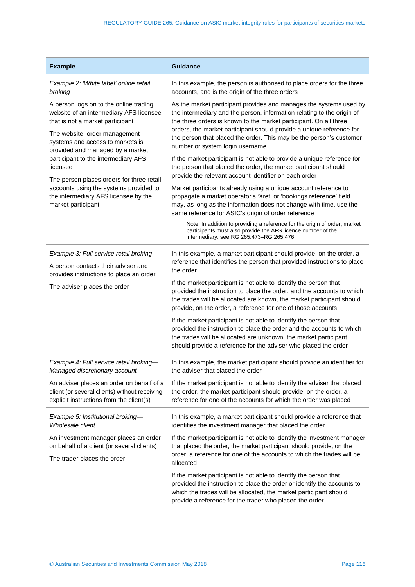| <b>Example</b>                                                                                                                                                                                                                                                                                                                                                                                                                         | <b>Guidance</b>                                                                                                                                                                                                                                                                                                                                                                                                                                                                                                                                                                                                                                                                                                                                                                                                                                                                                                                                                                                                                                                            |
|----------------------------------------------------------------------------------------------------------------------------------------------------------------------------------------------------------------------------------------------------------------------------------------------------------------------------------------------------------------------------------------------------------------------------------------|----------------------------------------------------------------------------------------------------------------------------------------------------------------------------------------------------------------------------------------------------------------------------------------------------------------------------------------------------------------------------------------------------------------------------------------------------------------------------------------------------------------------------------------------------------------------------------------------------------------------------------------------------------------------------------------------------------------------------------------------------------------------------------------------------------------------------------------------------------------------------------------------------------------------------------------------------------------------------------------------------------------------------------------------------------------------------|
| Example 2: 'White label' online retail<br>broking                                                                                                                                                                                                                                                                                                                                                                                      | In this example, the person is authorised to place orders for the three<br>accounts, and is the origin of the three orders                                                                                                                                                                                                                                                                                                                                                                                                                                                                                                                                                                                                                                                                                                                                                                                                                                                                                                                                                 |
| A person logs on to the online trading<br>website of an intermediary AFS licensee<br>that is not a market participant<br>The website, order management<br>systems and access to markets is<br>provided and managed by a market<br>participant to the intermediary AFS<br>licensee<br>The person places orders for three retail<br>accounts using the systems provided to<br>the intermediary AFS licensee by the<br>market participant | As the market participant provides and manages the systems used by<br>the intermediary and the person, information relating to the origin of<br>the three orders is known to the market participant. On all three<br>orders, the market participant should provide a unique reference for<br>the person that placed the order. This may be the person's customer<br>number or system login username<br>If the market participant is not able to provide a unique reference for<br>the person that placed the order, the market participant should<br>provide the relevant account identifier on each order<br>Market participants already using a unique account reference to<br>propagate a market operator's 'Xref' or 'bookings reference' field<br>may, as long as the information does not change with time, use the<br>same reference for ASIC's origin of order reference<br>Note: In addition to providing a reference for the origin of order, market<br>participants must also provide the AFS licence number of the<br>intermediary: see RG 265.473-RG 265.476. |
| Example 3: Full service retail broking<br>A person contacts their adviser and<br>provides instructions to place an order<br>The adviser places the order                                                                                                                                                                                                                                                                               | In this example, a market participant should provide, on the order, a<br>reference that identifies the person that provided instructions to place<br>the order<br>If the market participant is not able to identify the person that<br>provided the instruction to place the order, and the accounts to which<br>the trades will be allocated are known, the market participant should<br>provide, on the order, a reference for one of those accounts<br>If the market participant is not able to identify the person that<br>provided the instruction to place the order and the accounts to which<br>the trades will be allocated are unknown, the market participant<br>should provide a reference for the adviser who placed the order                                                                                                                                                                                                                                                                                                                                |
| Example 4: Full service retail broking-<br>Managed discretionary account                                                                                                                                                                                                                                                                                                                                                               | In this example, the market participant should provide an identifier for<br>the adviser that placed the order                                                                                                                                                                                                                                                                                                                                                                                                                                                                                                                                                                                                                                                                                                                                                                                                                                                                                                                                                              |
| An adviser places an order on behalf of a<br>client (or several clients) without receiving<br>explicit instructions from the client(s)                                                                                                                                                                                                                                                                                                 | If the market participant is not able to identify the adviser that placed<br>the order, the market participant should provide, on the order, a<br>reference for one of the accounts for which the order was placed                                                                                                                                                                                                                                                                                                                                                                                                                                                                                                                                                                                                                                                                                                                                                                                                                                                         |
| Example 5: Institutional broking-<br>Wholesale client                                                                                                                                                                                                                                                                                                                                                                                  | In this example, a market participant should provide a reference that<br>identifies the investment manager that placed the order                                                                                                                                                                                                                                                                                                                                                                                                                                                                                                                                                                                                                                                                                                                                                                                                                                                                                                                                           |
| An investment manager places an order<br>on behalf of a client (or several clients)<br>The trader places the order                                                                                                                                                                                                                                                                                                                     | If the market participant is not able to identify the investment manager<br>that placed the order, the market participant should provide, on the<br>order, a reference for one of the accounts to which the trades will be<br>allocated<br>If the market participant is not able to identify the person that<br>provided the instruction to place the order or identify the accounts to                                                                                                                                                                                                                                                                                                                                                                                                                                                                                                                                                                                                                                                                                    |
|                                                                                                                                                                                                                                                                                                                                                                                                                                        | which the trades will be allocated, the market participant should<br>provide a reference for the trader who placed the order                                                                                                                                                                                                                                                                                                                                                                                                                                                                                                                                                                                                                                                                                                                                                                                                                                                                                                                                               |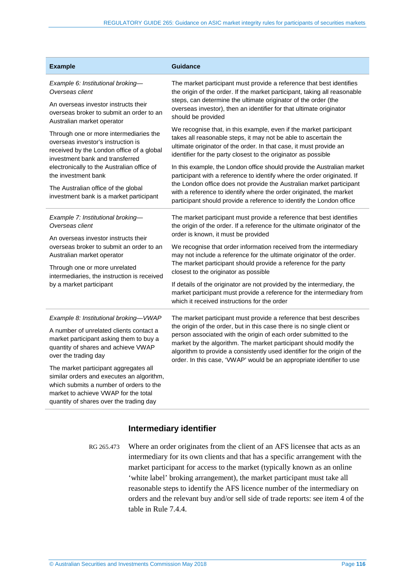| <b>Example</b>                                                                                                                                                                                                                                                                                                              | <b>Guidance</b>                                                                                                                                                                                                                                                                                                                                                                                                                                                                                                                |
|-----------------------------------------------------------------------------------------------------------------------------------------------------------------------------------------------------------------------------------------------------------------------------------------------------------------------------|--------------------------------------------------------------------------------------------------------------------------------------------------------------------------------------------------------------------------------------------------------------------------------------------------------------------------------------------------------------------------------------------------------------------------------------------------------------------------------------------------------------------------------|
| Example 6: Institutional broking-<br>Overseas client<br>An overseas investor instructs their<br>overseas broker to submit an order to an                                                                                                                                                                                    | The market participant must provide a reference that best identifies<br>the origin of the order. If the market participant, taking all reasonable<br>steps, can determine the ultimate originator of the order (the<br>overseas investor), then an identifier for that ultimate originator                                                                                                                                                                                                                                     |
| Australian market operator<br>Through one or more intermediaries the<br>overseas investor's instruction is<br>received by the London office of a global<br>investment bank and transferred                                                                                                                                  | should be provided<br>We recognise that, in this example, even if the market participant<br>takes all reasonable steps, it may not be able to ascertain the<br>ultimate originator of the order. In that case, it must provide an<br>identifier for the party closest to the originator as possible                                                                                                                                                                                                                            |
| electronically to the Australian office of<br>the investment bank<br>The Australian office of the global<br>investment bank is a market participant                                                                                                                                                                         | In this example, the London office should provide the Australian market<br>participant with a reference to identify where the order originated. If<br>the London office does not provide the Australian market participant<br>with a reference to identify where the order originated, the market<br>participant should provide a reference to identify the London office                                                                                                                                                      |
| Example 7: Institutional broking-<br>Overseas client<br>An overseas investor instructs their<br>overseas broker to submit an order to an<br>Australian market operator<br>Through one or more unrelated<br>intermediaries, the instruction is received<br>by a market participant                                           | The market participant must provide a reference that best identifies<br>the origin of the order. If a reference for the ultimate originator of the<br>order is known, it must be provided<br>We recognise that order information received from the intermediary<br>may not include a reference for the ultimate originator of the order.<br>The market participant should provide a reference for the party<br>closest to the originator as possible<br>If details of the originator are not provided by the intermediary, the |
|                                                                                                                                                                                                                                                                                                                             | market participant must provide a reference for the intermediary from<br>which it received instructions for the order                                                                                                                                                                                                                                                                                                                                                                                                          |
| Example 8: Institutional broking-VWAP<br>A number of unrelated clients contact a<br>market participant asking them to buy a<br>quantity of shares and achieve VWAP<br>over the trading day<br>The market participant aggregates all<br>similar orders and executes an algorithm,<br>which submits a number of orders to the | The market participant must provide a reference that best describes<br>the origin of the order, but in this case there is no single client or<br>person associated with the origin of each order submitted to the<br>market by the algorithm. The market participant should modify the<br>algorithm to provide a consistently used identifier for the origin of the<br>order. In this case, 'VWAP' would be an appropriate identifier to use                                                                                   |
| market to achieve VWAP for the total<br>quantity of shares over the trading day                                                                                                                                                                                                                                             |                                                                                                                                                                                                                                                                                                                                                                                                                                                                                                                                |

## **Intermediary identifier**

<span id="page-115-0"></span>RG 265.473 Where an order originates from the client of an AFS licensee that acts as an intermediary for its own clients and that has a specific arrangement with the market participant for access to the market (typically known as an online 'white label' broking arrangement), the market participant must take all reasonable steps to identify the AFS licence number of the intermediary on orders and the relevant buy and/or sell side of trade reports: see item 4 of the table in Rule 7.4.4.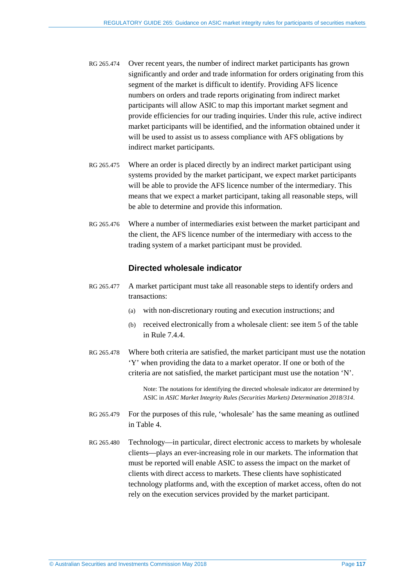- RG 265.474 Over recent years, the number of indirect market participants has grown significantly and order and trade information for orders originating from this segment of the market is difficult to identify. Providing AFS licence numbers on orders and trade reports originating from indirect market participants will allow ASIC to map this important market segment and provide efficiencies for our trading inquiries. Under this rule, active indirect market participants will be identified, and the information obtained under it will be used to assist us to assess compliance with AFS obligations by indirect market participants.
- RG 265.475 Where an order is placed directly by an indirect market participant using systems provided by the market participant, we expect market participants will be able to provide the AFS licence number of the intermediary. This means that we expect a market participant, taking all reasonable steps, will be able to determine and provide this information.
- <span id="page-116-0"></span>RG 265.476 Where a number of intermediaries exist between the market participant and the client, the AFS licence number of the intermediary with access to the trading system of a market participant must be provided.

#### **Directed wholesale indicator**

- <span id="page-116-1"></span>RG 265.477 A market participant must take all reasonable steps to identify orders and transactions:
	- (a) with non-discretionary routing and execution instructions; and
	- (b) received electronically from a wholesale client: see item 5 of the table in Rule 7.4.4.
- RG 265.478 Where both criteria are satisfied, the market participant must use the notation 'Y' when providing the data to a market operator. If one or both of the criteria are not satisfied, the market participant must use the notation 'N'.

Note: The notations for identifying the directed wholesale indicator are determined by ASIC in *ASIC Market Integrity Rules (Securities Markets) Determination 2018/314*.

- RG 265.479 For the purposes of this rule, 'wholesale' has the same meaning as outlined in [Table 4.](#page-35-0)
- <span id="page-116-2"></span>RG 265.480 Technology—in particular, direct electronic access to markets by wholesale clients—plays an ever-increasing role in our markets. The information that must be reported will enable ASIC to assess the impact on the market of clients with direct access to markets. These clients have sophisticated technology platforms and, with the exception of market access, often do not rely on the execution services provided by the market participant.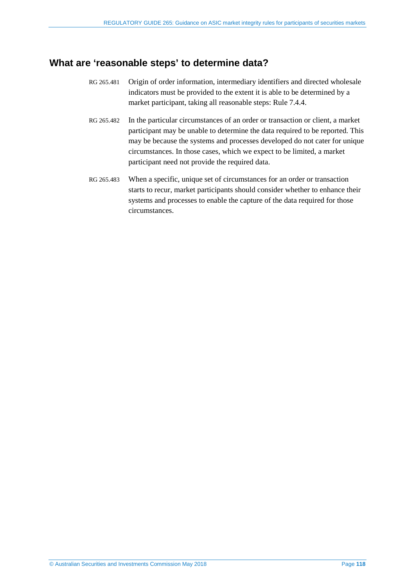# <span id="page-117-0"></span>**What are 'reasonable steps' to determine data?**

- RG 265.481 Origin of order information, intermediary identifiers and directed wholesale indicators must be provided to the extent it is able to be determined by a market participant, taking all reasonable steps: Rule 7.4.4.
- RG 265.482 In the particular circumstances of an order or transaction or client, a market participant may be unable to determine the data required to be reported. This may be because the systems and processes developed do not cater for unique circumstances. In those cases, which we expect to be limited, a market participant need not provide the required data.
- <span id="page-117-1"></span>RG 265.483 When a specific, unique set of circumstances for an order or transaction starts to recur, market participants should consider whether to enhance their systems and processes to enable the capture of the data required for those circumstances.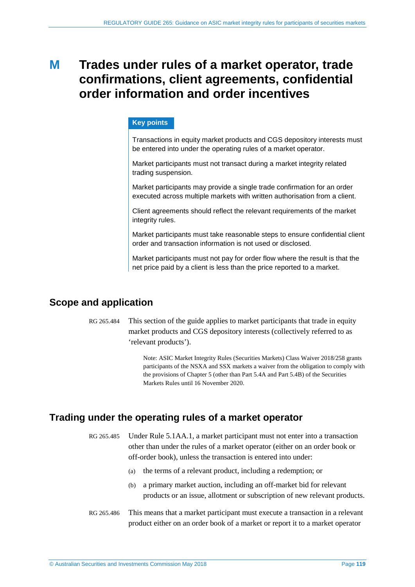# **M Trades under rules of a market operator, trade confirmations, client agreements, confidential order information and order incentives**

#### **Key points**

Transactions in equity market products and CGS depository interests must be entered into under the operating rules of a market operator.

Market participants must not transact during a market integrity related trading suspension.

Market participants may provide a single trade confirmation for an order executed across multiple markets with written authorisation from a client.

Client agreements should reflect the relevant requirements of the market integrity rules.

Market participants must take reasonable steps to ensure confidential client order and transaction information is not used or disclosed.

Market participants must not pay for order flow where the result is that the net price paid by a client is less than the price reported to a market.

# **Scope and application**

RG 265.484 This section of the guide applies to market participants that trade in equity market products and CGS depository interests (collectively referred to as 'relevant products').

> Note: ASIC Market Integrity Rules (Securities Markets) Class Waiver 2018/258 grants participants of the NSXA and SSX markets a waiver from the obligation to comply with the provisions of Chapter 5 (other than Part 5.4A and Part 5.4B) of the Securities Markets Rules until 16 November 2020.

## **Trading under the operating rules of a market operator**

- RG 265.485 Under Rule 5.1AA.1, a market participant must not enter into a transaction other than under the rules of a market operator (either on an order book or off-order book), unless the transaction is entered into under:
	- (a) the terms of a relevant product, including a redemption; or
	- (b) a primary market auction, including an off-market bid for relevant products or an issue, allotment or subscription of new relevant products.
- RG 265.486 This means that a market participant must execute a transaction in a relevant product either on an order book of a market or report it to a market operator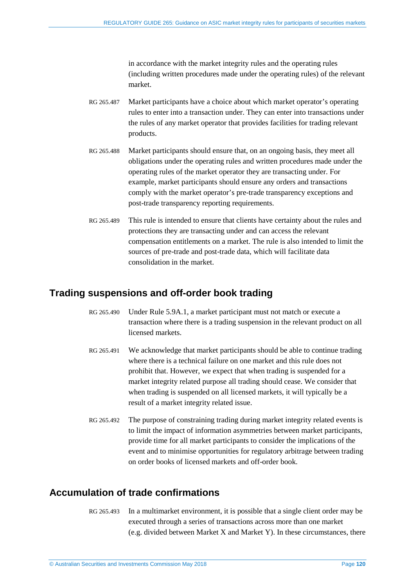in accordance with the market integrity rules and the operating rules (including written procedures made under the operating rules) of the relevant market.

- RG 265.487 Market participants have a choice about which market operator's operating rules to enter into a transaction under. They can enter into transactions under the rules of any market operator that provides facilities for trading relevant products.
- RG 265.488 Market participants should ensure that, on an ongoing basis, they meet all obligations under the operating rules and written procedures made under the operating rules of the market operator they are transacting under. For example, market participants should ensure any orders and transactions comply with the market operator's pre-trade transparency exceptions and post-trade transparency reporting requirements.
- RG 265.489 This rule is intended to ensure that clients have certainty about the rules and protections they are transacting under and can access the relevant compensation entitlements on a market. The rule is also intended to limit the sources of pre-trade and post-trade data, which will facilitate data consolidation in the market.

## **Trading suspensions and off-order book trading**

- RG 265.490 Under Rule 5.9A.1, a market participant must not match or execute a transaction where there is a trading suspension in the relevant product on all licensed markets.
- RG 265.491 We acknowledge that market participants should be able to continue trading where there is a technical failure on one market and this rule does not prohibit that. However, we expect that when trading is suspended for a market integrity related purpose all trading should cease. We consider that when trading is suspended on all licensed markets, it will typically be a result of a market integrity related issue.
- RG 265.492 The purpose of constraining trading during market integrity related events is to limit the impact of information asymmetries between market participants, provide time for all market participants to consider the implications of the event and to minimise opportunities for regulatory arbitrage between trading on order books of licensed markets and off-order book.

# **Accumulation of trade confirmations**

RG 265.493 In a multimarket environment, it is possible that a single client order may be executed through a series of transactions across more than one market (e.g. divided between Market X and Market Y). In these circumstances, there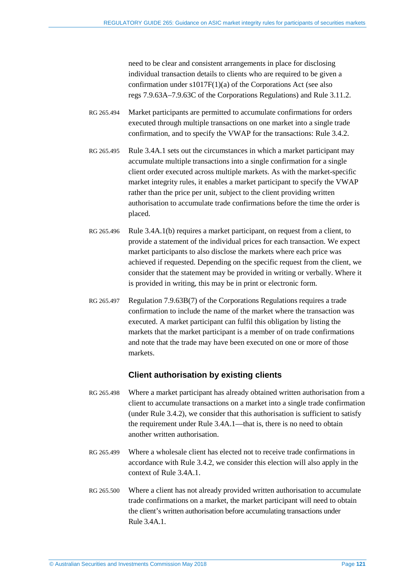need to be clear and consistent arrangements in place for disclosing individual transaction details to clients who are required to be given a confirmation under s1017F(1)(a) of the Corporations Act (see also regs 7.9.63A–7.9.63C of the Corporations Regulations) and Rule 3.11.2.

- RG 265.494 Market participants are permitted to accumulate confirmations for orders executed through multiple transactions on one market into a single trade confirmation, and to specify the VWAP for the transactions: Rule 3.4.2.
- RG 265.495 Rule 3.4A.1 sets out the circumstances in which a market participant may accumulate multiple transactions into a single confirmation for a single client order executed across multiple markets. As with the market-specific market integrity rules, it enables a market participant to specify the VWAP rather than the price per unit, subject to the client providing written authorisation to accumulate trade confirmations before the time the order is placed.
- RG 265.496 Rule 3.4A.1(b) requires a market participant, on request from a client, to provide a statement of the individual prices for each transaction. We expect market participants to also disclose the markets where each price was achieved if requested. Depending on the specific request from the client, we consider that the statement may be provided in writing or verbally. Where it is provided in writing, this may be in print or electronic form.
- RG 265.497 Regulation 7.9.63B(7) of the Corporations Regulations requires a trade confirmation to include the name of the market where the transaction was executed. A market participant can fulfil this obligation by listing the markets that the market participant is a member of on trade confirmations and note that the trade may have been executed on one or more of those markets.

#### **Client authorisation by existing clients**

- RG 265.498 Where a market participant has already obtained written authorisation from a client to accumulate transactions on a market into a single trade confirmation (under Rule 3.4.2), we consider that this authorisation is sufficient to satisfy the requirement under Rule 3.4A.1—that is, there is no need to obtain another written authorisation.
- RG 265.499 Where a wholesale client has elected not to receive trade confirmations in accordance with Rule 3.4.2, we consider this election will also apply in the context of Rule 3.4A.1.
- RG 265.500 Where a client has not already provided written authorisation to accumulate trade confirmations on a market, the market participant will need to obtain the client's written authorisation before accumulating transactions under Rule 3.4A.1.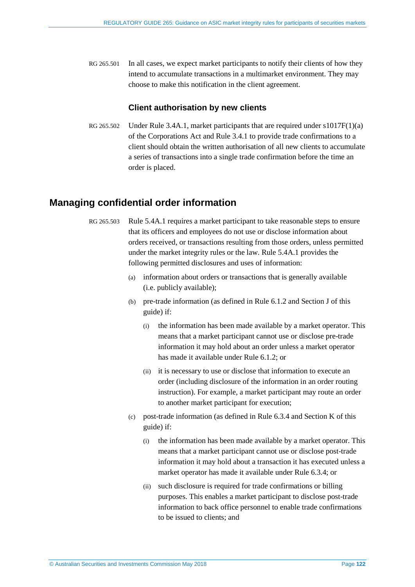RG 265.501 In all cases, we expect market participants to notify their clients of how they intend to accumulate transactions in a multimarket environment. They may choose to make this notification in the client agreement.

#### **Client authorisation by new clients**

RG 265.502 Under Rule 3.4A.1, market participants that are required under s1017F(1)(a) of the Corporations Act and Rule 3.4.1 to provide trade confirmations to a client should obtain the written authorisation of all new clients to accumulate a series of transactions into a single trade confirmation before the time an order is placed.

## **Managing confidential order information**

- RG 265.503 Rule 5.4A.1 requires a market participant to take reasonable steps to ensure that its officers and employees do not use or disclose information about orders received, or transactions resulting from those orders, unless permitted under the market integrity rules or the law. Rule 5.4A.1 provides the following permitted disclosures and uses of information:
	- (a) information about orders or transactions that is generally available (i.e. publicly available);
	- (b) pre-trade information (as defined in Rule 6.1.2 and Section [J](#page-91-0) of this guide) if:
		- (i) the information has been made available by a market operator. This means that a market participant cannot use or disclose pre-trade information it may hold about an order unless a market operator has made it available under Rule 6.1.2; or
		- (ii) it is necessary to use or disclose that information to execute an order (including disclosure of the information in an order routing instruction). For example, a market participant may route an order to another market participant for execution;
	- (c) post-trade information (as defined in Rule 6.3.4 and Section [K](#page-101-0) of this guide) if:
		- (i) the information has been made available by a market operator. This means that a market participant cannot use or disclose post-trade information it may hold about a transaction it has executed unless a market operator has made it available under Rule 6.3.4; or
		- (ii) such disclosure is required for trade confirmations or billing purposes. This enables a market participant to disclose post-trade information to back office personnel to enable trade confirmations to be issued to clients; and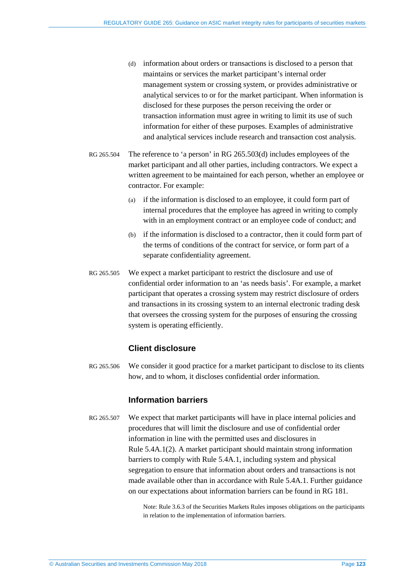- <span id="page-122-0"></span>(d) information about orders or transactions is disclosed to a person that maintains or services the market participant's internal order management system or crossing system, or provides administrative or analytical services to or for the market participant. When information is disclosed for these purposes the person receiving the order or transaction information must agree in writing to limit its use of such information for either of these purposes. Examples of administrative and analytical services include research and transaction cost analysis.
- RG 265.504 The reference to 'a person' in RG [265.503\(d\)](#page-122-0) includes employees of the market participant and all other parties, including contractors. We expect a written agreement to be maintained for each person, whether an employee or contractor. For example:
	- (a) if the information is disclosed to an employee, it could form part of internal procedures that the employee has agreed in writing to comply with in an employment contract or an employee code of conduct; and
	- (b) if the information is disclosed to a contractor, then it could form part of the terms of conditions of the contract for service, or form part of a separate confidentiality agreement.
- RG 265.505 We expect a market participant to restrict the disclosure and use of confidential order information to an 'as needs basis'. For example, a market participant that operates a crossing system may restrict disclosure of orders and transactions in its crossing system to an internal electronic trading desk that oversees the crossing system for the purposes of ensuring the crossing system is operating efficiently.

## **Client disclosure**

RG 265.506 We consider it good practice for a market participant to disclose to its clients how, and to whom, it discloses confidential order information.

## **Information barriers**

RG 265.507 We expect that market participants will have in place internal policies and procedures that will limit the disclosure and use of confidential order information in line with the permitted uses and disclosures in Rule 5.4A.1(2). A market participant should maintain strong information barriers to comply with Rule 5.4A.1, including system and physical segregation to ensure that information about orders and transactions is not made available other than in accordance with Rule 5.4A.1. Further guidance on our expectations about information barriers can be found in RG 181*.*

> Note: Rule 3.6.3 of the Securities Markets Rules imposes obligations on the participants in relation to the implementation of information barriers.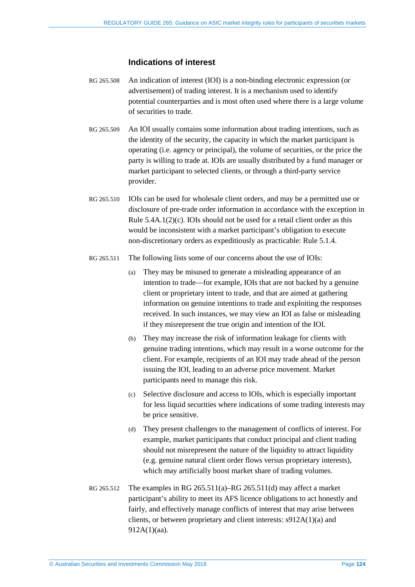#### **Indications of interest**

- RG 265.508 An indication of interest (IOI) is a non-binding electronic expression (or advertisement) of trading interest. It is a mechanism used to identify potential counterparties and is most often used where there is a large volume of securities to trade.
- RG 265.509 An IOI usually contains some information about trading intentions, such as the identity of the security, the capacity in which the market participant is operating (i.e. agency or principal), the volume of securities, or the price the party is willing to trade at. IOIs are usually distributed by a fund manager or market participant to selected clients, or through a third-party service provider.
- RG 265.510 IOIs can be used for wholesale client orders, and may be a permitted use or disclosure of pre-trade order information in accordance with the exception in Rule 5.4A.1(2)(c). IOIs should not be used for a retail client order as this would be inconsistent with a market participant's obligation to execute non-discretionary orders as expeditiously as practicable: Rule 5.1.4.
- <span id="page-123-0"></span>RG 265.511 The following lists some of our concerns about the use of IOIs:
	- (a) They may be misused to generate a misleading appearance of an intention to trade—for example, IOIs that are not backed by a genuine client or proprietary intent to trade, and that are aimed at gathering information on genuine intentions to trade and exploiting the responses received. In such instances, we may view an IOI as false or misleading if they misrepresent the true origin and intention of the IOI.
	- (b) They may increase the risk of information leakage for clients with genuine trading intentions, which may result in a worse outcome for the client. For example, recipients of an IOI may trade ahead of the person issuing the IOI, leading to an adverse price movement. Market participants need to manage this risk.
	- (c) Selective disclosure and access to IOIs, which is especially important for less liquid securities where indications of some trading interests may be price sensitive.
	- (d) They present challenges to the management of conflicts of interest. For example, market participants that conduct principal and client trading should not misrepresent the nature of the liquidity to attract liquidity (e.g. genuine natural client order flows versus proprietary interests), which may artificially boost market share of trading volumes.
- <span id="page-123-1"></span>RG 265.512 The examples in RG [265.511\(a\)–](#page-123-0)RG [265.511\(d\)](#page-123-1) may affect a market participant's ability to meet its AFS licence obligations to act honestly and fairly, and effectively manage conflicts of interest that may arise between clients, or between proprietary and client interests: s912A(1)(a) and 912A(1)(aa).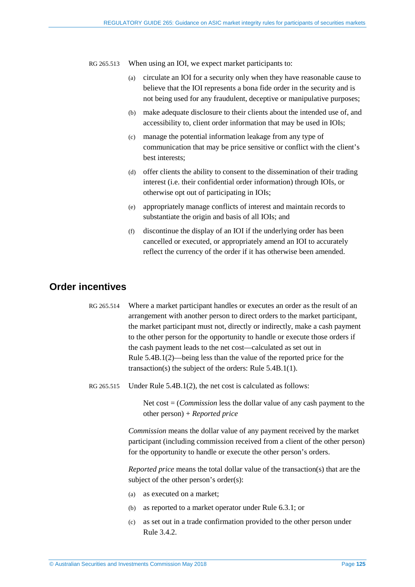RG 265.513 When using an IOI, we expect market participants to:

- (a) circulate an IOI for a security only when they have reasonable cause to believe that the IOI represents a bona fide order in the security and is not being used for any fraudulent, deceptive or manipulative purposes;
- (b) make adequate disclosure to their clients about the intended use of, and accessibility to, client order information that may be used in IOIs;
- (c) manage the potential information leakage from any type of communication that may be price sensitive or conflict with the client's best interests;
- (d) offer clients the ability to consent to the dissemination of their trading interest (i.e. their confidential order information) through IOIs, or otherwise opt out of participating in IOIs;
- (e) appropriately manage conflicts of interest and maintain records to substantiate the origin and basis of all IOIs; and
- (f) discontinue the display of an IOI if the underlying order has been cancelled or executed, or appropriately amend an IOI to accurately reflect the currency of the order if it has otherwise been amended.

# **Order incentives**

- RG 265.514 Where a market participant handles or executes an order as the result of an arrangement with another person to direct orders to the market participant, the market participant must not, directly or indirectly, make a cash payment to the other person for the opportunity to handle or execute those orders if the cash payment leads to the net cost––calculated as set out in Rule 5.4B.1(2)––being less than the value of the reported price for the transaction(s) the subject of the orders: Rule 5.4B.1(1).
- RG 265.515 Under Rule 5.4B.1(2), the net cost is calculated as follows:

Net cost = (*Commission* less the dollar value of any cash payment to the other person) + *Reported price*

*Commission* means the dollar value of any payment received by the market participant (including commission received from a client of the other person) for the opportunity to handle or execute the other person's orders.

*Reported price* means the total dollar value of the transaction(s) that are the subject of the other person's order(s):

- (a) as executed on a market;
- (b) as reported to a market operator under Rule 6.3.1; or
- (c) as set out in a trade confirmation provided to the other person under Rule 3.4.2.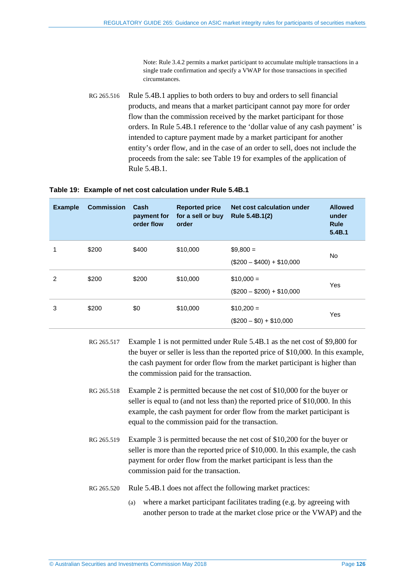Note: Rule 3.4.2 permits a market participant to accumulate multiple transactions in a single trade confirmation and specify a VWAP for those transactions in specified circumstances.

RG 265.516 Rule 5.4B.1 applies to both orders to buy and orders to sell financial products, and means that a market participant cannot pay more for order flow than the commission received by the market participant for those orders. In Rule 5.4B.1 reference to the 'dollar value of any cash payment' is intended to capture payment made by a market participant for another entity's order flow, and in the case of an order to sell, does not include the proceeds from the sale: see [Table 19](#page-125-0) for examples of the application of Rule 5.4B.1.

#### <span id="page-125-0"></span>**Table 19: Example of net cost calculation under Rule 5.4B.1**

| <b>Example</b> | <b>Commission</b> | Cash<br>payment for<br>order flow | <b>Reported price</b><br>for a sell or buy<br>order | Net cost calculation under<br>Rule 5.4B.1(2) | <b>Allowed</b><br>under<br><b>Rule</b><br>5.4B.1 |
|----------------|-------------------|-----------------------------------|-----------------------------------------------------|----------------------------------------------|--------------------------------------------------|
|                | \$200             | \$400                             | \$10,000                                            | $$9,800 =$<br>$($200 - $400) + $10,000$      | No.                                              |
| 2              | \$200             | \$200                             | \$10,000                                            | $$10,000 =$<br>$($200 - $200) + $10,000$     | Yes                                              |
| 3              | \$200             | \$0                               | \$10,000                                            | $$10,200 =$<br>$($200 - $0) + $10,000$       | Yes                                              |

RG 265.517 Example 1 is not permitted under Rule 5.4B.1 as the net cost of \$9,800 for the buyer or seller is less than the reported price of \$10,000. In this example, the cash payment for order flow from the market participant is higher than the commission paid for the transaction.

RG 265.518 Example 2 is permitted because the net cost of \$10,000 for the buyer or seller is equal to (and not less than) the reported price of \$10,000. In this example, the cash payment for order flow from the market participant is equal to the commission paid for the transaction.

- RG 265.519 Example 3 is permitted because the net cost of \$10,200 for the buyer or seller is more than the reported price of \$10,000. In this example, the cash payment for order flow from the market participant is less than the commission paid for the transaction.
- RG 265.520 Rule 5.4B.1 does not affect the following market practices:
	- (a) where a market participant facilitates trading (e.g. by agreeing with another person to trade at the market close price or the VWAP) and the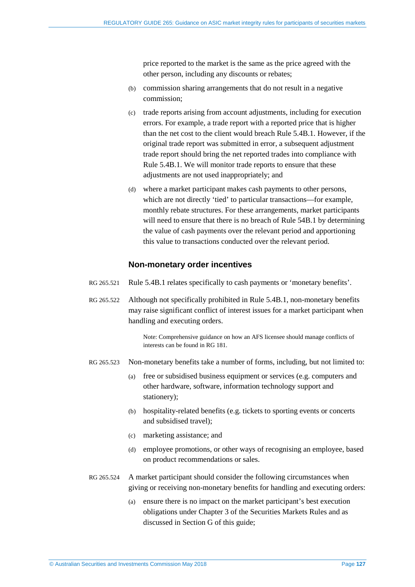price reported to the market is the same as the price agreed with the other person, including any discounts or rebates;

- (b) commission sharing arrangements that do not result in a negative commission;
- (c) trade reports arising from account adjustments, including for execution errors. For example, a trade report with a reported price that is higher than the net cost to the client would breach Rule 5.4B.1. However, if the original trade report was submitted in error, a subsequent adjustment trade report should bring the net reported trades into compliance with Rule 5.4B.1. We will monitor trade reports to ensure that these adjustments are not used inappropriately; and
- (d) where a market participant makes cash payments to other persons, which are not directly 'tied' to particular transactions—for example, monthly rebate structures. For these arrangements, market participants will need to ensure that there is no breach of Rule 54B.1 by determining the value of cash payments over the relevant period and apportioning this value to transactions conducted over the relevant period.

#### **Non-monetary order incentives**

- RG 265.521 Rule 5.4B.1 relates specifically to cash payments or 'monetary benefits'.
- RG 265.522 Although not specifically prohibited in Rule 5.4B.1, non-monetary benefits may raise significant conflict of interest issues for a market participant when handling and executing orders.

Note: Comprehensive guidance on how an AFS licensee should manage conflicts of interests can be found in RG 181.

- RG 265.523 Non-monetary benefits take a number of forms, including, but not limited to:
	- (a) free or subsidised business equipment or services (e.g. computers and other hardware, software, information technology support and stationery);
	- (b) hospitality-related benefits (e.g. tickets to sporting events or concerts and subsidised travel);
	- (c) marketing assistance; and
	- (d) employee promotions, or other ways of recognising an employee, based on product recommendations or sales.
- RG 265.524 A market participant should consider the following circumstances when giving or receiving non-monetary benefits for handling and executing orders:
	- (a) ensure there is no impact on the market participant's best execution obligations under Chapter 3 of the Securities Markets Rules and as discussed in Section [G](#page-33-0) of this guide;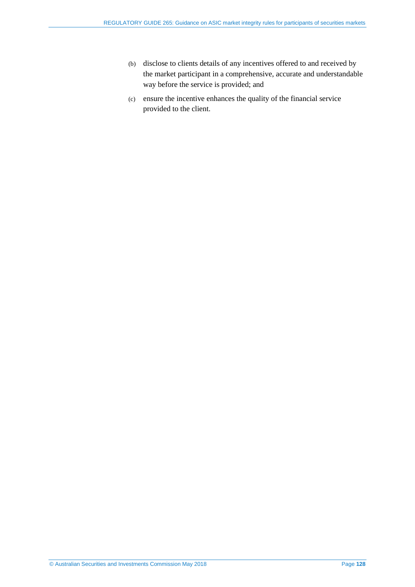- (b) disclose to clients details of any incentives offered to and received by the market participant in a comprehensive, accurate and understandable way before the service is provided; and
- (c) ensure the incentive enhances the quality of the financial service provided to the client.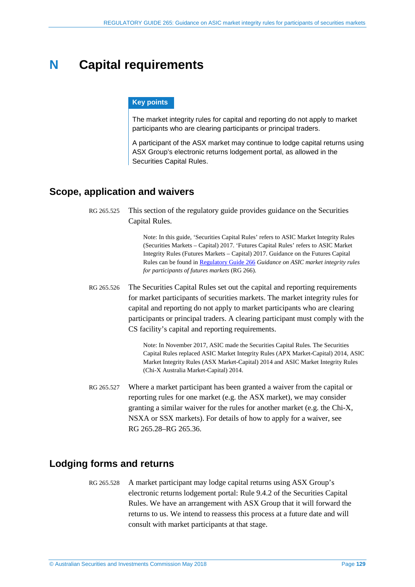# **N Capital requirements**

#### **Key points**

The market integrity rules for capital and reporting do not apply to market participants who are clearing participants or principal traders.

A participant of the ASX market may continue to lodge capital returns using ASX Group's electronic returns lodgement portal, as allowed in the Securities Capital Rules.

## **Scope, application and waivers**

RG 265.525 This section of the regulatory guide provides guidance on the Securities Capital Rules.

> Note: In this guide, 'Securities Capital Rules' refers to ASIC Market Integrity Rules (Securities Markets – Capital) 2017. 'Futures Capital Rules' refers to ASIC Market Integrity Rules (Futures Markets – Capital) 2017. Guidance on the Futures Capital Rules can be found i[n Regulatory Guide 266](http://www.asic.gov.au/regulatory-resources/find-a-document/regulatory-guides/rg-266-guidance-on-asic-market-integrity-rules-for-participants-of-futures-markets/) *Guidance on ASIC market integrity rules for participants of futures markets* (RG 266).

RG 265.526 The Securities Capital Rules set out the capital and reporting requirements for market participants of securities markets. The market integrity rules for capital and reporting do not apply to market participants who are clearing participants or principal traders. A clearing participant must comply with the CS facility's capital and reporting requirements.

> Note: In November 2017, ASIC made the Securities Capital Rules. The Securities Capital Rules replaced ASIC Market Integrity Rules (APX Market-Capital) 2014, ASIC Market Integrity Rules (ASX Market-Capital) 2014 and ASIC Market Integrity Rules (Chi-X Australia Market-Capital) 2014.

RG 265.527 Where a market participant has been granted a waiver from the capital or reporting rules for one market (e.g. the ASX market), we may consider granting a similar waiver for the rules for another market (e.g. the Chi-X, NSXA or SSX markets). For details of how to apply for a waiver, see RG [265.28–](#page-11-0)RG [265.36.](#page-12-0)

# **Lodging forms and returns**

RG 265.528 A market participant may lodge capital returns using ASX Group's electronic returns lodgement portal: Rule 9.4.2 of the Securities Capital Rules. We have an arrangement with ASX Group that it will forward the returns to us. We intend to reassess this process at a future date and will consult with market participants at that stage.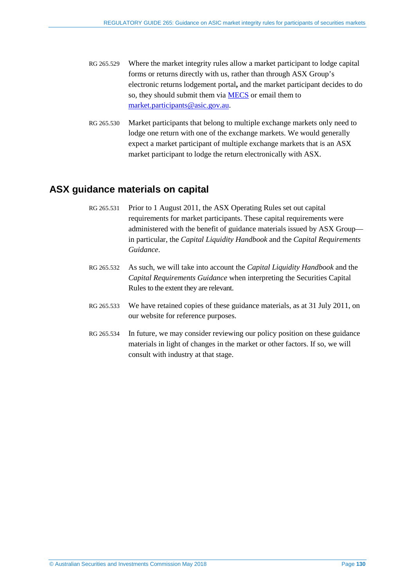- RG 265.529 Where the market integrity rules allow a market participant to lodge capital forms or returns directly with us, rather than through ASX Group's electronic returns lodgement portal**,** and the market participant decides to do so, they should submit them via [MECS](http://asic.gov.au/online-services/market-entity-compliance-system/) or email them to [market.participants@asic.gov.au.](mailto:market.participants@asic.gov.au)
- RG 265.530 Market participants that belong to multiple exchange markets only need to lodge one return with one of the exchange markets. We would generally expect a market participant of multiple exchange markets that is an ASX market participant to lodge the return electronically with ASX.

# **ASX guidance materials on capital**

- RG 265.531 Prior to 1 August 2011, the ASX Operating Rules set out capital requirements for market participants. These capital requirements were administered with the benefit of guidance materials issued by ASX Group–– in particular, the *Capital Liquidity Handbook* and the *Capital Requirements Guidance*.
- RG 265.532 As such, we will take into account the *Capital Liquidity Handbook* and the *Capital Requirements Guidance* when interpreting the Securities Capital Rules to the extent they are relevant.
- RG 265.533 We have retained copies of these guidance materials, as at 31 July 2011, on our website for reference purposes.
- RG 265.534 In future, we may consider reviewing our policy position on these guidance materials in light of changes in the market or other factors. If so, we will consult with industry at that stage.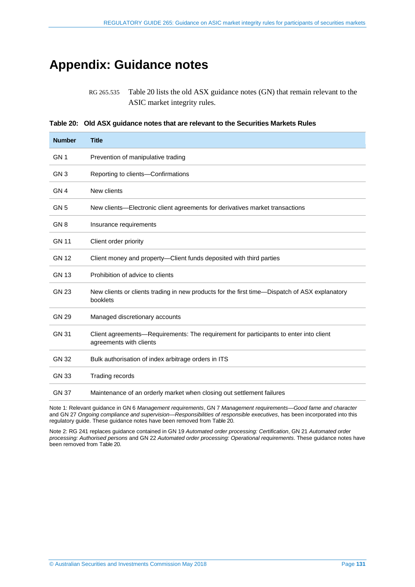# **Appendix: Guidance notes**

RG 265.535 [Table 20](#page-130-0) lists the old ASX guidance notes (GN) that remain relevant to the ASIC market integrity rules.

<span id="page-130-0"></span>

|  | Table 20: Old ASX guidance notes that are relevant to the Securities Markets Rules |
|--|------------------------------------------------------------------------------------|
|--|------------------------------------------------------------------------------------|

| <b>Number</b>   | <b>Title</b>                                                                                                     |
|-----------------|------------------------------------------------------------------------------------------------------------------|
| GN <sub>1</sub> | Prevention of manipulative trading                                                                               |
| GN <sub>3</sub> | Reporting to clients-Confirmations                                                                               |
| GN <sub>4</sub> | New clients                                                                                                      |
| GN <sub>5</sub> | New clients—Electronic client agreements for derivatives market transactions                                     |
| GN <sub>8</sub> | Insurance requirements                                                                                           |
| <b>GN 11</b>    | Client order priority                                                                                            |
| <b>GN 12</b>    | Client money and property-Client funds deposited with third parties                                              |
| <b>GN 13</b>    | Prohibition of advice to clients                                                                                 |
| <b>GN 23</b>    | New clients or clients trading in new products for the first time—Dispatch of ASX explanatory<br>booklets        |
| <b>GN 29</b>    | Managed discretionary accounts                                                                                   |
| <b>GN 31</b>    | Client agreements—Requirements: The requirement for participants to enter into client<br>agreements with clients |
| <b>GN 32</b>    | Bulk authorisation of index arbitrage orders in ITS                                                              |
| <b>GN 33</b>    | Trading records                                                                                                  |
| <b>GN 37</b>    | Maintenance of an orderly market when closing out settlement failures                                            |

Note 1: Relevant guidance in GN 6 *Management requirements*, GN 7 *Management requirements—Good fame and character*  and GN 27 *Ongoing compliance and supervision—Responsibilities of responsible executives*, has been incorporated into this regulatory guide. These guidance notes have been removed from [Table 20.](#page-130-0)

Note 2: RG 241 replaces guidance contained in GN 19 *Automated order processing: Certification*, GN 21 *Automated order processing: Authorised persons* and GN 22 *Automated order processing: Operational requirements*. These guidance notes have been removed fro[m Table 20.](#page-130-0)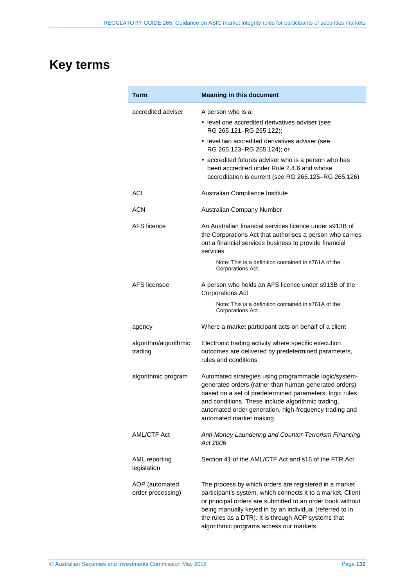# **Key terms**

| Term                                | <b>Meaning in this document</b>                                                                                                                                                                                                                                                                                                                   |
|-------------------------------------|---------------------------------------------------------------------------------------------------------------------------------------------------------------------------------------------------------------------------------------------------------------------------------------------------------------------------------------------------|
| accredited adviser                  | A person who is a:<br>• level one accredited derivatives adviser (see<br>RG 265.121-RG 265.122);                                                                                                                                                                                                                                                  |
|                                     | • level two accredited derivatives adviser (see<br>RG 265.123–RG 265.124); or                                                                                                                                                                                                                                                                     |
|                                     | • accredited futures adviser who is a person who has<br>been accredited under Rule 2.4.6 and whose<br>accreditation is current (see RG 265.125-RG 265.126)                                                                                                                                                                                        |
| ACI                                 | Australian Compliance Institute                                                                                                                                                                                                                                                                                                                   |
| ACN                                 | Australian Company Number                                                                                                                                                                                                                                                                                                                         |
| AFS licence                         | An Australian financial services licence under s913B of<br>the Corporations Act that authorises a person who carries<br>out a financial services business to provide financial<br>services                                                                                                                                                        |
|                                     | Note: This is a definition contained in s761A of the<br>Corporations Act.                                                                                                                                                                                                                                                                         |
| AFS licensee                        | A person who holds an AFS licence under s913B of the<br><b>Corporations Act</b>                                                                                                                                                                                                                                                                   |
|                                     | Note: This is a definition contained in s761A of the<br>Corporations Act.                                                                                                                                                                                                                                                                         |
| agency                              | Where a market participant acts on behalf of a client                                                                                                                                                                                                                                                                                             |
| algorithm/algorithmic<br>trading    | Electronic trading activity where specific execution<br>outcomes are delivered by predetermined parameters,<br>rules and conditions                                                                                                                                                                                                               |
| algorithmic program                 | Automated strategies using programmable logic/system-<br>generated orders (rather than human-generated orders)<br>based on a set of predetermined parameters, logic rules<br>and conditions. These include algorithmic trading,<br>automated order generation, high-frequency trading and<br>automated market making                              |
| <b>AML/CTF Act</b>                  | Anti-Money Laundering and Counter-Terrorism Financing<br>Act 2006                                                                                                                                                                                                                                                                                 |
| AML reporting<br>legislation        | Section 41 of the AML/CTF Act and s16 of the FTR Act                                                                                                                                                                                                                                                                                              |
| AOP (automated<br>order processing) | The process by which orders are registered in a market<br>participant's system, which connects it to a market. Client<br>or principal orders are submitted to an order book without<br>being manually keyed in by an individual (referred to in<br>the rules as a DTR). It is through AOP systems that<br>algorithmic programs access our markets |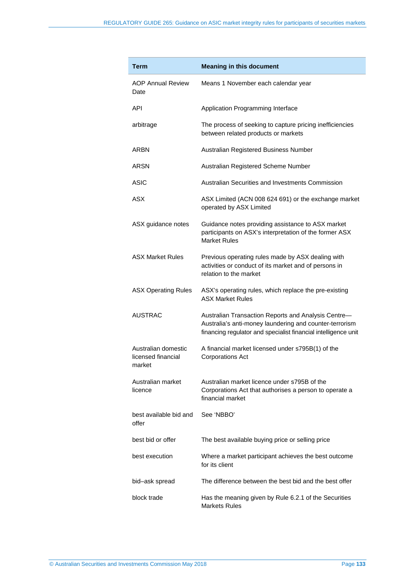| Term                                                | <b>Meaning in this document</b>                                                                                                                                                  |
|-----------------------------------------------------|----------------------------------------------------------------------------------------------------------------------------------------------------------------------------------|
| <b>AOP Annual Review</b><br>Date                    | Means 1 November each calendar year                                                                                                                                              |
| API                                                 | Application Programming Interface                                                                                                                                                |
| arbitrage                                           | The process of seeking to capture pricing inefficiencies<br>between related products or markets                                                                                  |
| ARBN                                                | Australian Registered Business Number                                                                                                                                            |
| ARSN                                                | Australian Registered Scheme Number                                                                                                                                              |
| <b>ASIC</b>                                         | Australian Securities and Investments Commission                                                                                                                                 |
| ASX                                                 | ASX Limited (ACN 008 624 691) or the exchange market<br>operated by ASX Limited                                                                                                  |
| ASX guidance notes                                  | Guidance notes providing assistance to ASX market<br>participants on ASX's interpretation of the former ASX<br>Market Rules                                                      |
| <b>ASX Market Rules</b>                             | Previous operating rules made by ASX dealing with<br>activities or conduct of its market and of persons in<br>relation to the market                                             |
| <b>ASX Operating Rules</b>                          | ASX's operating rules, which replace the pre-existing<br><b>ASX Market Rules</b>                                                                                                 |
| <b>AUSTRAC</b>                                      | Australian Transaction Reports and Analysis Centre-<br>Australia's anti-money laundering and counter-terrorism<br>financing regulator and specialist financial intelligence unit |
| Australian domestic<br>licensed financial<br>market | A financial market licensed under s795B(1) of the<br><b>Corporations Act</b>                                                                                                     |
| Australian market<br>licence                        | Australian market licence under s795B of the<br>Corporations Act that authorises a person to operate a<br>financial market                                                       |
| best available bid and<br>offer                     | See 'NBBO'                                                                                                                                                                       |
| best bid or offer                                   | The best available buying price or selling price                                                                                                                                 |
| best execution                                      | Where a market participant achieves the best outcome<br>for its client                                                                                                           |
| bid-ask spread                                      | The difference between the best bid and the best offer                                                                                                                           |
| block trade                                         | Has the meaning given by Rule 6.2.1 of the Securities<br><b>Markets Rules</b>                                                                                                    |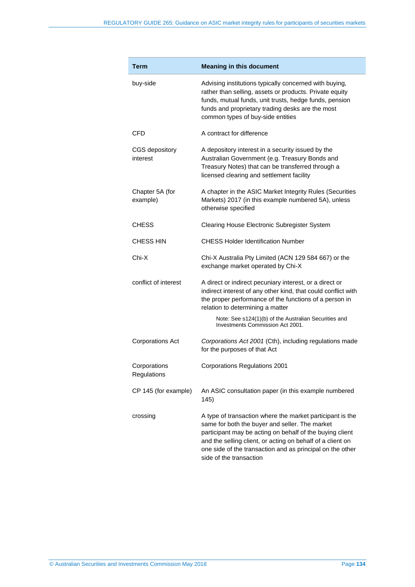| <b>Term</b>                       | <b>Meaning in this document</b>                                                                                                                                                                                                                                                                                               |
|-----------------------------------|-------------------------------------------------------------------------------------------------------------------------------------------------------------------------------------------------------------------------------------------------------------------------------------------------------------------------------|
| buy-side                          | Advising institutions typically concerned with buying,<br>rather than selling, assets or products. Private equity<br>funds, mutual funds, unit trusts, hedge funds, pension<br>funds and proprietary trading desks are the most<br>common types of buy-side entities                                                          |
| CFD                               | A contract for difference                                                                                                                                                                                                                                                                                                     |
| <b>CGS depository</b><br>interest | A depository interest in a security issued by the<br>Australian Government (e.g. Treasury Bonds and<br>Treasury Notes) that can be transferred through a<br>licensed clearing and settlement facility                                                                                                                         |
| Chapter 5A (for<br>example)       | A chapter in the ASIC Market Integrity Rules (Securities<br>Markets) 2017 (in this example numbered 5A), unless<br>otherwise specified                                                                                                                                                                                        |
| CHESS                             | Clearing House Electronic Subregister System                                                                                                                                                                                                                                                                                  |
| CHESS HIN                         | <b>CHESS Holder Identification Number</b>                                                                                                                                                                                                                                                                                     |
| Chi-X                             | Chi-X Australia Pty Limited (ACN 129 584 667) or the<br>exchange market operated by Chi-X                                                                                                                                                                                                                                     |
| conflict of interest              | A direct or indirect pecuniary interest, or a direct or<br>indirect interest of any other kind, that could conflict with<br>the proper performance of the functions of a person in<br>relation to determining a matter                                                                                                        |
|                                   | Note: See s124(1)(b) of the Australian Securities and<br>Investments Commission Act 2001.                                                                                                                                                                                                                                     |
| <b>Corporations Act</b>           | Corporations Act 2001 (Cth), including regulations made<br>for the purposes of that Act                                                                                                                                                                                                                                       |
| Corporations<br>Regulations       | <b>Corporations Regulations 2001</b>                                                                                                                                                                                                                                                                                          |
| CP 145 (for example)              | An ASIC consultation paper (in this example numbered<br>145)                                                                                                                                                                                                                                                                  |
| crossing                          | A type of transaction where the market participant is the<br>same for both the buyer and seller. The market<br>participant may be acting on behalf of the buying client<br>and the selling client, or acting on behalf of a client on<br>one side of the transaction and as principal on the other<br>side of the transaction |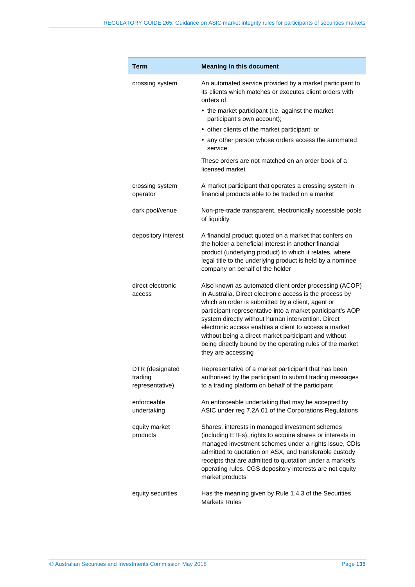| Term                                          | <b>Meaning in this document</b>                                                                                                                                                                                                                                                                                                                                                                                                                                                                  |
|-----------------------------------------------|--------------------------------------------------------------------------------------------------------------------------------------------------------------------------------------------------------------------------------------------------------------------------------------------------------------------------------------------------------------------------------------------------------------------------------------------------------------------------------------------------|
| crossing system                               | An automated service provided by a market participant to<br>its clients which matches or executes client orders with<br>orders of:                                                                                                                                                                                                                                                                                                                                                               |
|                                               | • the market participant (i.e. against the market<br>participant's own account);                                                                                                                                                                                                                                                                                                                                                                                                                 |
|                                               | • other clients of the market participant; or                                                                                                                                                                                                                                                                                                                                                                                                                                                    |
|                                               | • any other person whose orders access the automated<br>service                                                                                                                                                                                                                                                                                                                                                                                                                                  |
|                                               | These orders are not matched on an order book of a<br>licensed market                                                                                                                                                                                                                                                                                                                                                                                                                            |
| crossing system<br>operator                   | A market participant that operates a crossing system in<br>financial products able to be traded on a market                                                                                                                                                                                                                                                                                                                                                                                      |
| dark pool/venue                               | Non-pre-trade transparent, electronically accessible pools<br>of liquidity                                                                                                                                                                                                                                                                                                                                                                                                                       |
| depository interest                           | A financial product quoted on a market that confers on<br>the holder a beneficial interest in another financial<br>product (underlying product) to which it relates, where<br>legal title to the underlying product is held by a nominee<br>company on behalf of the holder                                                                                                                                                                                                                      |
| direct electronic<br>access                   | Also known as automated client order processing (ACOP)<br>in Australia. Direct electronic access is the process by<br>which an order is submitted by a client, agent or<br>participant representative into a market participant's AOP<br>system directly without human intervention. Direct<br>electronic access enables a client to access a market<br>without being a direct market participant and without<br>being directly bound by the operating rules of the market<br>they are accessing |
| DTR (designated<br>trading<br>representative) | Representative of a market participant that has been<br>authorised by the participant to submit trading messages<br>to a trading platform on behalf of the participant                                                                                                                                                                                                                                                                                                                           |
| enforceable<br>undertaking                    | An enforceable undertaking that may be accepted by<br>ASIC under reg 7.2A.01 of the Corporations Regulations                                                                                                                                                                                                                                                                                                                                                                                     |
| equity market<br>products                     | Shares, interests in managed investment schemes<br>(including ETFs), rights to acquire shares or interests in<br>managed investment schemes under a rights issue, CDIs<br>admitted to quotation on ASX, and transferable custody<br>receipts that are admitted to quotation under a market's<br>operating rules. CGS depository interests are not equity<br>market products                                                                                                                      |
| equity securities                             | Has the meaning given by Rule 1.4.3 of the Securities<br><b>Markets Rules</b>                                                                                                                                                                                                                                                                                                                                                                                                                    |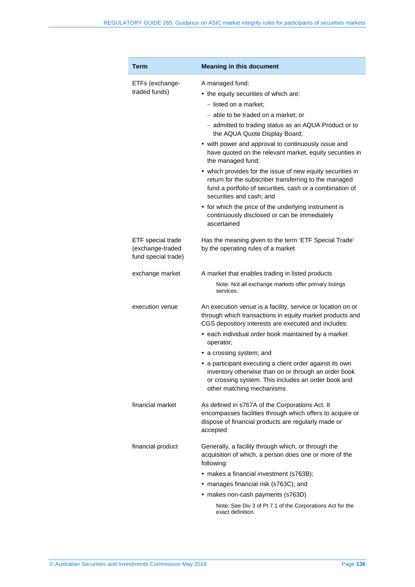| <b>Term</b>                                                  | <b>Meaning in this document</b>                                                                                                                                                                             |
|--------------------------------------------------------------|-------------------------------------------------------------------------------------------------------------------------------------------------------------------------------------------------------------|
| ETFs (exchange-<br>traded funds)                             | A managed fund:                                                                                                                                                                                             |
|                                                              | • the equity securities of which are:                                                                                                                                                                       |
|                                                              | - listed on a market:                                                                                                                                                                                       |
|                                                              | - able to be traded on a market; or                                                                                                                                                                         |
|                                                              | - admitted to trading status as an AQUA Product or to<br>the AQUA Quote Display Board;                                                                                                                      |
|                                                              | • with power and approval to continuously issue and<br>have quoted on the relevant market, equity securities in<br>the managed fund;                                                                        |
|                                                              | • which provides for the issue of new equity securities in<br>return for the subscriber transferring to the managed<br>fund a portfolio of securities, cash or a combination of<br>securities and cash: and |
|                                                              | • for which the price of the underlying instrument is<br>continuously disclosed or can be immediately<br>ascertained                                                                                        |
| ETF special trade<br>(exchange-traded<br>fund special trade) | Has the meaning given to the term 'ETF Special Trade'<br>by the operating rules of a market                                                                                                                 |
| exchange market                                              | A market that enables trading in listed products                                                                                                                                                            |
|                                                              | Note: Not all exchange markets offer primary listings<br>services.                                                                                                                                          |
| execution venue                                              | An execution venue is a facility, service or location on or<br>through which transactions in equity market products and<br>CGS depository interests are executed and includes:                              |
|                                                              | • each individual order book maintained by a market<br>operator;                                                                                                                                            |
|                                                              | • a crossing system; and                                                                                                                                                                                    |
|                                                              | • a participant executing a client order against its own<br>inventory otherwise than on or through an order book<br>or crossing system. This includes an order book and<br>other matching mechanisms        |
| financial market                                             | As defined in s767A of the Corporations Act. It<br>encompasses facilities through which offers to acquire or<br>dispose of financial products are regularly made or<br>accepted                             |
| financial product                                            | Generally, a facility through which, or through the<br>acquisition of which, a person does one or more of the<br>following:                                                                                 |
|                                                              | • makes a financial investment (s763B);                                                                                                                                                                     |
|                                                              | • manages financial risk (s763C); and                                                                                                                                                                       |
|                                                              | • makes non-cash payments (s763D)                                                                                                                                                                           |
|                                                              | Note: See Div 3 of Pt 7.1 of the Corporations Act for the<br>exact definition.                                                                                                                              |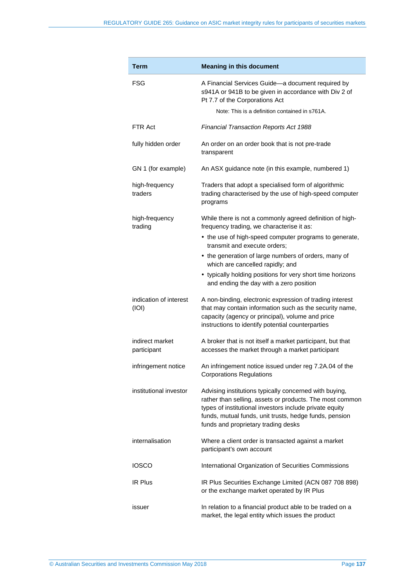| Term                            | <b>Meaning in this document</b>                                                                                                                                                                                                                                                |
|---------------------------------|--------------------------------------------------------------------------------------------------------------------------------------------------------------------------------------------------------------------------------------------------------------------------------|
| FSG                             | A Financial Services Guide-a document required by<br>s941A or 941B to be given in accordance with Div 2 of<br>Pt 7.7 of the Corporations Act                                                                                                                                   |
|                                 | Note: This is a definition contained in s761A.                                                                                                                                                                                                                                 |
| FTR Act                         | <b>Financial Transaction Reports Act 1988</b>                                                                                                                                                                                                                                  |
| fully hidden order              | An order on an order book that is not pre-trade<br>transparent                                                                                                                                                                                                                 |
| GN 1 (for example)              | An ASX guidance note (in this example, numbered 1)                                                                                                                                                                                                                             |
| high-frequency<br>traders       | Traders that adopt a specialised form of algorithmic<br>trading characterised by the use of high-speed computer<br>programs                                                                                                                                                    |
| high-frequency<br>trading       | While there is not a commonly agreed definition of high-<br>frequency trading, we characterise it as:                                                                                                                                                                          |
|                                 | • the use of high-speed computer programs to generate,<br>transmit and execute orders;                                                                                                                                                                                         |
|                                 | • the generation of large numbers of orders, many of<br>which are cancelled rapidly; and                                                                                                                                                                                       |
|                                 | • typically holding positions for very short time horizons<br>and ending the day with a zero position                                                                                                                                                                          |
| indication of interest<br>(IOI) | A non-binding, electronic expression of trading interest<br>that may contain information such as the security name,<br>capacity (agency or principal), volume and price<br>instructions to identify potential counterparties                                                   |
| indirect market<br>participant  | A broker that is not itself a market participant, but that<br>accesses the market through a market participant                                                                                                                                                                 |
| infringement notice             | An infringement notice issued under reg 7.2A.04 of the<br><b>Corporations Regulations</b>                                                                                                                                                                                      |
| institutional investor          | Advising institutions typically concerned with buying,<br>rather than selling, assets or products. The most common<br>types of institutional investors include private equity<br>funds, mutual funds, unit trusts, hedge funds, pension<br>funds and proprietary trading desks |
| internalisation                 | Where a client order is transacted against a market<br>participant's own account                                                                                                                                                                                               |
| <b>IOSCO</b>                    | International Organization of Securities Commissions                                                                                                                                                                                                                           |
| <b>IR Plus</b>                  | IR Plus Securities Exchange Limited (ACN 087 708 898)<br>or the exchange market operated by IR Plus                                                                                                                                                                            |
| issuer                          | In relation to a financial product able to be traded on a<br>market, the legal entity which issues the product                                                                                                                                                                 |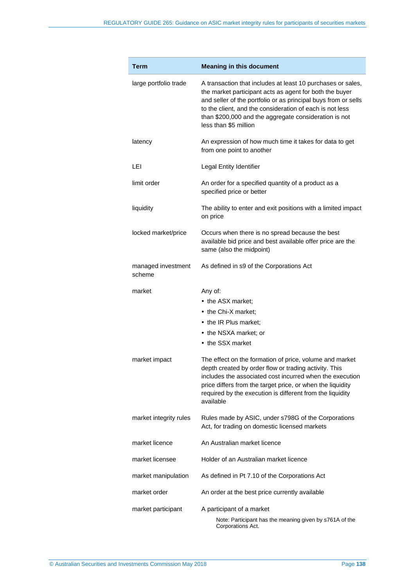| <b>Term</b>                  | <b>Meaning in this document</b>                                                                                                                                                                                                                                                                                                        |
|------------------------------|----------------------------------------------------------------------------------------------------------------------------------------------------------------------------------------------------------------------------------------------------------------------------------------------------------------------------------------|
| large portfolio trade        | A transaction that includes at least 10 purchases or sales,<br>the market participant acts as agent for both the buyer<br>and seller of the portfolio or as principal buys from or sells<br>to the client, and the consideration of each is not less<br>than \$200,000 and the aggregate consideration is not<br>less than \$5 million |
| latency                      | An expression of how much time it takes for data to get<br>from one point to another                                                                                                                                                                                                                                                   |
| LEI                          | Legal Entity Identifier                                                                                                                                                                                                                                                                                                                |
| limit order                  | An order for a specified quantity of a product as a<br>specified price or better                                                                                                                                                                                                                                                       |
| liquidity                    | The ability to enter and exit positions with a limited impact<br>on price                                                                                                                                                                                                                                                              |
| locked market/price          | Occurs when there is no spread because the best<br>available bid price and best available offer price are the<br>same (also the midpoint)                                                                                                                                                                                              |
| managed investment<br>scheme | As defined in s9 of the Corporations Act                                                                                                                                                                                                                                                                                               |
| market                       | Any of:<br>• the ASX market:<br>• the Chi-X market;<br>• the IR Plus market:<br>• the NSXA market; or<br>• the SSX market                                                                                                                                                                                                              |
| market impact                | The effect on the formation of price, volume and market<br>depth created by order flow or trading activity. This<br>includes the associated cost incurred when the execution<br>price differs from the target price, or when the liquidity<br>required by the execution is different from the liquidity<br>available                   |
| market integrity rules       | Rules made by ASIC, under s798G of the Corporations<br>Act, for trading on domestic licensed markets                                                                                                                                                                                                                                   |
| market licence               | An Australian market licence                                                                                                                                                                                                                                                                                                           |
| market licensee              | Holder of an Australian market licence                                                                                                                                                                                                                                                                                                 |
| market manipulation          | As defined in Pt 7.10 of the Corporations Act                                                                                                                                                                                                                                                                                          |
| market order                 | An order at the best price currently available                                                                                                                                                                                                                                                                                         |
| market participant           | A participant of a market<br>Note: Participant has the meaning given by s761A of the<br>Corporations Act.                                                                                                                                                                                                                              |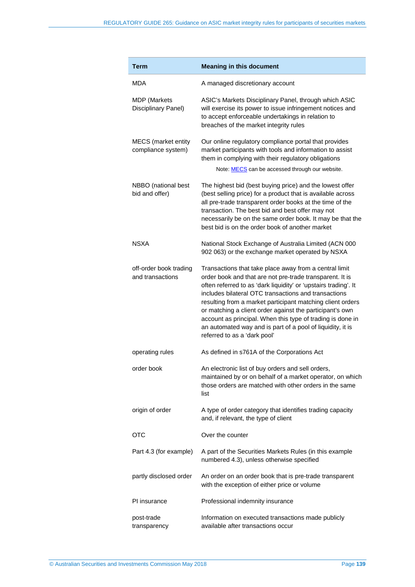| <b>Term</b>                                      | <b>Meaning in this document</b>                                                                                                                                                                                                                                                                                                                                                                                                                                                                                                     |
|--------------------------------------------------|-------------------------------------------------------------------------------------------------------------------------------------------------------------------------------------------------------------------------------------------------------------------------------------------------------------------------------------------------------------------------------------------------------------------------------------------------------------------------------------------------------------------------------------|
| MDA                                              | A managed discretionary account                                                                                                                                                                                                                                                                                                                                                                                                                                                                                                     |
| <b>MDP</b> (Markets<br>Disciplinary Panel)       | ASIC's Markets Disciplinary Panel, through which ASIC<br>will exercise its power to issue infringement notices and<br>to accept enforceable undertakings in relation to<br>breaches of the market integrity rules                                                                                                                                                                                                                                                                                                                   |
| <b>MECS</b> (market entity<br>compliance system) | Our online regulatory compliance portal that provides<br>market participants with tools and information to assist<br>them in complying with their regulatory obligations<br>Note: MECS can be accessed through our website.                                                                                                                                                                                                                                                                                                         |
| NBBO (national best<br>bid and offer)            | The highest bid (best buying price) and the lowest offer<br>(best selling price) for a product that is available across<br>all pre-trade transparent order books at the time of the<br>transaction. The best bid and best offer may not<br>necessarily be on the same order book. It may be that the<br>best bid is on the order book of another market                                                                                                                                                                             |
| NSXA                                             | National Stock Exchange of Australia Limited (ACN 000<br>902 063) or the exchange market operated by NSXA                                                                                                                                                                                                                                                                                                                                                                                                                           |
| off-order book trading<br>and transactions       | Transactions that take place away from a central limit<br>order book and that are not pre-trade transparent. It is<br>often referred to as 'dark liquidity' or 'upstairs trading'. It<br>includes bilateral OTC transactions and transactions<br>resulting from a market participant matching client orders<br>or matching a client order against the participant's own<br>account as principal. When this type of trading is done in<br>an automated way and is part of a pool of liquidity, it is<br>referred to as a 'dark pool' |
| operating rules                                  | As defined in s761A of the Corporations Act                                                                                                                                                                                                                                                                                                                                                                                                                                                                                         |
| order book                                       | An electronic list of buy orders and sell orders,<br>maintained by or on behalf of a market operator, on which<br>those orders are matched with other orders in the same<br>list                                                                                                                                                                                                                                                                                                                                                    |
| origin of order                                  | A type of order category that identifies trading capacity<br>and, if relevant, the type of client                                                                                                                                                                                                                                                                                                                                                                                                                                   |
| отс                                              | Over the counter                                                                                                                                                                                                                                                                                                                                                                                                                                                                                                                    |
| Part 4.3 (for example)                           | A part of the Securities Markets Rules (in this example<br>numbered 4.3), unless otherwise specified                                                                                                                                                                                                                                                                                                                                                                                                                                |
| partly disclosed order                           | An order on an order book that is pre-trade transparent<br>with the exception of either price or volume                                                                                                                                                                                                                                                                                                                                                                                                                             |
| PI insurance                                     | Professional indemnity insurance                                                                                                                                                                                                                                                                                                                                                                                                                                                                                                    |
| post-trade<br>transparency                       | Information on executed transactions made publicly<br>available after transactions occur                                                                                                                                                                                                                                                                                                                                                                                                                                            |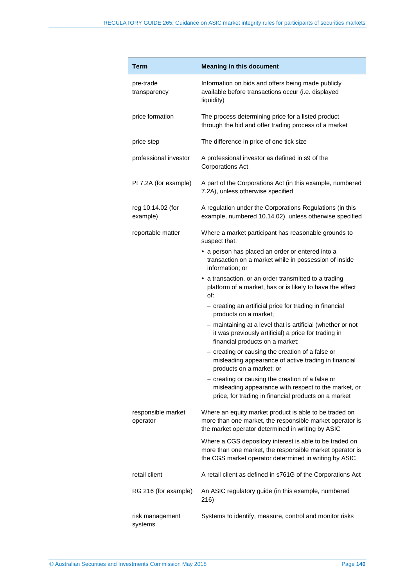| <b>Term</b>                    | <b>Meaning in this document</b>                                                                                                                                              |
|--------------------------------|------------------------------------------------------------------------------------------------------------------------------------------------------------------------------|
| pre-trade<br>transparency      | Information on bids and offers being made publicly<br>available before transactions occur (i.e. displayed<br>liquidity)                                                      |
| price formation                | The process determining price for a listed product<br>through the bid and offer trading process of a market                                                                  |
| price step                     | The difference in price of one tick size                                                                                                                                     |
| professional investor          | A professional investor as defined in s9 of the<br><b>Corporations Act</b>                                                                                                   |
| Pt 7.2A (for example)          | A part of the Corporations Act (in this example, numbered<br>7.2A), unless otherwise specified                                                                               |
| reg 10.14.02 (for<br>example)  | A regulation under the Corporations Regulations (in this<br>example, numbered 10.14.02), unless otherwise specified                                                          |
| reportable matter              | Where a market participant has reasonable grounds to<br>suspect that:                                                                                                        |
|                                | • a person has placed an order or entered into a<br>transaction on a market while in possession of inside<br>information; or                                                 |
|                                | • a transaction, or an order transmitted to a trading<br>platform of a market, has or is likely to have the effect<br>of:                                                    |
|                                | - creating an artificial price for trading in financial<br>products on a market;                                                                                             |
|                                | - maintaining at a level that is artificial (whether or not<br>it was previously artificial) a price for trading in<br>financial products on a market;                       |
|                                | - creating or causing the creation of a false or<br>misleading appearance of active trading in financial<br>products on a market; or                                         |
|                                | - creating or causing the creation of a false or<br>misleading appearance with respect to the market, or<br>price, for trading in financial products on a market             |
| responsible market<br>operator | Where an equity market product is able to be traded on<br>more than one market, the responsible market operator is<br>the market operator determined in writing by ASIC      |
|                                | Where a CGS depository interest is able to be traded on<br>more than one market, the responsible market operator is<br>the CGS market operator determined in writing by ASIC |
| retail client                  | A retail client as defined in s761G of the Corporations Act                                                                                                                  |
| RG 216 (for example)           | An ASIC regulatory guide (in this example, numbered<br>216)                                                                                                                  |
| risk management<br>systems     | Systems to identify, measure, control and monitor risks                                                                                                                      |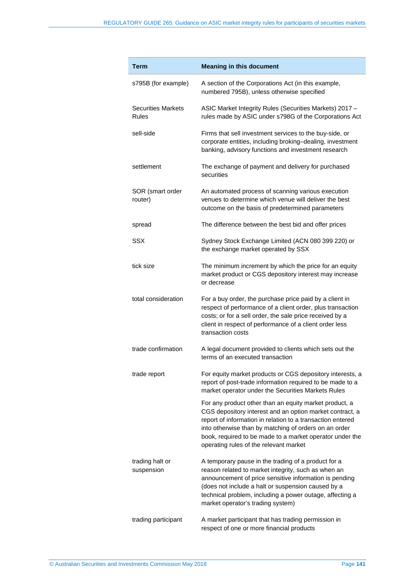| <b>Term</b>                               | <b>Meaning in this document</b>                                                                                                                                                                                                                                                                                                                 |
|-------------------------------------------|-------------------------------------------------------------------------------------------------------------------------------------------------------------------------------------------------------------------------------------------------------------------------------------------------------------------------------------------------|
| s795B (for example)                       | A section of the Corporations Act (in this example,<br>numbered 795B), unless otherwise specified                                                                                                                                                                                                                                               |
| <b>Securities Markets</b><br><b>Rules</b> | ASIC Market Integrity Rules (Securities Markets) 2017 -<br>rules made by ASIC under s798G of the Corporations Act                                                                                                                                                                                                                               |
| sell-side                                 | Firms that sell investment services to the buy-side, or<br>corporate entities, including broking-dealing, investment<br>banking, advisory functions and investment research                                                                                                                                                                     |
| settlement                                | The exchange of payment and delivery for purchased<br>securities                                                                                                                                                                                                                                                                                |
| SOR (smart order<br>router)               | An automated process of scanning various execution<br>venues to determine which venue will deliver the best<br>outcome on the basis of predetermined parameters                                                                                                                                                                                 |
| spread                                    | The difference between the best bid and offer prices                                                                                                                                                                                                                                                                                            |
| SSX                                       | Sydney Stock Exchange Limited (ACN 080 399 220) or<br>the exchange market operated by SSX                                                                                                                                                                                                                                                       |
| tick size                                 | The minimum increment by which the price for an equity<br>market product or CGS depository interest may increase<br>or decrease                                                                                                                                                                                                                 |
| total consideration                       | For a buy order, the purchase price paid by a client in<br>respect of performance of a client order, plus transaction<br>costs; or for a sell order, the sale price received by a<br>client in respect of performance of a client order less<br>transaction costs                                                                               |
| trade confirmation                        | A legal document provided to clients which sets out the<br>terms of an executed transaction                                                                                                                                                                                                                                                     |
| trade report                              | For equity market products or CGS depository interests, a<br>report of post-trade information required to be made to a<br>market operator under the Securities Markets Rules                                                                                                                                                                    |
|                                           | For any product other than an equity market product, a<br>CGS depository interest and an option market contract, a<br>report of information in relation to a transaction entered<br>into otherwise than by matching of orders on an order<br>book, required to be made to a market operator under the<br>operating rules of the relevant market |
| trading halt or<br>suspension             | A temporary pause in the trading of a product for a<br>reason related to market integrity, such as when an<br>announcement of price sensitive information is pending<br>(does not include a halt or suspension caused by a<br>technical problem, including a power outage, affecting a<br>market operator's trading system)                     |
| trading participant                       | A market participant that has trading permission in<br>respect of one or more financial products                                                                                                                                                                                                                                                |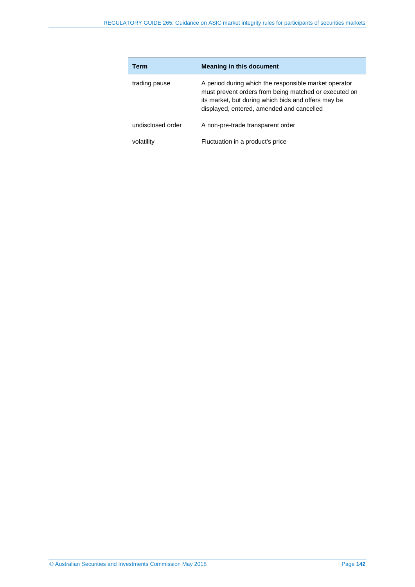| <b>Term</b>       | <b>Meaning in this document</b>                                                                                                                                                                                    |
|-------------------|--------------------------------------------------------------------------------------------------------------------------------------------------------------------------------------------------------------------|
| trading pause     | A period during which the responsible market operator<br>must prevent orders from being matched or executed on<br>its market, but during which bids and offers may be<br>displayed, entered, amended and cancelled |
| undisclosed order | A non-pre-trade transparent order                                                                                                                                                                                  |
| volatility        | Fluctuation in a product's price                                                                                                                                                                                   |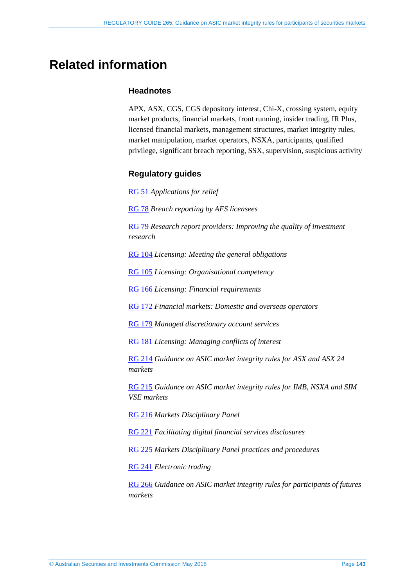# **Related information**

### **Headnotes**

APX, ASX, CGS, CGS depository interest, Chi-X, crossing system, equity market products, financial markets, front running, insider trading, IR Plus, licensed financial markets, management structures, market integrity rules, market manipulation, market operators, NSXA, participants, qualified privilege, significant breach reporting, SSX, supervision, suspicious activity

## **Regulatory guides**

[RG 51](http://www.asic.gov.au/regulatory-resources/find-a-document/regulatory-guides/rg-51-applications-for-relief/) *Applications for relief*

[RG 78](http://www.asic.gov.au/regulatory-resources/find-a-document/regulatory-guides/rg-78-breach-reporting-by-afs-licensees/) *Breach reporting by AFS licensees*

[RG 79](http://www.asic.gov.au/regulatory-resources/find-a-document/regulatory-guides/rg-79-research-report-providers-improving-the-quality-of-investment-research/) *Research report providers: Improving the quality of investment research* 

[RG 104](http://www.asic.gov.au/regulatory-resources/find-a-document/regulatory-guides/rg-104-licensing-meeting-the-general-obligations/) *Licensing: Meeting the general obligations*

[RG 105](http://www.asic.gov.au/regulatory-resources/find-a-document/regulatory-guides/rg-105-licensing-organisational-competence/) *Licensing: Organisational competency* 

[RG 166](http://www.asic.gov.au/regulatory-resources/find-a-document/regulatory-guides/rg-166-licensing-financial-requirements/) *Licensing: Financial requirements* 

[RG 172](http://www.asic.gov.au/regulatory-resources/find-a-document/regulatory-guides/rg-172-financial-markets-domestic-and-overseas-operators/) *Financial markets: Domestic and overseas operators*

[RG 179](http://www.asic.gov.au/regulatory-resources/find-a-document/regulatory-guides/rg-179-managed-discretionary-account-services/) *Managed discretionary account services*

[RG 181](http://www.asic.gov.au/regulatory-resources/find-a-document/regulatory-guides/rg-181-licensing-managing-conflicts-of-interest/) *Licensing: Managing conflicts of interest* 

[RG 214](http://www.asic.gov.au/regulatory-resources/find-a-document/regulatory-guides/rg-214-guidance-on-asic-market-integrity-rules-for-asx-and-asx-24-markets/) *Guidance on ASIC market integrity rules for ASX and ASX 24 markets*

[RG 215](http://www.asic.gov.au/regulatory-resources/find-a-document/regulatory-guides/rg-215-guidance-on-asic-market-integrity-rules-for-imb-nsxa-and-sim-vse-markets/) *Guidance on ASIC market integrity rules for IMB, NSXA and SIM VSE markets*

[RG 216](http://www.asic.gov.au/regulatory-resources/find-a-document/regulatory-guides/rg-216-markets-disciplinary-panel/) *Markets Disciplinary Panel* 

[RG 221](http://www.asic.gov.au/regulatory-resources/find-a-document/regulatory-guides/rg-221-facilitating-digital-financial-services-disclosures/) *Facilitating digital financial services disclosures* 

[RG 225](http://www.asic.gov.au/regulatory-resources/find-a-document/regulatory-guides/rg-225-markets-disciplinary-panel-practices-and-procedures/) *Markets Disciplinary Panel practices and procedures* 

[RG 241](http://www.asic.gov.au/regulatory-resources/find-a-document/regulatory-guides/rg-241-electronic-trading/) *Electronic trading*

[RG 266](http://www.asic.gov.au/regulatory-resources/find-a-document/regulatory-guides/rg-266-guidance-on-asic-market-integrity-rules-for-participants-of-futures-markets/) *Guidance on ASIC market integrity rules for participants of futures markets*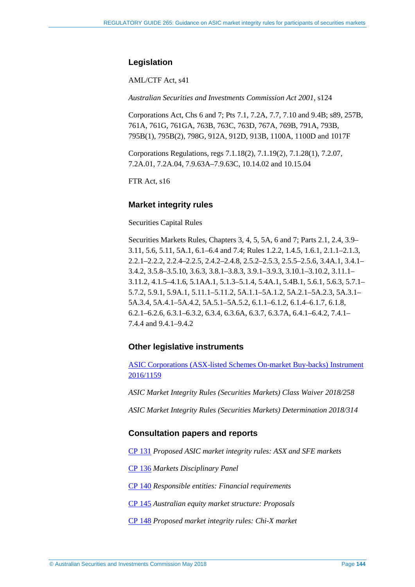### **Legislation**

AML/CTF Act, s41

*Australian Securities and Investments Commission Act 2001*, s124

Corporations Act, Chs 6 and 7; Pts 7.1, 7.2A, 7.7, 7.10 and 9.4B; s89, 257B, 761A, 761G, 761GA, 763B, 763C, 763D, 767A, 769B, 791A, 793B, 795B(1), 795B(2), 798G, 912A, 912D, 913B, 1100A, 1100D and 1017F

Corporations Regulations, regs 7.1.18(2), 7.1.19(2), 7.1.28(1), 7.2.07, 7.2A.01, 7.2A.04, 7.9.63A–7.9.63C, 10.14.02 and 10.15.04

FTR Act, s16

### **Market integrity rules**

Securities Capital Rules

Securities Markets Rules, Chapters 3, 4, 5, 5A, 6 and 7; Parts 2.1, 2.4, 3.9– 3.11, 5.6, 5.11, 5A.1, 6.1–6.4 and 7.4; Rules 1.2.2, 1.4.5, 1.6.1, 2.1.1–2.1.3, 2.2.1–2.2.2, 2.2.4–2.2.5, 2.4.2–2.4.8, 2.5.2–2.5.3, 2.5.5–2.5.6, 3.4A.1, 3.4.1– 3.4.2, 3.5.8–3.5.10, 3.6.3, 3.8.1–3.8.3, 3.9.1–3.9.3, 3.10.1–3.10.2, 3.11.1– 3.11.2, 4.1.5–4.1.6, 5.1AA.1, 5.1.3–5.1.4, 5.4A.1, 5.4B.1, 5.6.1, 5.6.3, 5.7.1– 5.7.2, 5.9.1, 5.9A.1, 5.11.1–5.11.2, 5A.1.1–5A.1.2, 5A.2.1–5A.2.3, 5A.3.1– 5A.3.4, 5A.4.1–5A.4.2, 5A.5.1–5A.5.2, 6.1.1–6.1.2, 6.1.4–6.1.7, 6.1.8, 6.2.1–6.2.6, 6.3.1–6.3.2, 6.3.4, 6.3.6A, 6.3.7, 6.3.7A, 6.4.1–6.4.2, 7.4.1– 7.4.4 and 9.4.1–9.4.2

#### **Other legislative instruments**

[ASIC Corporations \(ASX-listed Schemes On-market Buy-backs\) Instrument](https://www.legislation.gov.au/Details/F2016L01946)  [2016/1159](https://www.legislation.gov.au/Details/F2016L01946)

*ASIC Market Integrity Rules (Securities Markets) Class Waiver 2018/258*

*ASIC Market Integrity Rules (Securities Markets) Determination 2018/314*

#### **Consultation papers and reports**

[CP 131](http://www.asic.gov.au/regulatory-resources/find-a-document/consultation-papers/cp-131-proposed-asic-market-integrity-rules-asx-and-sfe-markets/) *Proposed ASIC market integrity rules: ASX and SFE markets*

[CP 136](http://www.asic.gov.au/regulatory-resources/find-a-document/consultation-papers/cp-136-markets-disciplinary-panel/) *Markets Disciplinary Panel*

[CP 140](http://www.asic.gov.au/regulatory-resources/find-a-document/consultation-papers/cp-140-responsible-entities-financial-requirements/) *Responsible entities: Financial requirements* 

[CP 145](http://www.asic.gov.au/regulatory-resources/find-a-document/consultation-papers/cp-145-australian-equity-market-structure-proposals/) *Australian equity market structure: Proposals* 

[CP 148](http://www.asic.gov.au/regulatory-resources/find-a-document/consultation-papers/cp-148-proposed-market-integrity-rules-chi-x-market/) *Proposed market integrity rules: Chi-X market*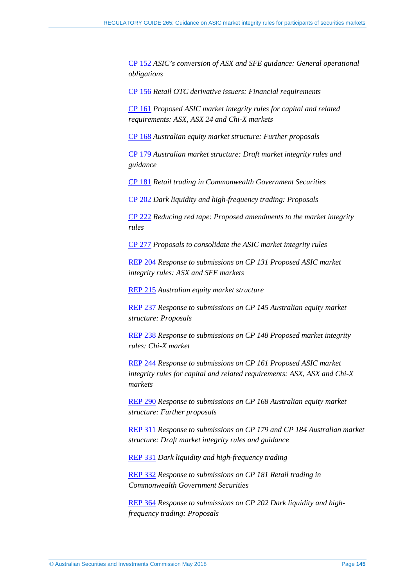[CP 152](http://www.asic.gov.au/regulatory-resources/find-a-document/consultation-papers/cp-152-asics-conversion-of-asx-and-sfe-guidance-general-operational-obligations/) *ASIC's conversion of ASX and SFE guidance: General operational obligations*

[CP 156](http://www.asic.gov.au/regulatory-resources/find-a-document/consultation-papers/cp-156-retail-otc-derivative-issuers-financial-requirements/) *Retail OTC derivative issuers: Financial requirements* 

[CP 161](http://www.asic.gov.au/regulatory-resources/find-a-document/consultation-papers/cp-161-proposed-asic-market-integrity-rules-for-capital-and-related-requirements-asx-asx-24-and-chi-x-markets/) *Proposed ASIC market integrity rules for capital and related requirements: ASX, ASX 24 and Chi-X markets*

[CP 168](http://www.asic.gov.au/regulatory-resources/find-a-document/consultation-papers/cp-168-australian-equity-market-structure-further-proposals/) *Australian equity market structure: Further proposals*

[CP 179](http://www.asic.gov.au/regulatory-resources/find-a-document/consultation-papers/cp-179-australian-market-structure-draft-market-integrity-rules-and-guidance/) *Australian market structure: Draft market integrity rules and guidance*

[CP 181](http://www.asic.gov.au/regulatory-resources/find-a-document/consultation-papers/cp-181-retail-trading-in-commonwealth-government-securities/) *Retail trading in Commonwealth Government Securities*

[CP 202](http://www.asic.gov.au/regulatory-resources/find-a-document/consultation-papers/cp-202-dark-liquidity-and-high-frequency-trading-proposals/) *Dark liquidity and high-frequency trading: Proposals*

[CP 222](http://www.asic.gov.au/regulatory-resources/find-a-document/consultation-papers/cp-222-reducing-red-tape-proposed-amendments-to-the-market-integrity-rules/) *Reducing red tape: Proposed amendments to the market integrity rules*

[CP 277](http://www.asic.gov.au/regulatory-resources/find-a-document/consultation-papers/cp-277-proposals-to-consolidate-the-asic-market-integrity-rules/) *Proposals to consolidate the ASIC market integrity rules*

[REP 204](http://www.asic.gov.au/regulatory-resources/find-a-document/reports/rep-204-response-to-submissions-on-cp-131-proposed-asic-market-integrity-rules-asx-and-sfe-markets/) *Response to submissions on CP 131 Proposed ASIC market integrity rules: ASX and SFE markets*

[REP 215](http://www.asic.gov.au/regulatory-resources/find-a-document/reports/rep-215-australian-equity-market-structure/) *Australian equity market structure*

[REP 237](http://www.asic.gov.au/regulatory-resources/find-a-document/reports/rep-237-response-to-submissions-on-consultation-paper-145-australian-equity-market-structure-proposals/) *Response to submissions on CP 145 Australian equity market structure: Proposals*

[REP 238](http://www.asic.gov.au/regulatory-resources/find-a-document/reports/rep-238-response-to-submissions-on-consultation-paper-148-proposed-market-integrity-rules-chi-x-market/) *Response to submissions on CP 148 Proposed market integrity rules: Chi-X market*

[REP 244](http://www.asic.gov.au/regulatory-resources/find-a-document/reports/rep-244-response-to-submissions-on-cp-161-proposed-asic-market-integrity-rules-for-capital-and-related-requirements-asx-asx-24-and-chi-x-markets/) *Response to submissions on CP 161 Proposed ASIC market integrity rules for capital and related requirements: ASX, ASX and Chi-X markets*

[REP 290](http://www.asic.gov.au/regulatory-resources/find-a-document/reports/rep-290-response-to-submissions-on-cp-168-australian-equity-market-structure-further-proposals/) *Response to submissions on CP 168 Australian equity market structure: Further proposals*

[REP 311](http://www.asic.gov.au/regulatory-resources/find-a-document/reports/rep-311-response-to-submissions-on-cp-179-and-cp-184-australian-market-structure-draft-market-integrity-rules-and-guidance/) *Response to submissions on CP 179 and CP 184 Australian market structure: Draft market integrity rules and guidance*

[REP 331](http://www.asic.gov.au/regulatory-resources/find-a-document/reports/rep-331-dark-liquidity-and-high-frequency-trading/) *Dark liquidity and high-frequency trading*

[REP 332](http://www.asic.gov.au/regulatory-resources/find-a-document/reports/rep-332-response-to-submissions-on-cp-181-retail-trading-in-commonwealth-government-securities/) *Response to submissions on CP 181 Retail trading in Commonwealth Government Securities*

[REP 364](http://www.asic.gov.au/regulatory-resources/find-a-document/reports/rep-364-response-to-submissions-on-cp-202-dark-liquidity-and-high-frequency-trading-proposals/) *Response to submissions on CP 202 Dark liquidity and highfrequency trading: Proposals*